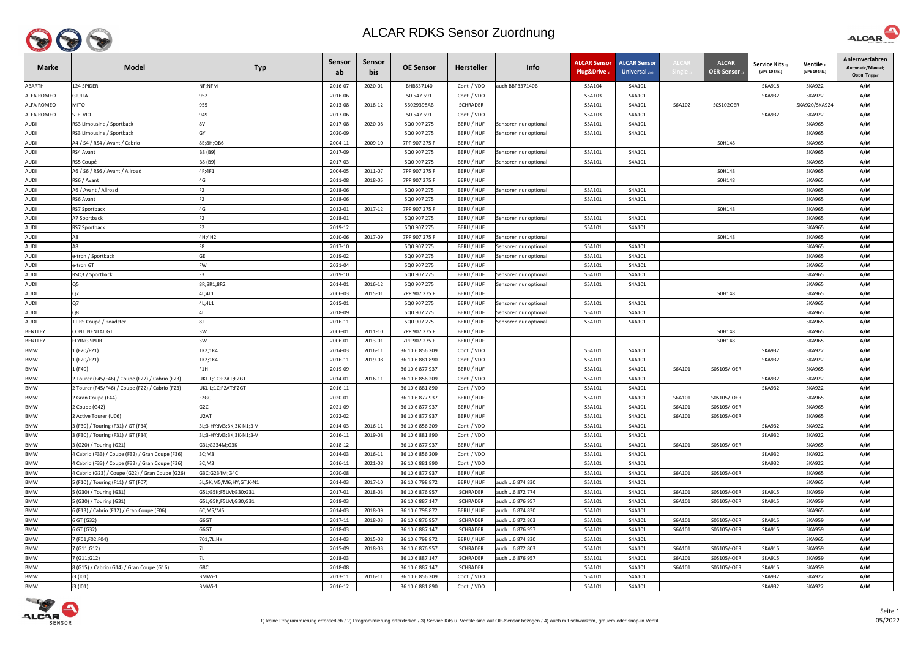

| <b>Marke</b>             | <b>Model</b>                                                                                       | <b>Typ</b>              | <b>Sensor</b><br>ab | Sensor<br>bis | <b>OE Sensor</b>                   | <b>Hersteller</b>         | Info                  | <b>ALCAR Sensor</b><br>Plug&Drive | <b>ALCAR Sensor</b><br>Universal $_{2/4}$ | <b>ALCAI</b> | <b>ALCAR</b><br><b>OER-Sensor</b> | <b>Service Kits</b> 3<br>(VPE 10 Stk.) | Ventile 3<br>(VPE 10 Stk.)     | Anlernverfahren<br>Automatic/Manuel;<br>OBDII; Trigger |
|--------------------------|----------------------------------------------------------------------------------------------------|-------------------------|---------------------|---------------|------------------------------------|---------------------------|-----------------------|-----------------------------------|-------------------------------------------|--------------|-----------------------------------|----------------------------------------|--------------------------------|--------------------------------------------------------|
| ABARTH                   | 124 SPIDER                                                                                         | NF;NFM                  | 2016-07             | 2020-01       | BHB637140                          | Conti / VDO               | auch BBP337140B       | S5A104                            | S4A101                                    |              |                                   | <b>SKA918</b>                          | <b>SKA922</b>                  | A/M                                                    |
| <b>ALFA ROMEO</b>        | GIULIA                                                                                             | 952                     | 2016-06             |               | 50 547 691                         | Conti / VDO               |                       | S5A103                            | S4A101                                    |              |                                   | SKA932                                 | <b>SKA922</b>                  | A/M                                                    |
| <b>ALFA ROMEO</b>        | <b>MITO</b>                                                                                        | 955                     | 2013-08             | 2018-12       | 56029398AB                         | <b>SCHRADER</b>           |                       | S5A101                            | S4A101                                    | S6A102       | S0S102OER                         |                                        | SKA920/SKA924                  | A/M                                                    |
| <b>ALFA ROMEO</b>        | STELVIO                                                                                            | 949                     | 2017-06             |               | 50 547 691                         | Conti / VDO               |                       | S5A103                            | S4A101                                    |              |                                   | <b>SKA932</b>                          | <b>SKA922</b>                  | A/M                                                    |
| <b>AUDI</b>              | RS3 Limousine / Sportback                                                                          | 8V                      | 2017-08             | 2020-08       | 5Q0 907 275                        | BERU / HUF                | Sensoren nur optional | S5A101                            | S4A101                                    |              |                                   |                                        | <b>SKA965</b>                  | A/M                                                    |
| <b>AUDI</b>              | RS3 Limousine / Sportback                                                                          |                         | 2020-09             |               | 5Q0 907 275                        | BERU / HUF                | Sensoren nur optional | S5A101                            | S4A101                                    |              |                                   |                                        | <b>SKA965</b>                  | A/M                                                    |
| <b>AUDI</b>              | A4 / S4 / RS4 / Avant / Cabrio                                                                     | 8E;8H;QB6               | 2004-11             | 2009-10       | 7PP 907 275 F                      | BERU / HUF                |                       |                                   |                                           |              | S0H148                            |                                        | <b>SKA965</b>                  | A/M                                                    |
| <b>AUDI</b>              | २ऽ४ Avant                                                                                          | B8 (B9)                 | 2017-09             |               | 5Q0 907 275                        | BERU / HUF                | Sensoren nur optional | S5A101                            | S4A101                                    |              |                                   |                                        | <b>SKA965</b>                  | A/M                                                    |
| AUDI                     | RS5 Coupé                                                                                          | B8 (B9)                 | 2017-03             |               | 5Q0 907 275                        | BERU / HUF                | Sensoren nur optional | S5A101                            | S4A101                                    |              |                                   |                                        | <b>SKA965</b>                  | A/M                                                    |
| <b>AUDI</b>              | A6 / S6 / RS6 / Avant / Allroad                                                                    | 4F;4F1                  | 2004-05             | 2011-07       | 7PP 907 275 F                      | BERU / HUF                |                       |                                   |                                           |              | S0H148                            |                                        | <b>SKA965</b>                  | A/M                                                    |
| <b>AUDI</b>              | २ऽ6 / Avant                                                                                        | 4G                      | 2011-08             | 2018-05       | 7PP 907 275 F                      | BERU / HUF                |                       |                                   |                                           |              | S0H148                            |                                        | <b>SKA965</b>                  | A/M                                                    |
| <b>AUDI</b>              | A6 / Avant / Allroad                                                                               | F <sub>2</sub>          | 2018-06             |               | 5Q0 907 275                        | BERU / HUF                | Sensoren nur optional | S5A101                            | S4A101                                    |              |                                   |                                        | <b>SKA965</b>                  | A/M                                                    |
| <b>AUDI</b>              | २ऽ6 Avant                                                                                          | F <sub>2</sub>          | 2018-06             |               | 5Q0 907 275                        | BERU / HUF                |                       | S5A101                            | S4A101                                    |              |                                   |                                        | <b>SKA965</b>                  | A/M                                                    |
| <b>AUDI</b>              | <b>RS7 Sportback</b>                                                                               | 4G                      | 2012-01             | 2017-12       | 7PP 907 275 F                      | BERU / HUF                |                       |                                   |                                           |              | S0H148                            |                                        | <b>SKA965</b>                  | A/M                                                    |
| <b>AUDI</b>              | <b>A7 Sportback</b>                                                                                | F <sub>2</sub>          | 2018-01             |               | 5Q0 907 275                        | BERU / HUF                | Sensoren nur optional | S5A101                            | S4A101                                    |              |                                   |                                        | <b>SKA965</b>                  | A/M                                                    |
| <b>AUDI</b>              | RS7 Sportback                                                                                      | F2                      | 2019-12             |               | 5Q0 907 275                        | BERU / HUF                |                       | S5A101                            | S4A101                                    |              |                                   |                                        | <b>SKA965</b>                  | A/M                                                    |
| <b>AUDI</b>              |                                                                                                    | 4H;4H2                  | 2010-06             | 2017-09       | 7PP 907 275 F                      | BERU / HUF                | Sensoren nur optional |                                   |                                           |              | S0H148                            |                                        | <b>SKA965</b>                  | A/M                                                    |
| <b>AUDI</b>              | ΑЯ                                                                                                 | F <sub>8</sub>          | 2017-10             |               | 5Q0 907 275                        | BERU / HUF                | Sensoren nur optional | S5A101                            | S4A101                                    |              |                                   |                                        | <b>SKA965</b>                  | A/M                                                    |
| <b>AUDI</b>              | e-tron / Sportback                                                                                 | GE                      | 2019-02             |               | 5Q0 907 275                        | BERU / HUF                | Sensoren nur optional | S5A101                            | S4A101                                    |              |                                   |                                        | <b>SKA965</b>                  | A/M                                                    |
| <b>AUDI</b>              | e-tron GT                                                                                          | <b>FW</b>               | 2021-04             |               | 5Q0 907 275                        | BERU / HUF                |                       | S5A101                            | S4A101                                    |              |                                   |                                        | <b>SKA965</b>                  | A/M                                                    |
| <b>AUDI</b>              | RSQ3 / Sportback                                                                                   | F <sub>3</sub>          | 2019-10             |               | 5Q0 907 275                        | BERU / HUF                | Sensoren nur optional | S5A101                            | S4A101                                    |              |                                   |                                        | <b>SKA965</b>                  | A/M                                                    |
| <b>AUDI</b>              | Q5                                                                                                 | 8R;8R1;8R2              | 2014-01             | 2016-12       | 5Q0 907 275                        | BERU / HUF                | Sensoren nur optional | S5A101                            | S4A101                                    |              |                                   |                                        | <b>SKA965</b>                  | A/M                                                    |
| <b>AUDI</b>              | Q7                                                                                                 | 4L;4L1                  | 2006-03             | 2015-01       | 7PP 907 275 F                      | BERU / HUF                |                       |                                   |                                           |              | S0H148                            |                                        | <b>SKA965</b>                  | A/M                                                    |
| <b>AUDI</b>              | Q7                                                                                                 | 4L;4L1                  | 2015-01             |               | 5Q0 907 275                        | BERU / HUF                | Sensoren nur optional | S5A101                            | S4A101                                    |              |                                   |                                        | <b>SKA965</b>                  | A/M                                                    |
| <b>AUDI</b>              | Ο8                                                                                                 |                         | 2018-09             |               | 5Q0 907 275                        | BERU / HUF                | Sensoren nur optional | S5A101                            | S4A101                                    |              |                                   |                                        | <b>SKA965</b>                  | A/M                                                    |
| <b>AUDI</b>              | TT RS Coupé / Roadster                                                                             |                         | 2016-11             |               | 5Q0 907 275                        | BERU / HUF                | Sensoren nur optional | S5A101                            | S4A101                                    |              |                                   |                                        | <b>SKA965</b>                  | A/M                                                    |
| <b>BENTLEY</b>           | CONTINENTAL GT                                                                                     | 3W                      | 2006-01             | 2011-10       | 7PP 907 275 F                      | BERU / HUF                |                       |                                   |                                           |              | S0H148                            |                                        | <b>SKA965</b>                  | A/M                                                    |
| <b>BENTLEY</b>           | <b>LYING SPUR</b>                                                                                  | 3W                      | 2006-01             | 2013-01       | 7PP 907 275 F                      | BERU / HUF                |                       |                                   |                                           |              | S0H148                            |                                        | <b>SKA965</b>                  | A/M                                                    |
| <b>BMW</b>               | (F20/F21)                                                                                          | 1K2;1K4                 | 2014-03             | 2016-11       | 36 10 6 856 209                    | Conti / VDO               |                       | S5A101                            | S4A101                                    |              |                                   | <b>SKA932</b>                          | <b>SKA922</b>                  | A/M                                                    |
| <b>BMW</b>               | (F20/F21)                                                                                          | 1K2;1K4                 | 2016-11             | 2019-08       | 36 10 6 881 890                    | Conti / VDO               |                       | S5A101                            | S4A101                                    |              |                                   | <b>SKA932</b>                          | <b>SKA922</b>                  | A/M                                                    |
| <b>BMW</b>               | . (F40)                                                                                            | F1H                     | 2019-09             |               | 36 10 6 877 937                    | BERU / HUF                |                       | S5A101                            | S4A101                                    | S6A101       | S0S105/-OER                       |                                        | <b>SKA965</b>                  | A/M                                                    |
| <b>BMW</b>               | 2 Tourer (F45/F46) / Coupe (F22) / Cabrio (F23)                                                    | UKL-L;1C;F2AT;F2GT      | 2014-01             | 2016-11       | 36 10 6 856 209                    | Conti / VDO               |                       | S5A101                            | S4A101                                    |              |                                   | <b>SKA932</b>                          | <b>SKA922</b>                  | A/M                                                    |
| <b>BMW</b>               | 2 Tourer (F45/F46) / Coupe (F22) / Cabrio (F23)                                                    | UKL-L;1C;F2AT;F2GT      | 2016-11             |               | 36 10 6 881 890                    | Conti / VDO               |                       | S5A101                            | S4A101                                    |              |                                   | <b>SKA932</b>                          | <b>SKA922</b>                  | A/M                                                    |
| <b>BMW</b>               | 2 Gran Coupe (F44)                                                                                 | F <sub>2</sub> GC       | 2020-01             |               | 36 10 6 877 937                    | BERU / HUF                |                       | S5A101                            | S4A101                                    | S6A101       | S0S105/-OER                       |                                        | <b>SKA965</b>                  | A/M                                                    |
| <b>BMW</b>               | 2 Coupe (G42)                                                                                      | G <sub>2</sub> C        | 2021-09             |               | 36 10 6 877 937                    | BERU / HUF                |                       | S5A101                            | S4A101                                    | S6A101       | S0S105/-OER                       |                                        | <b>SKA965</b>                  | A/M                                                    |
| <b>BMW</b>               | Active Tourer (U06)                                                                                | U2AT                    | 2022-02             |               | 36 10 6 877 937                    | BERU / HUF                |                       | S5A101                            | S4A101                                    | S6A101       | S0S105/-OER                       |                                        | <b>SKA965</b>                  | A/M                                                    |
| <b>BMW</b>               | 3 (F30) / Touring (F31) / GT (F34)                                                                 | 3L;3-HY;M3;3K;3K-N1;3-V | 2014-03             | 2016-11       | 36 10 6 856 209<br>36 10 6 881 890 | Conti / VDO               |                       | S5A101                            | S4A101<br>S4A101                          |              |                                   | <b>SKA932</b><br><b>SKA932</b>         | <b>SKA922</b>                  | A/M                                                    |
| <b>BMW</b>               | 3 (F30) / Touring (F31) / GT (F34)                                                                 | 3L;3-HY;M3;3K;3K-N1;3-V | 2016-11             | 2019-08       | 36 10 6 877 937                    | Conti / VDO<br>BERU / HUF |                       | S5A101                            |                                           |              | S0S105/-OER                       |                                        | <b>SKA922</b>                  | A/M                                                    |
| <b>BMW</b><br><b>BMW</b> | 3 (G20) / Touring (G21)<br>4 Cabrio (F33) / Coupe (F32) / Gran Coupe (F36)                         | G3L;G234M;G3K<br>3C; M3 | 2018-12<br>2014-03  | 2016-11       | 36 10 6 856 209                    | Conti / VDO               |                       | S5A101<br>S5A101                  | S4A101<br>S4A101                          | S6A101       |                                   | <b>SKA932</b>                          | <b>SKA965</b><br><b>SKA922</b> | A/M<br>A/M                                             |
| <b>BMW</b>               |                                                                                                    |                         | 2016-11             | 2021-08       | 36 10 6 881 890                    | Conti / VDO               |                       | S5A101                            | S4A101                                    |              |                                   | <b>SKA932</b>                          | <b>SKA922</b>                  | A/M                                                    |
| <b>BMW</b>               | 4 Cabrio (F33) / Coupe (F32) / Gran Coupe (F36)<br>4 Cabrio (G23) / Coupe (G22) / Gran Coupe (G26) | 3C;M3<br>G3C;G234M;G4C  | 2020-08             |               | 36 10 6 877 937                    | BERU / HUF                |                       | S5A101                            | S4A101                                    | S6A101       | S0S105/-OER                       |                                        | <b>SKA965</b>                  | A/M                                                    |
| <b>BMW</b>               | 5 (F10) / Touring (F11) / GT (F07)                                                                 | 5L;5K;M5/M6;HY;GT;K-N1  | 2014-03             | 2017-10       | 36 10 6 798 872                    | BERU / HUF                | auch  6 874 830       | S5A101                            | S4A101                                    |              |                                   |                                        | <b>SKA965</b>                  | A/M                                                    |
| <b>BMW</b>               | 5 (G30) / Touring (G31)                                                                            | G5L;G5K;F5LM;G30;G31    | 2017-01             | 2018-03       | 36 10 6 876 957                    | <b>SCHRADER</b>           | auch  6 872 774       | S5A101                            | S4A101                                    | S6A101       | S0S105/-OER                       | <b>SKA915</b>                          | <b>SKA959</b>                  | A/M                                                    |
| <b>BMW</b>               | 5 (G30) / Touring (G31)                                                                            | G5L;G5K;F5LM;G30;G31    | 2018-03             |               | 36 10 6 887 147                    | <b>SCHRADER</b>           | auch  6 876 957       | S5A101                            | S4A101                                    | S6A101       | S0S105/-OER                       | <b>SKA915</b>                          | <b>SKA959</b>                  | A/M                                                    |
| <b>BMW</b>               | 6 (F13) / Cabrio (F12) / Gran Coupe (F06)                                                          | 6C;M5/M6                | 2014-03             | 2018-09       | 36 10 6 798 872                    | BERU / HUF                | auch  6 874 830       | S5A101                            | S4A101                                    |              |                                   |                                        | <b>SKA965</b>                  | A/M                                                    |
| <b>BMW</b>               | 6 GT (G32)                                                                                         | G6GT                    | 2017-11             | 2018-03       | 36 10 6 876 957                    | <b>SCHRADER</b>           | auch  6 872 803       | S5A101                            | S4A101                                    | S6A101       | S0S105/-OER                       | <b>SKA915</b>                          | <b>SKA959</b>                  | A/M                                                    |
| <b>BMW</b>               | 6 GT (G32)                                                                                         | G6GT                    | 2018-03             |               | 36 10 6 887 147                    | <b>SCHRADER</b>           | auch  6 876 957       | S5A101                            | S4A101                                    | S6A101       | S0S105/-OER                       | <b>SKA915</b>                          | <b>SKA959</b>                  | A/M                                                    |
| <b>BMW</b>               | 7 (F01;F02;F04)                                                                                    | 701;7L;HY               | 2014-03             | 2015-08       | 36 10 6 798 872                    | BERU / HUF                | auch  6 874 830       | S5A101                            | S4A101                                    |              |                                   |                                        | <b>SKA965</b>                  | A/M                                                    |
| <b>BMW</b>               | ' (G11;G12)                                                                                        |                         | 2015-09             | 2018-03       | 36 10 6 876 957                    | <b>SCHRADER</b>           | auch  6 872 803       | S5A101                            | S4A101                                    | S6A101       | S0S105/-OER                       | <b>SKA915</b>                          | <b>SKA959</b>                  | A/M                                                    |
| <b>BMW</b>               | ' (G11;G12)                                                                                        |                         | 2018-03             |               | 36 10 6 887 147                    | <b>SCHRADER</b>           | auch  6 876 957       | S5A101                            | S4A101                                    | S6A101       | S0S105/-OER                       | <b>SKA915</b>                          | <b>SKA959</b>                  | A/M                                                    |
| <b>BMW</b>               | 8 (G15) / Cabrio (G14) / Gran Coupe (G16)                                                          | G8C                     | 2018-08             |               | 36 10 6 887 147                    | <b>SCHRADER</b>           |                       | S5A101                            | S4A101                                    | S6A101       | S0S105/-OER                       | <b>SKA915</b>                          | <b>SKA959</b>                  | A/M                                                    |
| <b>BMW</b>               | i3 (I01)                                                                                           | BMWi-1                  | 2013-11             | 2016-11       | 36 10 6 856 209                    | Conti / VDO               |                       | S5A101                            | S4A101                                    |              |                                   | <b>SKA932</b>                          | <b>SKA922</b>                  | A/M                                                    |
| <b>BMW</b>               | i3 (IO1)                                                                                           | BMWi-1                  | 2016-12             |               | 36 10 6 881 890                    | Conti / VDO               |                       | S5A101                            | S4A101                                    |              |                                   | <b>SKA932</b>                          | <b>SKA922</b>                  | A/M                                                    |
|                          |                                                                                                    |                         |                     |               |                                    |                           |                       |                                   |                                           |              |                                   |                                        |                                |                                                        |



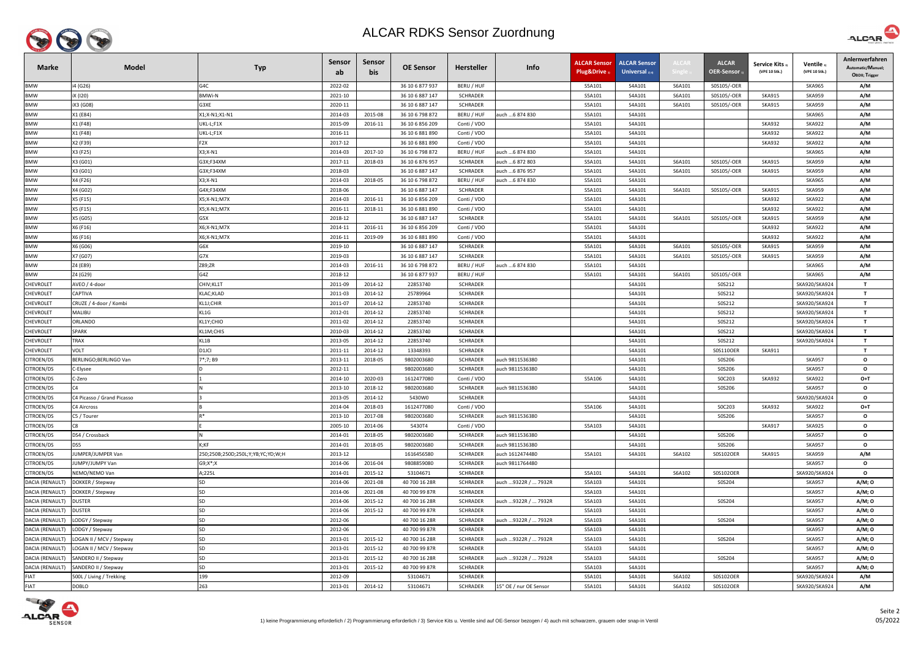

| <b>Marke</b>           | <b>Model</b>               | <b>Typ</b>                        | Sensor<br>ab | Sensor<br>bis | <b>OE Sensor</b> | <b>Hersteller</b> | Info                   | <b>ALCAR Sensor</b><br>Plug&Drive 1 | <b>ALCAR Sensor</b><br><b>Universal</b> $_{2/4}$ | <b>LCAI</b> | <b>ALCAR</b><br><b>OER-Sensor</b> | <b>Service Kits</b> <sub>3</sub><br>(VPE 10 Stk.) | Ventile 3<br>(VPE 10 Stk.) | Anlernverfahren<br>Automatic/Manuel;<br>OBDII; Trigger |
|------------------------|----------------------------|-----------------------------------|--------------|---------------|------------------|-------------------|------------------------|-------------------------------------|--------------------------------------------------|-------------|-----------------------------------|---------------------------------------------------|----------------------------|--------------------------------------------------------|
| <b>BMW</b>             | i4 (G26)                   | G4C                               | 2022-02      |               | 36 10 6 877 937  | BERU / HUF        |                        | S5A101                              | S4A101                                           | S6A101      | S0S105/-OER                       |                                                   | <b>SKA965</b>              | A/M                                                    |
| <b>BMW</b>             | iX (I20)                   | <b>BMWi-N</b>                     | 2021-10      |               | 36 10 6 887 147  | <b>SCHRADER</b>   |                        | S5A101                              | S4A101                                           | S6A101      | S0S105/-OER                       | <b>SKA915</b>                                     | <b>SKA959</b>              | A/M                                                    |
| BMW                    | iX3 (G08)                  | G3XE                              | 2020-11      |               | 36 10 6 887 147  | SCHRADER          |                        | S5A101                              | S4A101                                           | S6A101      | S0S105/-OER                       | <b>SKA915</b>                                     | <b>SKA959</b>              | A/M                                                    |
| BMW                    | X1 (E84)                   | X1;X-N1;X1-N1                     | 2014-03      | 2015-08       | 36 10 6 798 872  | BERU / HUF        | auch 6 874 830         | S5A101                              | S4A101                                           |             |                                   |                                                   | <b>SKA965</b>              | A/M                                                    |
| <b>BMW</b>             | X1 (F48)                   | UKL-L;F1X                         | 2015-09      | 2016-11       | 36 10 6 856 209  | Conti / VDO       |                        | S5A101                              | S4A101                                           |             |                                   | <b>SKA932</b>                                     | <b>SKA922</b>              | A/M                                                    |
| <b>BMW</b>             | X1 (F48)                   | UKL-L;F1X                         | 2016-11      |               | 36 10 6 881 890  | Conti / VDO       |                        | S5A101                              | S4A101                                           |             |                                   | <b>SKA932</b>                                     | <b>SKA922</b>              | A/M                                                    |
| <b>BMW</b>             | X2 (F39)                   | F <sub>2</sub> X                  | 2017-12      |               | 36 10 6 881 890  | Conti / VDO       |                        | S5A101                              | S4A101                                           |             |                                   | <b>SKA932</b>                                     | <b>SKA922</b>              | A/M                                                    |
| <b>BMW</b>             | X3 (F25)                   | $X3; X-N1$                        | 2014-03      | 2017-10       | 36 10 6 798 872  | BERU / HUF        | auch  6 874 830        | S5A101                              | S4A101                                           |             |                                   |                                                   | <b>SKA965</b>              | A/M                                                    |
| <b>BMW</b>             | X3 (G01)                   | G3X;F34XM                         | 2017-11      | 2018-03       | 36 10 6 876 957  | <b>SCHRADER</b>   | auch 6 872 803         | S5A101                              | S4A101                                           | S6A101      | S0S105/-OER                       | <b>SKA915</b>                                     | <b>SKA959</b>              | A/M                                                    |
| <b>BMW</b>             | X3 (G01)                   | G3X;F34XM                         | 2018-03      |               | 36 10 6 887 147  | <b>SCHRADER</b>   | auch 6 876 957         | S5A101                              | S4A101                                           | S6A101      | S0S105/-OER                       | <b>SKA915</b>                                     | <b>SKA959</b>              | A/M                                                    |
| BMW                    | X4 (F26)                   | X3;X-N1                           | 2014-03      | 2018-05       | 36 10 6 798 872  | BERU / HUF        | auch 6 874 830         | S5A101                              | S4A101                                           |             |                                   |                                                   | <b>SKA965</b>              | A/M                                                    |
| BMW                    | X4 (G02)                   | G4X;F34XM                         | 2018-06      |               | 36 10 6 887 147  | SCHRADER          |                        | S5A101                              | S4A101                                           | S6A101      | S0S105/-OER                       | <b>SKA915</b>                                     | <b>SKA959</b>              | A/M                                                    |
| <b>BMW</b>             | X5 (F15)                   | X5;X-N1;M7X                       | 2014-03      | 2016-11       | 36 10 6 856 209  | Conti / VDO       |                        | S5A101                              | S4A101                                           |             |                                   | <b>SKA932</b>                                     | <b>SKA922</b>              | A/M                                                    |
| <b>BMW</b>             | X5 (F15)                   | X5;X-N1;M7X                       | 2016-11      | 2018-11       | 36 10 6 881 890  | Conti / VDO       |                        | S5A101                              | S4A101                                           |             |                                   | <b>SKA932</b>                                     | <b>SKA922</b>              | A/M                                                    |
| <b>BMW</b>             | X5 (G05)                   | G5X                               | 2018-12      |               | 36 10 6 887 147  | <b>SCHRADER</b>   |                        | S5A101                              | S4A101                                           | S6A101      | S0S105/-OER                       | <b>SKA915</b>                                     | <b>SKA959</b>              | A/M                                                    |
| <b>BMW</b>             | X6 (F16)                   | X6;X-N1;M7X                       | 2014-11      | 2016-11       | 36 10 6 856 209  | Conti / VDO       |                        | S5A101                              | S4A101                                           |             |                                   | <b>SKA932</b>                                     | <b>SKA922</b>              | A/M                                                    |
| <b>BMW</b>             | X6 (F16)                   | X6;X-N1;M7X                       | 2016-11      | 2019-09       | 36 10 6 881 890  | Conti / VDO       |                        | S5A101                              | S4A101                                           |             |                                   | <b>SKA932</b>                                     | <b>SKA922</b>              | A/M                                                    |
| BMW                    | X6 (G06)                   | G6X                               | 2019-10      |               | 36 10 6 887 147  | <b>SCHRADER</b>   |                        | S5A101                              | S4A101                                           | S6A101      | S0S105/-OER                       | <b>SKA915</b>                                     | <b>SKA959</b>              | A/M                                                    |
| <b>BMW</b>             | X7 (G07)                   | G7X                               | 2019-03      |               | 36 10 6 887 147  | SCHRADER          |                        | S5A101                              | S4A101                                           | S6A101      | S0S105/-OER                       | <b>SKA915</b>                                     | <b>SKA959</b>              | A/M                                                    |
| <b>BMW</b>             | Z4 (E89)                   | Z89;ZR                            | 2014-03      | 2016-11       | 36 10 6 798 872  | BERU / HUF        | auch  6 874 830        | S5A101                              | S4A101                                           |             |                                   |                                                   | <b>SKA965</b>              | A/M                                                    |
| BMW                    | Z4 (G29)                   | G4Z                               | 2018-12      |               | 36 10 6 877 937  | BERU / HUF        |                        | S5A101                              | S4A101                                           | S6A101      | S0S105/-OER                       |                                                   | <b>SKA965</b>              | A/M                                                    |
| <b>CHEVROLET</b>       | AVEO / 4-door              | CHIV; KL1T                        | 2011-09      | 2014-12       | 22853740         | SCHRADER          |                        |                                     | S4A101                                           |             | S0S212                            |                                                   | SKA920/SKA924              | $\mathbf{T}$                                           |
| <b>CHEVROLET</b>       | CAPTIVA                    | KLAC; KLAD                        | 2011-03      | 2014-12       | 25789964         | <b>SCHRADER</b>   |                        |                                     | S4A101                                           |             | S0S212                            |                                                   | SKA920/SKA924              | $\mathbf{T}$                                           |
| <b>CHEVROLET</b>       | CRUZE / 4-door / Kombi     | KL1J;CHIR                         | 2011-07      | 2014-12       | 22853740         | SCHRADER          |                        |                                     | S4A101                                           |             | S0S212                            |                                                   | SKA920/SKA924              | $\mathbf{T}$                                           |
| <b>CHEVROLET</b>       | MALIBU                     | KL1G                              | 2012-01      | 2014-12       | 22853740         | <b>SCHRADER</b>   |                        |                                     | S4A101                                           |             | S0S212                            |                                                   | SKA920/SKA924              | $\mathbf{T}$                                           |
| <b>CHEVROLET</b>       | ORLANDO                    | KL1Y;CHIO                         | 2011-02      | 2014-12       | 22853740         | SCHRADER          |                        |                                     | S4A101                                           |             | S0S212                            |                                                   | SKA920/SKA924              | $\mathbf{T}$                                           |
| <b>CHEVROLET</b>       | SPARK                      | KL1M;CHIS                         | 2010-03      | 2014-12       | 22853740         | <b>SCHRADER</b>   |                        |                                     | S4A101                                           |             | S0S212                            |                                                   | SKA920/SKA924              | $\mathbf{T}$                                           |
| <b>CHEVROLET</b>       | TRAX                       | KL1B                              | 2013-05      | 2014-12       | 22853740         | SCHRADER          |                        |                                     | S4A101                                           |             | S0S212                            |                                                   | SKA920/SKA924              | $\mathbf{T}$                                           |
| <b>CHEVROLET</b>       | VOLT                       | D1JCI                             | 2011-11      | 2014-12       | 13348393         | SCHRADER          |                        |                                     | S4A101                                           |             | S0S110OER                         | <b>SKA911</b>                                     |                            | $\mathbf{T}$                                           |
| CITROEN/DS             | BERLINGO;BERLINGO Van      | 7*;7; B9                          | 2013-11      | 2018-05       | 9802003680       | <b>SCHRADER</b>   | auch 9811536380        |                                     | S4A101                                           |             | S0S206                            |                                                   | <b>SKA957</b>              | $\mathbf{o}$                                           |
| CITROEN/DS             | C-Elysee                   |                                   | 2012-11      |               | 9802003680       | SCHRADER          | auch 9811536380        |                                     | S4A101                                           |             | S0S206                            |                                                   | <b>SKA957</b>              | $\mathbf{o}$                                           |
| CITROEN/DS             | C-Zero                     |                                   | 2014-10      | 2020-03       | 1612477080       | Conti / VDO       |                        | S5A106                              | S4A101                                           |             | S0C203                            | <b>SKA932</b>                                     | <b>SKA922</b>              | $O+T$                                                  |
| <b>CITROEN/DS</b>      | C4                         |                                   | 2013-10      | 2018-12       | 9802003680       | <b>SCHRADER</b>   | auch 9811536380        |                                     | S4A101                                           |             | S0S206                            |                                                   | <b>SKA957</b>              | $\mathbf{o}$                                           |
| <b>CITROEN/DS</b>      | C4 Picasso / Grand Picasso |                                   | 2013-05      | 2014-12       | 5430W0           | <b>SCHRADER</b>   |                        |                                     | S4A101                                           |             |                                   |                                                   | SKA920/SKA924              | $\mathbf{o}$                                           |
| CITROEN/DS             | C4 Aircross                |                                   | 2014-04      | 2018-03       | 1612477080       | Conti / VDO       |                        | S5A106                              | S4A101                                           |             | SOC203                            | <b>SKA932</b>                                     | <b>SKA922</b>              | $O+T$                                                  |
| <b>CITROEN/DS</b>      | C5 / Tourer                |                                   | 2013-10      | 2017-08       | 9802003680       | <b>SCHRADER</b>   | auch 9811536380        |                                     | S4A101                                           |             | S0S206                            |                                                   | <b>SKA957</b>              | $\mathbf{o}$                                           |
| CITROEN/DS             | C8                         |                                   | 2005-10      | 2014-06       | 5430T4           | Conti / VDO       |                        | S5A103                              | S4A101                                           |             |                                   | <b>SKA917</b>                                     | <b>SKA925</b>              | $\mathbf{o}$                                           |
| CITROEN/DS             | DS4 / Crossback            |                                   | 2014-01      | 2018-05       | 9802003680       | <b>SCHRADER</b>   | auch 9811536380        |                                     | S4A101                                           |             | S0S206                            |                                                   | <b>SKA957</b>              | $\mathbf{o}$                                           |
| CITROEN/DS             | DS5                        | K;KF                              | 2014-01      | 2018-05       | 9802003680       | <b>SCHRADER</b>   | auch 9811536380        |                                     | S4A101                                           |             | S0S206                            |                                                   | <b>SKA957</b>              | $\mathbf{o}$                                           |
| CITROEN/DS             | IUMPER/JUMPER Van          | 250;250B;250D;250L;Y;YB;YC;YD;W;H | 2013-12      |               | 1616456580       | SCHRADER          | auch 1612474480        | S5A101                              | S4A101                                           | S6A102      | S0S102OER                         | SKA915                                            | <b>SKA959</b>              | A/M                                                    |
| CITROEN/DS             | IUMPY/JUMPY Van            | $G9; X^*; X$                      | 2014-06      | 2016-04       | 9808859080       | <b>SCHRADER</b>   | auch 9811764480        |                                     |                                                  |             |                                   |                                                   | <b>SKA957</b>              | $\mathbf{o}$                                           |
| CITROEN/DS             | NEMO/NEMO Van              | A;225L                            | 2014-01      | 2015-12       | 53104671         | SCHRADER          |                        | S5A101                              | S4A101                                           | S6A102      | S0S102OER                         |                                                   | SKA920/SKA924              | $\mathbf{o}$                                           |
| <b>DACIA (RENAUL</b>   | DOKKER / Stepway           | SD                                | 2014-06      | 2021-08       | 40 700 16 28R    | <b>SCHRADER</b>   | auch  9322R /  7932R   | S5A103                              | S4A101                                           |             | S0S204                            |                                                   | <b>SKA957</b>              | A/M; 0                                                 |
| DACIA (RENAULT)        | DOKKER / Stepway           | SD                                | 2014-06      | 2021-08       | 40 700 99 87R    | <b>SCHRADER</b>   |                        | S5A103                              | S4A101                                           |             |                                   |                                                   | <b>SKA957</b>              | A/M; 0                                                 |
| DACIA (RENAULT)        | <b>DUSTER</b>              | <b>SD</b>                         | 2014-06      | 2015-12       | 40 700 16 28R    | SCHRADER          | auch  9322R /  7932R   | S5A103                              | S4A101                                           |             | S0S204                            |                                                   | <b>SKA957</b>              | A/M; 0                                                 |
| DACIA (RENAULT)        | <b>DUSTER</b>              | <b>SD</b>                         | 2014-06      | 2015-12       | 40 700 99 87R    | <b>SCHRADER</b>   |                        | S5A103                              | S4A101                                           |             |                                   |                                                   | <b>SKA957</b>              | A/M; 0                                                 |
| DACIA (RENAULT)        | LODGY / Stepway            | SD                                | 2012-06      |               | 40 700 16 28R    | SCHRADER          | auch 9322R /  7932R    | S5A103                              | S4A101                                           |             | S0S204                            |                                                   | <b>SKA957</b>              | A/M; 0                                                 |
| DACIA (RENAULT)        | LODGY / Stepway            | SD                                | 2012-06      |               | 40 700 99 87R    | <b>SCHRADER</b>   |                        | S5A103                              | S4A101                                           |             |                                   |                                                   | <b>SKA957</b>              | A/M; 0                                                 |
| DACIA (RENAULT)        | LOGAN II / MCV / Stepway   | SD                                | 2013-01      | 2015-12       | 40 700 16 28R    | SCHRADER          | auch 9322R /  7932R    | S5A103                              | S4A101                                           |             | S0S204                            |                                                   | <b>SKA957</b>              | A/M; O                                                 |
| DACIA (RENAULT)        | LOGAN II / MCV / Stepway   | SD                                | 2013-01      | 2015-12       | 40 700 99 87R    | <b>SCHRADER</b>   |                        | S5A103                              | S4A101                                           |             |                                   |                                                   | <b>SKA957</b>              | A/M; 0                                                 |
| DACIA (RENAULT)        | SANDERO II / Stepway       | SD                                | 2013-01      | 2015-12       | 40 700 16 28R    | <b>SCHRADER</b>   | auch 9322R /  7932R    | S5A103                              | S4A101                                           |             | S0S204                            |                                                   | <b>SKA957</b>              | A/M; 0                                                 |
| <b>DACIA (RENAULT)</b> | SANDERO II / Stepway       | SD                                | 2013-01      | 2015-12       | 40 700 99 87R    | <b>SCHRADER</b>   |                        | S5A103                              | S4A101                                           |             |                                   |                                                   | <b>SKA957</b>              | A/M; 0                                                 |
| <b>FIAT</b>            | 500L / Living / Trekking   | 199                               | 2012-09      |               | 53104671         | <b>SCHRADER</b>   |                        | S5A101                              | S4A101                                           | S6A102      | S0S102OER                         |                                                   | SKA920/SKA924              | A/M                                                    |
| <b>FIAT</b>            | <b>DOBLO</b>               | 263                               | 2013-01      | 2014-12       | 53104671         | SCHRADER          | 15" OE / nur OE Sensor | S5A101                              | S4A101                                           | S6A102      | S0S102OER                         |                                                   | SKA920/SKA924              | A/M                                                    |



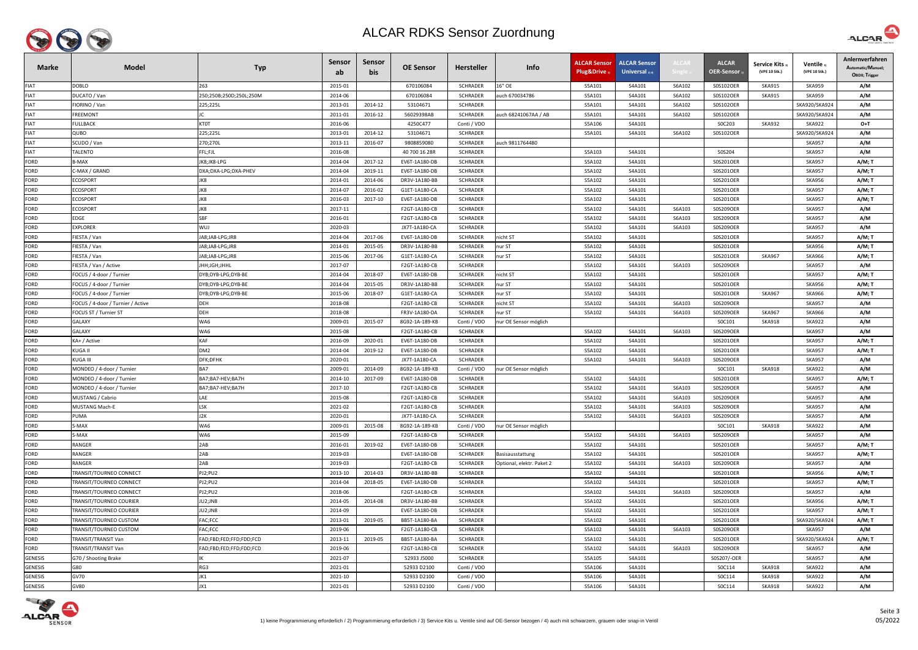

| <b>Marke</b>   | <b>Model</b>                         | <b>Typ</b>              | <b>Sensor</b><br>ab | Sensor<br>bis | <b>OE Sensor</b> | <b>Hersteller</b> | Info                      | <b>ALCAR Sensor</b><br>Plug&Drive | <b>ALCAR Sensor</b><br><b>Universal</b> $_{2/4}$ | <b>ALCAI</b> | <b>ALCAR</b><br>OER-Sensor | <b>Service Kits</b><br>(VPE 10 Stk.) | Ventile<br>(VPE 10 Stk.) | Anlernverfahren<br>Automatic/Manuel;<br>OBDII; Trigger |
|----------------|--------------------------------------|-------------------------|---------------------|---------------|------------------|-------------------|---------------------------|-----------------------------------|--------------------------------------------------|--------------|----------------------------|--------------------------------------|--------------------------|--------------------------------------------------------|
| <b>FIAT</b>    | <b>DOBLO</b>                         | 263                     | 2015-01             |               | 670106084        | <b>SCHRADER</b>   | 16" OE                    | S5A101                            | S4A101                                           | S6A102       | S0S102OER                  | <b>SKA915</b>                        | <b>SKA959</b>            | A/M                                                    |
| <b>FIAT</b>    | DUCATO / Van                         | 250;250B;250D;250L;250M | 2014-06             |               | 670106084        | <b>SCHRADER</b>   | auch 670034786            | S5A101                            | S4A101                                           | S6A102       | S0S102OER                  | <b>SKA915</b>                        | <b>SKA959</b>            | A/M                                                    |
| <b>FIAT</b>    | IORINO / Van                         | 225;225L                | 2013-01             | 2014-12       | 53104671         | <b>SCHRADER</b>   |                           | S5A101                            | S4A101                                           | S6A102       | S0S102OER                  |                                      | SKA920/SKA924            | A/M                                                    |
| <b>FIAT</b>    | FREEMONT                             |                         | 2011-01             | 2016-12       | 56029398AB       | <b>SCHRADER</b>   | auch 68241067AA / AB      | S5A101                            | S4A101                                           | S6A102       | S0S102OER                  |                                      | SKA920/SKA924            | A/M                                                    |
| <b>FIAT</b>    | FULLBACK                             | <b>KTOT</b>             | 2016-06             |               | 4250C477         | Conti / VDO       |                           | S5A106                            | S4A101                                           |              | S0C203                     | <b>SKA932</b>                        | <b>SKA922</b>            | $O+T$                                                  |
| <b>FIAT</b>    | OBUC                                 | 225;225L                | 2013-01             | 2014-12       | 53104671         | <b>SCHRADER</b>   |                           | S5A101                            | S4A101                                           | S6A102       | S0S102OER                  |                                      | SKA920/SKA924            | A/M                                                    |
| <b>FIAT</b>    | SCUDO / Van                          | 270;270L                | 2013-11             | 2016-07       | 9808859080       | <b>SCHRADER</b>   | auch 9811764480           |                                   |                                                  |              |                            |                                      | <b>SKA957</b>            | A/M                                                    |
| <b>FIAT</b>    | <b>TALENTO</b>                       | FFL;FJL                 | 2016-08             |               | 40 700 16 28R    | <b>SCHRADER</b>   |                           | S5A103                            | S4A101                                           |              | S0S204                     |                                      | <b>SKA957</b>            | A/M                                                    |
| FORD           | ነ-MAX                                | JK8;JK8-LPG             | 2014-04             | 2017-12       | EV6T-1A180-DB    | SCHRADER          |                           | S5A102                            | S4A101                                           |              | S0S201OER                  |                                      | <b>SKA957</b>            | A/M; T                                                 |
| FORD           | C-MAX / GRAND                        | DXA;DXA-LPG;DXA-PHEV    | 2014-04             | 2019-11       | EV6T-1A180-DB    | <b>SCHRADER</b>   |                           | S5A102                            | S4A101                                           |              | S0S201OER                  |                                      | <b>SKA957</b>            | A/M; T                                                 |
| FORD           | <b>ECOSPORT</b>                      | JK8                     | 2014-01             | 2014-06       | DR3V-1A180-BB    | <b>SCHRADER</b>   |                           | S5A102                            | S4A101                                           |              | S0S201OER                  |                                      | <b>SKA956</b>            | A/M; T                                                 |
| FORD           | <b>ECOSPORT</b>                      | JK8                     | 2014-07             | 2016-02       | G1ET-1A180-CA    | <b>SCHRADER</b>   |                           | S5A102                            | S4A101                                           |              | S0S201OER                  |                                      | <b>SKA957</b>            | A/M; T                                                 |
| FORD           | <b>ECOSPORT</b>                      | JK8                     | 2016-03             | 2017-10       | EV6T-1A180-DB    | <b>SCHRADER</b>   |                           | S5A102                            | S4A101                                           |              | S0S201OER                  |                                      | <b>SKA957</b>            | A/M; T                                                 |
| <b>FORD</b>    | <b>ECOSPORT</b>                      | JK8                     | 2017-11             |               | F2GT-1A180-CB    | SCHRADER          |                           | S5A102                            | S4A101                                           | S6A103       | S0S209OER                  |                                      | <b>SKA957</b>            | A/M                                                    |
| <b>FORD</b>    | EDGE                                 | <b>SBF</b>              | 2016-01             |               | F2GT-1A180-CB    | <b>SCHRADER</b>   |                           | S5A102                            | S4A101                                           | S6A103       | S0S209OER                  |                                      | <b>SKA957</b>            | A/M                                                    |
| FORD           | EXPLORER                             | <b>WUJ</b>              | 2020-03             |               | JX7T-1A180-CA    | <b>SCHRADER</b>   |                           | S5A102                            | S4A101                                           | S6A103       | S0S209OER                  |                                      | <b>SKA957</b>            | A/M                                                    |
| FORD           | FIESTA / Van                         | JA8;JA8-LPG;JR8         | 2014-04             | 2017-06       | EV6T-1A180-DB    | <b>SCHRADER</b>   | nicht ST                  | S5A102                            | S4A101                                           |              | S0S201OER                  |                                      | <b>SKA957</b>            | A/M; T                                                 |
| FORD           | IESTA / Van                          | JA8;JA8-LPG;JR8         | 2014-01             | 2015-05       | DR3V-1A180-BB    | <b>SCHRADER</b>   | nur ST                    | S5A102                            | S4A101                                           |              | S0S201OER                  |                                      | <b>SKA956</b>            | A/M; T                                                 |
| FORD           | FIESTA / Van                         | JA8;JA8-LPG;JR8         | 2015-06             | 2017-06       | G1ET-1A180-CA    | <b>SCHRADER</b>   | nur ST                    | S5A102                            | S4A101                                           |              | S0S201OER                  | <b>SKA967</b>                        | <b>SKA966</b>            | A/M; T                                                 |
| FORD           | FIESTA / Van / Active                | JHH;JGH;JHHL            | 2017-07             |               | F2GT-1A180-CB    | <b>SCHRADER</b>   |                           | S5A102                            | S4A101                                           | S6A103       | S0S209OER                  |                                      | <b>SKA957</b>            | A/M                                                    |
| <b>FORD</b>    | FOCUS / 4-door / Turnier             | DYB;DYB-LPG;DYB-BE      | 2014-04             | 2018-07       | EV6T-1A180-DB    | SCHRADER          | nicht ST                  | S5A102                            | S4A101                                           |              | S0S201OER                  |                                      | <b>SKA957</b>            | A/M; T                                                 |
| <b>FORD</b>    | FOCUS / 4-door / Turnier             | DYB;DYB-LPG;DYB-BE      | 2014-04             | 2015-05       | DR3V-1A180-BB    | <b>SCHRADER</b>   | nur ST                    | S5A102                            | S4A101                                           |              | S0S201OER                  |                                      | <b>SKA956</b>            | A/M; T                                                 |
| FORD           | <sup>-</sup> OCUS / 4-door / Turnier | DYB;DYB-LPG;DYB-BE      | 2015-06             | 2018-07       | G1ET-1A180-CA    | <b>SCHRADER</b>   | nur ST                    | S5A102                            | S4A101                                           |              | S0S201OER                  | <b>SKA967</b>                        | <b>SKA966</b>            | A/M; T                                                 |
| <b>FORD</b>    | FOCUS / 4-door / Turnier / Active    | <b>DEH</b>              | 2018-08             |               | F2GT-1A180-CB    | <b>SCHRADER</b>   | nicht ST                  | S5A102                            | S4A101                                           | S6A103       | S0S209OER                  |                                      | <b>SKA957</b>            | A/M                                                    |
| <b>FORD</b>    | FOCUS ST / Turnier ST                | <b>DEH</b>              | 2018-08             |               | FR3V-1A180-DA    | <b>SCHRADER</b>   | nur ST                    | S5A102                            | S4A101                                           | S6A103       | S0S209OER                  | <b>SKA967</b>                        | <b>SKA966</b>            | A/M                                                    |
| FORD           | GALAXY                               | WA6                     | 2009-01             | 2015-07       | 8G92-1A-189-KB   | Conti / VDO       | nur OE Sensor möglich     |                                   |                                                  |              | SOC101                     | <b>SKA918</b>                        | <b>SKA922</b>            | A/M                                                    |
| <b>FORD</b>    | GALAXY                               | WA6                     | 2015-08             |               | F2GT-1A180-CB    | <b>SCHRADER</b>   |                           | S5A102                            | S4A101                                           | S6A103       | S0S209OER                  |                                      | <b>SKA957</b>            | A/M                                                    |
| FORD           | KA+ / Active                         | <b>KAF</b>              | 2016-09             | 2020-01       | EV6T-1A180-DB    | SCHRADER          |                           | S5A102                            | S4A101                                           |              | S0S201OER                  |                                      | <b>SKA957</b>            | A/M; T                                                 |
| <b>FORD</b>    | KUGA II                              | DM <sub>2</sub>         | 2014-04             | 2019-12       | EV6T-1A180-DB    | <b>SCHRADER</b>   |                           | S5A102                            | S4A101                                           |              | S0S201OER                  |                                      | <b>SKA957</b>            | $A/M$ ; T                                              |
| <b>FORD</b>    | KUGA III                             | DFK;DFHK                | 2020-01             |               | JX7T-1A180-CA    | <b>SCHRADER</b>   |                           | S5A102                            | S4A101                                           | S6A103       | S0S209OER                  |                                      | <b>SKA957</b>            | A/M                                                    |
| <b>FORD</b>    | MONDEO / 4-door / Turnier            | BA7                     | 2009-01             | 2014-09       | 8G92-1A-189-KB   | Conti / VDO       | nur OE Sensor möglich     |                                   |                                                  |              | S0C101                     | <b>SKA918</b>                        | <b>SKA922</b>            | A/M                                                    |
| <b>FORD</b>    | MONDEO / 4-door / Turnier            | BA7;BA7-HEV;BA7H        | 2014-10             | 2017-09       | EV6T-1A180-DB    | <b>SCHRADER</b>   |                           | S5A102                            | S4A101                                           |              | S0S201OER                  |                                      | <b>SKA957</b>            | A/M; T                                                 |
| <b>FORD</b>    | MONDEO / 4-door / Turnier            | BA7;BA7-HEV;BA7H        | 2017-10             |               | F2GT-1A180-CB    | <b>SCHRADER</b>   |                           | S5A102                            | S4A101                                           | S6A103       | S0S209OER                  |                                      | <b>SKA957</b>            | A/M                                                    |
| <b>FORD</b>    | MUSTANG / Cabrio                     | LAE                     | 2015-08             |               | F2GT-1A180-CB    | <b>SCHRADER</b>   |                           | S5A102                            | S4A101                                           | S6A103       | S0S209OER                  |                                      | <b>SKA957</b>            | A/M                                                    |
| <b>FORD</b>    | <b>MUSTANG Mach-E</b>                | <b>LSK</b>              | 2021-02             |               | F2GT-1A180-CB    | SCHRADER          |                           | S5A102                            | S4A101                                           | S6A103       | S0S209OER                  |                                      | <b>SKA957</b>            | A/M                                                    |
| FORD           | PUMA                                 | J2K                     | 2020-01             |               | JX7T-1A180-CA    | <b>SCHRADER</b>   |                           | S5A102                            | S4A101                                           | S6A103       | S0S209OER                  |                                      | <b>SKA957</b>            | A/M                                                    |
| FORD           | S-MAX                                | WA6                     | 2009-01             | 2015-08       | 8G92-1A-189-KB   | Conti / VDO       | nur OE Sensor möglich     |                                   |                                                  |              | S0C101                     | <b>SKA918</b>                        | <b>SKA922</b>            | A/M                                                    |
| FORD           | S-MAX                                | WA6                     | 2015-09             |               | F2GT-1A180-CB    | <b>SCHRADER</b>   |                           | S5A102                            | S4A101                                           | S6A103       | S0S209OER                  |                                      | <b>SKA957</b>            | A/M                                                    |
| FORD           | RANGER                               | 2AB                     | 2016-01             | 2019-02       | EV6T-1A180-DB    | <b>SCHRADER</b>   |                           | S5A102                            | S4A101                                           |              | S0S201OER                  |                                      | <b>SKA957</b>            | A/M; T                                                 |
| <b>FORD</b>    | <b>RANGER</b>                        | 2AB                     | 2019-03             |               | EV6T-1A180-DB    | <b>SCHRADER</b>   | Basisausstattung          | S5A102                            | S4A101                                           |              | S0S201OER                  |                                      | <b>SKA957</b>            | A/M; T                                                 |
| <b>FORD</b>    | RANGER                               | 2AB                     | 2019-03             |               | F2GT-1A180-CB    | <b>SCHRADER</b>   | Optional, elektr. Paket 2 | S5A102                            | S4A101                                           | S6A103       | S0S209OER                  |                                      | <b>SKA957</b>            | A/M                                                    |
| <b>FORD</b>    | TRANSIT/TOURNEO CONNECT              | PJ2;PU2                 | 2013-10             | 2014-03       | DR3V-1A180-BB    | <b>SCHRADER</b>   |                           | S5A102                            | S4A101                                           |              | S0S201OER                  |                                      | <b>SKA956</b>            | <b>A/M; T</b>                                          |
| FORD           | TRANSIT/TOURNEO CONNECT              | PJ2;PU2                 | 2014-04             | 2018-05       | EV6T-1A180-DB    | <b>SCHRADER</b>   |                           | S5A102                            | S4A101                                           |              | S0S201OER                  |                                      | <b>SKA957</b>            | A/M; T                                                 |
| FORD           | TRANSIT/TOURNEO CONNECT              | PJ2;PU2                 | 2018-06             |               | F2GT-1A180-CB    | SCHRADER          |                           | S5A102                            | S4A101                                           | S6A103       | S0S209OER                  |                                      | <b>SKA957</b>            | A/M                                                    |
| <b>FORD</b>    | <b>TRANSIT/TOURNEO COURIER</b>       | JU2;JN8                 | 2014-05             | 2014-08       | DR3V-1A180-BB    | <b>SCHRADER</b>   |                           | S5A102                            | S4A101                                           |              | S0S201OER                  |                                      | <b>SKA956</b>            | A/M; T                                                 |
| FORD           | TRANSIT/TOURNEO COURIER              | JU2;JN8                 | 2014-09             |               | EV6T-1A180-DB    | SCHRADER          |                           | S5A102                            | S4A101                                           |              | S0S201OER                  |                                      | <b>SKA957</b>            | A/M; T                                                 |
| <b>FORD</b>    | TRANSIT/TOURNEO CUSTOM               | FAC;FCC                 | 2013-01             | 2019-05       | BB5T-1A180-BA    | <b>SCHRADER</b>   |                           | S5A102                            | S4A101                                           |              | S0S201OER                  |                                      | SKA920/SKA924            | A/M; T                                                 |
| <b>FORD</b>    | TRANSIT/TOURNEO CUSTOM               | FAC;FCC                 | 2019-06             |               | F2GT-1A180-CB    | <b>SCHRADER</b>   |                           | S5A102                            | S4A101                                           | S6A103       | S0S209OER                  |                                      | <b>SKA957</b>            | A/M                                                    |
| <b>FORD</b>    | TRANSIT/TRANSIT Van                  | FAD;FBD;FED;FFD;FDD;FCD | 2013-11             | 2019-05       | BB5T-1A180-BA    | SCHRADER          |                           | S5A102                            | S4A101                                           |              | S0S201OER                  |                                      | SKA920/SKA924            | A/M; T                                                 |
| <b>FORD</b>    | TRANSIT/TRANSIT Van                  | FAD;FBD;FED;FFD;FDD;FCD | 2019-06             |               | F2GT-1A180-CB    | <b>SCHRADER</b>   |                           | S5A102                            | S4A101                                           | S6A103       | S0S209OER                  |                                      | <b>SKA957</b>            | A/M                                                    |
| <b>GENESIS</b> | G70 / Shooting Brake                 |                         | 2021-07             |               | 52933 J5000      | SCHRADER          |                           | S5A105                            | S4A101                                           |              | S0S207/-OER                |                                      | <b>SKA957</b>            | A/M                                                    |
| <b>GENESIS</b> | G80                                  | RG3                     | 2021-01             |               | 52933 D2100      | Conti / VDO       |                           | S5A106                            | S4A101                                           |              | SOC114                     | <b>SKA918</b>                        | <b>SKA922</b>            | A/M                                                    |
| <b>GENESIS</b> | <b>GV70</b>                          | JK1                     | 2021-10             |               | 52933 D2100      | Conti / VDO       |                           | S5A106                            | S4A101                                           |              | SOC114                     | <b>SKA918</b>                        | <b>SKA922</b>            | A/M                                                    |
| <b>GENESIS</b> | GV80                                 | JX1                     | 2021-01             |               | 52933 D2100      | Conti / VDO       |                           | S5A106                            | S4A101                                           |              | SOC114                     | <b>SKA918</b>                        | <b>SKA922</b>            | A/M                                                    |
|                |                                      |                         |                     |               |                  |                   |                           |                                   |                                                  |              |                            |                                      |                          |                                                        |



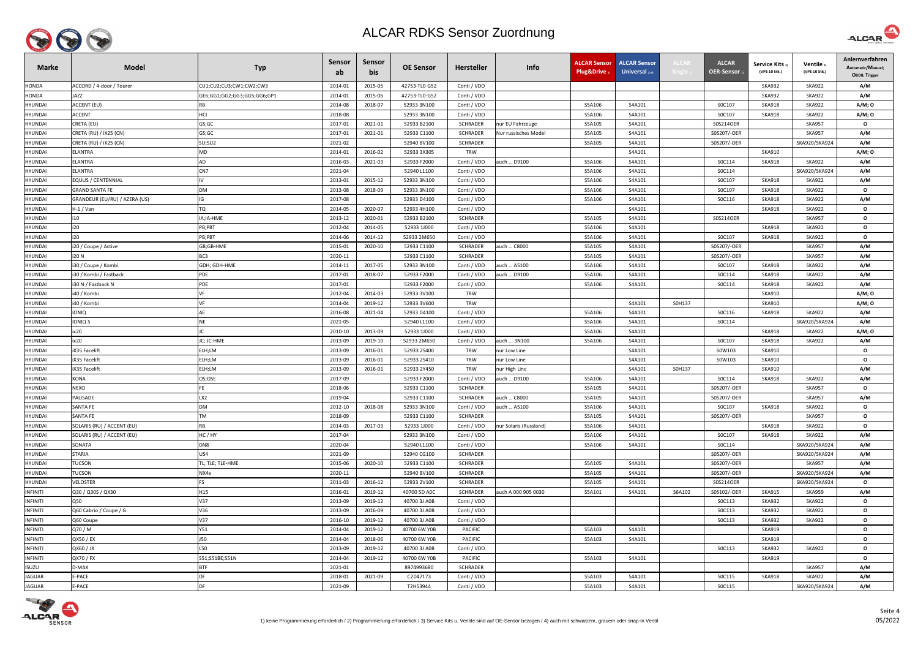

| <b>Marke</b>    | <b>Model</b>                  | <b>Typ</b>                  | <b>Sensor</b><br>ab | Sensor<br>bis | <b>OE Sensor</b> | Hersteller      | Info                   | <b>ALCAR Sensor</b><br>Plug&Drive 1 | <b>ALCAR Sensor</b><br>Universal $_{2/4}$ | <b>ALCAI</b> | <b>ALCAR</b><br>OER-Sensor | <b>Service Kits</b><br>(VPE 10 Stk.) | Ventile<br>(VPE 10 Stk.) | Anlernverfahren<br>Automatic/Manuel;<br>OBDII; Trigger |
|-----------------|-------------------------------|-----------------------------|---------------------|---------------|------------------|-----------------|------------------------|-------------------------------------|-------------------------------------------|--------------|----------------------------|--------------------------------------|--------------------------|--------------------------------------------------------|
| <b>HONDA</b>    | ACCORD / 4-door / Tourer      | CU1;CU2;CU3;CW1;CW2;CW3     | 2014-01             | 2015-05       | 42753-TL0-G52    | Conti / VDO     |                        |                                     |                                           |              |                            | <b>SKA932</b>                        | <b>SKA922</b>            | A/M                                                    |
| HONDA           | JAZZ                          | GE6;GG1;GG2;GG3;GG5;GG6;GP1 | 2014-01             | 2015-06       | 42753-TL0-G52    | Conti / VDO     |                        |                                     |                                           |              |                            | <b>SKA932</b>                        | <b>SKA922</b>            | A/M                                                    |
| <b>HYUNDAI</b>  | ACCENT (EU)                   | <b>RB</b>                   | 2014-08             | 2018-07       | 52933 3N100      | Conti / VDO     |                        | S5A106                              | S4A101                                    |              | S0C107                     | <b>SKA918</b>                        | <b>SKA922</b>            | A/M; 0                                                 |
| HYUNDAI         | ACCENT                        | HCI                         | 2018-08             |               | 52933 3N100      | Conti / VDO     |                        | S5A106                              | S4A101                                    |              | S0C107                     | <b>SKA918</b>                        | <b>SKA922</b>            | A/M; 0                                                 |
| <b>HYUNDAI</b>  | CRETA (EU)                    | GS;GC                       | 2017-01             | 2021-01       | 52933 B2100      | <b>SCHRADER</b> | nur EU Fahrzeuge       | S5A105                              | S4A101                                    |              | S0S214OER                  |                                      | <b>SKA957</b>            | $\mathbf{o}$                                           |
| <b>HYUNDAI</b>  | CRETA (RU) / iX25 (CN)        | GS;GC                       | 2017-01             | 2021-01       | 52933 C1100      | <b>SCHRADER</b> | Nur russisches Model   | S5A105                              | S4A101                                    |              | S0S207/-OER                |                                      | <b>SKA957</b>            | A/M                                                    |
| <b>HYUNDAI</b>  | CRETA (RU) / iX25 (CN)        | SU;SU2                      | 2021-02             |               | 52940 BV100      | SCHRADER        |                        | S5A105                              | S4A101                                    |              | S0S207/-OER                |                                      | SKA920/SKA924            | A/M                                                    |
| <b>HYUNDAI</b>  | ELANTRA                       | MD                          | 2014-01             | 2016-02       | 52933 3X305      | <b>TRW</b>      |                        |                                     | S4A101                                    |              |                            | <b>SKA910</b>                        |                          | A/M; 0                                                 |
| <b>HYUNDAI</b>  | ELANTRA                       | AD                          | 2016-03             | 2021-03       | 52933 F2000      | Conti / VDO     | auch  D9100            | S5A106                              | S4A101                                    |              | SOC114                     | <b>SKA918</b>                        | <b>SKA922</b>            | A/M                                                    |
| <b>HYUNDAI</b>  | ELANTRA                       | CN7                         | 2021-04             |               | 52940 L1100      | Conti / VDO     |                        | S5A106                              | S4A101                                    |              | SOC114                     |                                      | SKA920/SKA924            | A/M                                                    |
| HYUNDAI         | EQUUS / CENTENNIAL            |                             | 2013-01             | 2015-12       | 52933 3N100      | Conti / VDO     |                        | S5A106                              | S4A101                                    |              | S0C107                     | <b>SKA918</b>                        | <b>SKA922</b>            | A/M                                                    |
| <b>HYUNDAI</b>  | GRAND SANTA FE                | <b>DM</b>                   | 2013-08             | 2018-09       | 52933 3N100      | Conti / VDO     |                        | S5A106                              | S4A101                                    |              | S0C107                     | <b>SKA918</b>                        | <b>SKA922</b>            | $\mathbf{o}$                                           |
| <b>HYUNDAI</b>  | GRANDEUR (EU/RU) / AZERA (US) | IG                          | 2017-08             |               | 52933 D4100      | Conti / VDO     |                        | S5A106                              | S4A101                                    |              | SOC116                     | <b>SKA918</b>                        | <b>SKA922</b>            | A/M                                                    |
| <b>HYUNDAI</b>  | H-1 / Van                     | <b>TQ</b>                   | 2014-05             | 2020-07       | 52933 4H100      | Conti / VDO     |                        |                                     | S4A101                                    |              |                            | <b>SKA918</b>                        | <b>SKA922</b>            | $\mathbf{o}$                                           |
| <b>HYUNDAI</b>  | i10                           | IA;IA-HME                   | 2013-12             | 2020-01       | 52933 B2100      | <b>SCHRADER</b> |                        | S5A105                              | S4A101                                    |              | S0S214OER                  |                                      | <b>SKA957</b>            | $\mathbf{o}$                                           |
| <b>HYUNDAI</b>  | i20                           | PB;PBT                      | 2012-04             | 2014-05       | 52933 1J000      | Conti / VDO     |                        | S5A106                              | S4A101                                    |              |                            | <b>SKA918</b>                        | <b>SKA922</b>            | $\mathbf{o}$                                           |
| <b>HYUNDAI</b>  | i20                           | PB;PBT                      | 2014-06             | 2014-12       | 52933 2M650      | Conti / VDO     |                        | S5A106                              | S4A101                                    |              | S0C107                     | <b>SKA918</b>                        | <b>SKA922</b>            | $\mathbf{o}$                                           |
| HYUNDAI         | i20 / Coupe / Active          | GB;GB-HME                   | 2015-01             | 2020-10       | 52933 C1100      | SCHRADER        | auch  C8000            | S5A105                              | S4A101                                    |              | S0S207/-OER                |                                      | <b>SKA957</b>            | A/M                                                    |
| <b>HYUNDAI</b>  | i20 N                         | BC3                         | 2020-11             |               | 52933 C1100      | <b>SCHRADER</b> |                        | S5A105                              | S4A101                                    |              | S0S207/-OER                |                                      | <b>SKA957</b>            | A/M                                                    |
| HYUNDAI         | i30 / Coupe / Kombi           | GDH; GDH-HME                | 2014-11             | 2017-05       | 52933 3N100      | Conti / VDO     | auch  A5100            | S5A106                              | S4A101                                    |              | S0C107                     | <b>SKA918</b>                        | <b>SKA922</b>            | A/M                                                    |
| <b>HYUNDAI</b>  | i30 / Kombi / Fastback        | PDE                         | 2017-01             | 2018-07       | 52933 F2000      | Conti / VDO     | auch  D9100            | S5A106                              | S4A101                                    |              | S0C114                     | <b>SKA918</b>                        | <b>SKA922</b>            | A/M                                                    |
| <b>HYUNDAI</b>  | 30 N / Fastback N             | PDE                         | 2017-01             |               | 52933 F2000      | Conti / VDO     |                        | S5A106                              | S4A101                                    |              | SOC114                     | <b>SKA918</b>                        | <b>SKA922</b>            | A/M                                                    |
| <b>HYUNDAI</b>  | i40 / Kombi                   |                             | 2012-04             | 2014-03       | 52933 3V100      | TRW             |                        |                                     |                                           |              |                            | <b>SKA910</b>                        |                          | A/M; 0                                                 |
| <b>HYUNDAI</b>  | i40 / Kombi                   | VF                          | 2014-04             | 2019-12       | 52933 3V600      | <b>TRW</b>      |                        |                                     | S4A101                                    | S0H137       |                            | <b>SKA910</b>                        |                          | A/M; 0                                                 |
| <b>HYUNDAI</b>  | <b>IONIQ</b>                  | AE                          | 2016-08             | 2021-04       | 52933 D4100      | Conti / VDO     |                        | S5A106                              | S4A101                                    |              | SOC116                     | <b>SKA918</b>                        | <b>SKA922</b>            | A/M                                                    |
| <b>HYUNDAI</b>  | IONIQ 5                       | <b>NE</b>                   | 2021-05             |               | 52940 L1100      | Conti / VDO     |                        | S5A106                              | S4A101                                    |              | SOC114                     |                                      | SKA920/SKA924            | A/M                                                    |
| <b>HYUNDAI</b>  | ix20                          |                             | 2010-10             | 2013-09       | 52933 1J000      | Conti / VDO     |                        | S5A106                              | S4A101                                    |              |                            | <b>SKA918</b>                        | <b>SKA922</b>            | A/M; 0                                                 |
| <b>HYUNDAI</b>  | ix20                          | JC; JC-HME                  | 2013-09             | 2019-10       | 52933 2M650      | Conti / VDO     | auch  3N100            | S5A106                              | S4A101                                    |              | SOC107                     | <b>SKA918</b>                        | <b>SKA922</b>            | A/M                                                    |
| <b>HYUNDAI</b>  | iX35 Facelift                 | ELH;LM                      | 2013-09             | 2016-01       | 52933 2S400      | <b>TRW</b>      | nur Low Line           |                                     | S4A101                                    |              | S0W103                     | <b>SKA910</b>                        |                          | $\mathbf{o}$                                           |
| <b>HYUNDAI</b>  | <b>X35 Facelift</b>           | ELH;LM                      | 2013-09             | 2016-01       | 52933 2S410      | <b>TRW</b>      | nur Low Line           |                                     | S4A101                                    |              | S0W103                     | <b>SKA910</b>                        |                          | $\mathbf{o}$                                           |
| <b>HYUNDAI</b>  | iX35 Facelift                 | ELH;LM                      | 2013-09             | 2016-01       | 52933 2Y450      | <b>TRW</b>      | nur High Line          |                                     | S4A101                                    | S0H137       |                            | <b>SKA910</b>                        |                          | A/M                                                    |
| <b>HYUNDAI</b>  | KONA                          | OS;OSE                      | 2017-09             |               | 52933 F2000      | Conti / VDO     | auch  D9100            | S5A106                              | S4A101                                    |              | SOC114                     | SKA918                               | <b>SKA922</b>            | A/M                                                    |
| HYUNDAI         | NEXO                          |                             | 2018-06             |               | 52933 C1100      | <b>SCHRADER</b> |                        | S5A105                              | S4A101                                    |              | S0S207/-OER                |                                      | <b>SKA957</b>            | $\mathbf{o}$                                           |
| <b>HYUNDAI</b>  | PALISADE                      | LX <sub>2</sub>             | 2019-04             |               | 52933 C1100      | SCHRADER        | auch  C8000            | S5A105                              | S4A101                                    |              | S0S207/-OER                |                                      | <b>SKA957</b>            | A/M                                                    |
| <b>HYUNDAI</b>  | SANTA FE                      | <b>DM</b>                   | 2012-10             | 2018-08       | 52933 3N100      | Conti / VDO     | auch  A5100            | S5A106                              | S4A101                                    |              | S0C107                     | <b>SKA918</b>                        | <b>SKA922</b>            | $\mathbf{o}$                                           |
| <b>HYUNDAI</b>  | SANTA FE                      | <b>TM</b>                   | 2018-09             |               | 52933 C1100      | <b>SCHRADER</b> |                        | S5A105                              | S4A101                                    |              | S0S207/-OER                |                                      | <b>SKA957</b>            | $\mathbf{o}$                                           |
| <b>HYUNDAI</b>  | SOLARIS (RU) / ACCENT (EU)    | <b>RB</b>                   | 2014-03             | 2017-03       | 52933 1J000      | Conti / VDO     | nur Solaris (Russland) | S5A106                              | S4A101                                    |              |                            | <b>SKA918</b>                        | <b>SKA922</b>            | $\mathbf{o}$                                           |
| <b>HYUNDAI</b>  | SOLARIS (RU) / ACCENT (EU)    | HC/HY                       | 2017-04             |               | 52933 3N100      | Conti / VDO     |                        | S5A106                              | S4A101                                    |              | S0C107                     | <b>SKA918</b>                        | <b>SKA922</b>            | A/M                                                    |
| <b>HYUNDAI</b>  | SONATA                        | DN8                         | 2020-04             |               | 52940 L1100      | Conti / VDO     |                        | S5A106                              | S4A101                                    |              | SOC114                     |                                      | SKA920/SKA924            | A/M                                                    |
| <b>HYUNDAI</b>  | STARIA                        | US4                         | 2021-09             |               | 52940 CG100      | <b>SCHRADER</b> |                        |                                     |                                           |              | S0S207/-OER                |                                      | SKA920/SKA924            | A/M                                                    |
| <b>HYUNDAI</b>  | TUCSON                        | TL; TLE; TLE-HME            | 2015-06             | 2020-10       | 52933 C1100      | SCHRADER        |                        | S5A105                              | S4A101                                    |              | S0S207/-OER                |                                      | <b>SKA957</b>            | A/M                                                    |
| HYUNDAI         | <b>TUCSON</b>                 | NX4e                        | 2020-11             |               | 52940 BV100      | <b>SCHRADER</b> |                        | S5A105                              | S4A101                                    |              | S0S207/-OER                |                                      | SKA920/SKA924            | A/M                                                    |
| <b>HYUNDAI</b>  | VELOSTER                      | <b>FS</b>                   | 2011-03             | 2016-12       | 52933 2V100      | SCHRADER        |                        | S5A105                              | S4A101                                    |              | S0S214OER                  |                                      | SKA920/SKA924            | $\mathbf{o}$                                           |
| <b>INFINITI</b> | Q30 / Q30S / QX30             | H15                         | 2016-01             | 2019-12       | 40700 5D AOC     | SCHRADER        | auch A 000 905 0030    | S5A101                              | S4A101                                    | S6A102       | S0S102/-OER                | SKA915                               | <b>SKA959</b>            | A/M                                                    |
| <b>INFINITI</b> | Q50                           | V37                         | 2013-09             | 2019-12       | 40700 3J A0B     | Conti / VDO     |                        |                                     |                                           |              | SOC113                     | <b>SKA932</b>                        | <b>SKA922</b>            | $\mathbf{o}$                                           |
| <b>INFINITI</b> | Q60 Cabrio / Coupe / G        | V36                         | 2013-09             | 2016-09       | 40700 3J A0B     | Conti / VDO     |                        |                                     |                                           |              | SOC113                     | <b>SKA932</b>                        | <b>SKA922</b>            | $\mathbf{o}$                                           |
| <b>INFINITI</b> | Q60 Coupe                     | V37                         | 2016-10             | 2019-12       | 40700 3J A0B     | Conti / VDO     |                        |                                     |                                           |              | SOC113                     | <b>SKA932</b>                        | <b>SKA922</b>            | $\mathbf{o}$                                           |
| <b>INFINITI</b> | Q70 / M                       | Y51                         | 2014-04             | 2019-12       | 40700 6W Y0B     | <b>PACIFIC</b>  |                        | S5A103                              | S4A101                                    |              |                            | <b>SKA919</b>                        |                          | $\mathbf{o}$                                           |
| <b>INFINITI</b> | QX50 / EX                     | <b>J50</b>                  | 2014-04             | 2018-06       | 40700 6W Y0B     | <b>PACIFIC</b>  |                        | S5A103                              | S4A101                                    |              |                            | <b>SKA919</b>                        |                          | $\mathbf{o}$                                           |
| <b>INFINITI</b> | QX60 / JX                     | L50                         | 2013-09             | 2019-12       | 40700 3J A0B     | Conti / VDO     |                        |                                     |                                           |              | SOC113                     | <b>SKA932</b>                        | <b>SKA922</b>            | $\mathbf{o}$                                           |
| <b>INFINITI</b> | QX70 / FX                     | S51;S51BE;S51N              | 2014-04             | 2019-12       | 40700 6W Y0B     | PACIFIC         |                        | S5A103                              | S4A101                                    |              |                            | SKA919                               |                          | $\mathbf{o}$                                           |
| <b>ISUZU</b>    | D-MAX                         | <b>BTF</b>                  | 2021-01             |               | 8974993680       | <b>SCHRADER</b> |                        |                                     |                                           |              |                            |                                      | <b>SKA957</b>            | A/M                                                    |
| <b>JAGUAR</b>   | E-PACE                        | <b>DF</b>                   | 2018-01             | 2021-09       | C2D47173         | Conti / VDO     |                        | S5A103                              | S4A101                                    |              | SOC115                     | SKA918                               | <b>SKA922</b>            | A/M                                                    |
| <b>JAGUAR</b>   | E-PACE                        | <b>DF</b>                   | 2021-09             |               | T2H53944         | Conti / VDO     |                        | S5A103                              | S4A101                                    |              | SOC115                     |                                      | SKA920/SKA924            | A/M                                                    |



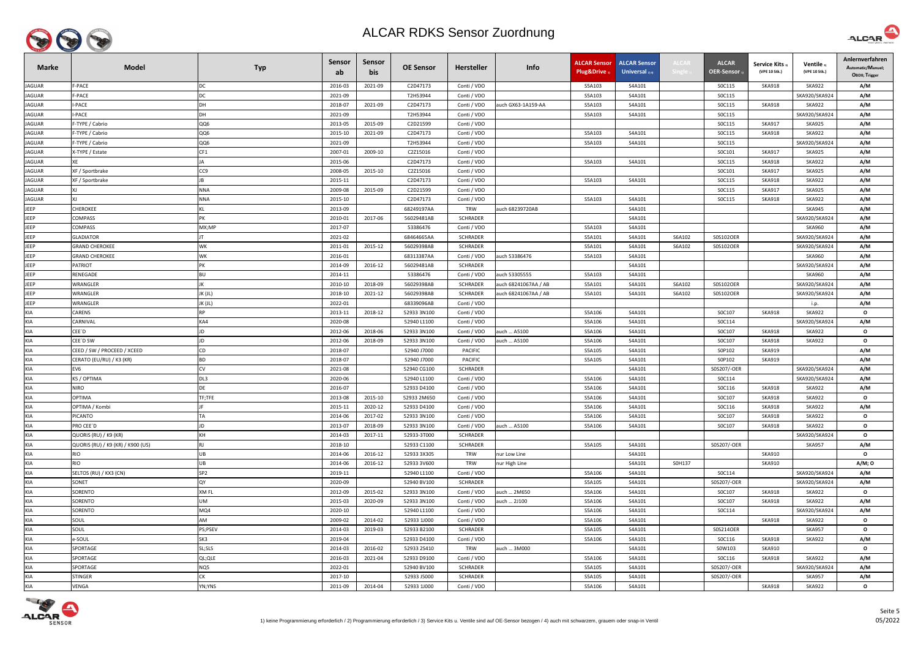

| <b>Marke</b>      | <b>Model</b>                      | <b>Typ</b>             | Sensor<br>ab       | <b>Sensor</b><br>bis | <b>OE Sensor</b>           | <b>Hersteller</b>       | Info                 | <b>ALCAR Sensor</b><br>Plug&Drive 1 | <b>ALCAR Sensor</b><br>Universal $_{2/4}$ | <b>ALCAI</b> | <b>ALCAR</b><br>OER-Sensor | <b>Service Kits</b><br>(VPE 10 Stk.) | Ventile<br>(VPE 10 Stk.) | Anlernverfahren<br>Automatic/Manuel;<br>OBDII; Trigger |
|-------------------|-----------------------------------|------------------------|--------------------|----------------------|----------------------------|-------------------------|----------------------|-------------------------------------|-------------------------------------------|--------------|----------------------------|--------------------------------------|--------------------------|--------------------------------------------------------|
| <b>JAGUAR</b>     | F-PACE                            | DC                     | 2016-03            | 2021-09              | C2D47173                   | Conti / VDO             |                      | S5A103                              | S4A101                                    |              | SOC115                     | <b>SKA918</b>                        | <b>SKA922</b>            | A/M                                                    |
| <b>JAGUAR</b>     | F-PACE                            | DC                     | 2021-09            |                      | T2H53944                   | Conti / VDO             |                      | S5A103                              | S4A101                                    |              | SOC115                     |                                      | SKA920/SKA924            | A/M                                                    |
| <b>JAGUAR</b>     | I-PACE                            | DH                     | 2018-07            | 2021-09              | C2D47173                   | Conti / VDO             | auch GX63-1A159-AA   | S5A103                              | S4A101                                    |              | SOC115                     | <b>SKA918</b>                        | <b>SKA922</b>            | A/M                                                    |
| <b>JAGUAR</b>     | -PACE                             | DH                     | 2021-09            |                      | T2H53944                   | Conti / VDO             |                      | S5A103                              | S4A101                                    |              | SOC115                     |                                      | SKA920/SKA924            | A/M                                                    |
| <b>JAGUAR</b>     | -TYPE / Cabrio                    | QQ6                    | 2013-05            | 2015-09              | C2D21599                   | Conti / VDO             |                      |                                     |                                           |              | SOC115                     | <b>SKA917</b>                        | <b>SKA925</b>            | A/M                                                    |
| <b>JAGUAR</b>     | -TYPE / Cabrio                    | QQ6                    | 2015-10            | 2021-09              | C2D47173                   | Conti / VDO             |                      | S5A103                              | S4A101                                    |              | SOC115                     | <b>SKA918</b>                        | <b>SKA922</b>            | A/M                                                    |
| <b>JAGUAR</b>     | F-TYPE / Cabrio                   | QQ6                    | 2021-09            |                      | T2H53944                   | Conti / VDO             |                      | S5A103                              | S4A101                                    |              | <b>SOC115</b>              |                                      | SKA920/SKA924            | A/M                                                    |
| <b>JAGUAR</b>     | X-TYPE / Estate                   | CF1                    | 2007-01            | 2009-10              | C2Z15016                   | Conti / VDO             |                      |                                     |                                           |              | SOC101                     | <b>SKA917</b>                        | <b>SKA925</b>            | A/M                                                    |
| <b>JAGUAR</b>     |                                   | <b>JA</b>              | 2015-06            |                      | C2D47173                   | Conti / VDO             |                      | S5A103                              | S4A101                                    |              | SOC115                     | <b>SKA918</b>                        | <b>SKA922</b>            | A/M                                                    |
| <b>JAGUAR</b>     | XF / Sportbrake                   | CC <sub>9</sub>        | 2008-05            | 2015-10              | C2Z15016                   | Conti / VDO             |                      |                                     |                                           |              | SOC101                     | <b>SKA917</b>                        | <b>SKA925</b>            | A/M                                                    |
| <b>JAGUAR</b>     | XF / Sportbrake                   |                        | 2015-11            |                      | C2D47173                   | Conti / VDO             |                      | S5A103                              | S4A101                                    |              | SOC115                     | <b>SKA918</b>                        | <b>SKA922</b>            | A/M                                                    |
| JAGUAR            |                                   | <b>NNA</b>             | 2009-08            | 2015-09              | C2D21599                   | Conti / VDO             |                      |                                     |                                           |              | SOC115                     | <b>SKA917</b>                        | <b>SKA925</b>            | A/M                                                    |
| JAGUAR            |                                   | <b>NNA</b>             | 2015-10            |                      | C2D47173                   | Conti / VDO             |                      | S5A103                              | S4A101                                    |              | SOC115                     | <b>SKA918</b>                        | <b>SKA922</b>            | A/M                                                    |
| JEEP              | <b>CHEROKEE</b>                   |                        | 2013-09            |                      | 68249197AA                 | <b>TRW</b>              | auch 68239720AB      |                                     | S4A101                                    |              |                            |                                      | <b>SKA945</b>            | A/M                                                    |
| JEEP              | COMPASS                           | PK                     | 2010-01            | 2017-06              | 56029481AB                 | <b>SCHRADER</b>         |                      |                                     | S4A101                                    |              |                            |                                      | SKA920/SKA924            | A/M                                                    |
| JEEP              | COMPASS                           | MX;MP                  | 2017-07            |                      | 53386476                   | Conti / VDO             |                      | S5A103                              | S4A101                                    |              |                            |                                      | <b>SKA960</b>            | A/M                                                    |
| JEEP              | <b>GLADIATOR</b>                  |                        | 2021-02            |                      | 68464665AA                 | <b>SCHRADER</b>         |                      | S5A101                              | S4A101                                    | S6A102       | S0S102OER                  |                                      | SKA920/SKA924            | A/M                                                    |
| <b>JEEP</b>       | <b>GRAND CHEROKEE</b>             | <b>WK</b>              | 2011-01            | 2015-12              | 56029398AB                 | SCHRADER                |                      | S5A101                              | S4A101                                    | S6A102       | S0S102OER                  |                                      | SKA920/SKA924            | A/M                                                    |
| JEEP              | <b>GRAND CHEROKEE</b>             | <b>WK</b>              | 2016-01            |                      | 68313387AA                 | Conti / VDO             | auch 53386476        | S5A103                              | S4A101                                    |              |                            |                                      | <b>SKA960</b>            | A/M                                                    |
| <b>JEEP</b>       | ATRIOT?                           | PK                     | 2014-09            | 2016-12              | 56029481AB                 | <b>SCHRADER</b>         |                      |                                     | S4A101                                    |              |                            |                                      | SKA920/SKA924            | A/M                                                    |
| JEEP              | RENEGADE                          | <b>BU</b>              | 2014-11            |                      | 53386476                   | Conti / VDO             | auch 53305555        | S5A103                              | S4A101                                    |              |                            |                                      | <b>SKA960</b>            | A/M                                                    |
| JEEP              | WRANGLER                          |                        | 2010-10            | 2018-09              | 56029398AB                 | <b>SCHRADER</b>         | auch 68241067AA / AB | S5A101                              | S4A101                                    | S6A102       | S0S102OER                  |                                      | SKA920/SKA924            | A/M                                                    |
| JEEP              | WRANGLER                          | JK (JL)                | 2018-10            | 2021-12              | 56029398AB                 | <b>SCHRADER</b>         | auch 68241067AA / AB | S5A101                              | S4A101                                    | S6A102       | S0S102OER                  |                                      | SKA920/SKA924            | A/M                                                    |
| JEEP              | WRANGLER                          | JK (JL)                | 2022-01            |                      | 68339096AB                 | Conti / VDO             |                      |                                     |                                           |              |                            |                                      | i.p.                     | A/M                                                    |
| <b>KIA</b>        | CARENS                            | <b>RP</b>              | 2013-11            | 2018-12              | 52933 3N100                | Conti / VDO             |                      | S5A106                              | S4A101                                    |              | S0C107                     | SKA918                               | <b>SKA922</b>            | $\mathbf{o}$                                           |
| <b>KIA</b>        | <b>ARNIVAL</b>                    | KA4                    | 2020-08            |                      | 52940 L1100                | Conti / VDO             |                      | S5A106                              | S4A101                                    |              | SOC114                     |                                      | SKA920/SKA924            | A/M                                                    |
| KIA               | CEE′D                             | JD                     | 2012-06            | 2018-06              | 52933 3N100                | Conti / VDO             | auch  A5100          | S5A106                              | S4A101                                    |              | S0C107                     | <b>SKA918</b>                        | SKA922                   | $\mathbf{o}$                                           |
| <b>KIA</b>        | CEE'D SW                          | JD                     | 2012-06            | 2018-09              | 52933 3N100                | Conti / VDO             | auch  A5100          | S5A106                              | S4A101                                    |              | S0C107                     | <b>SKA918</b>                        | <b>SKA922</b>            | $\mathbf{o}$                                           |
| <b>KIA</b>        | CEED / SW / PROCEED / XCEED       | CD                     | 2018-07            |                      | 52940 J7000                | <b>PACIFIC</b>          |                      | S5A105                              | S4A101                                    |              | S0P102                     | <b>SKA919</b>                        |                          | A/M                                                    |
| <b>KIA</b><br>KIA | CERATO (EU/RU) / K3 (KR)          | <b>BD</b><br><b>CV</b> | 2018-07            |                      | 52940 J7000<br>52940 CG100 | <b>PACIFIC</b>          |                      | S5A105                              | S4A101                                    |              | S0P102<br>S0S207/-OER      | <b>SKA919</b>                        | SKA920/SKA924            | A/M                                                    |
| KIA               | EV6<br>K5 / OPTIMA                | DL3                    | 2021-08<br>2020-06 |                      | 52940 L1100                | SCHRADER<br>Conti / VDO |                      | S5A106                              | S4A101<br>S4A101                          |              | SOC114                     |                                      | SKA920/SKA924            | A/M<br>A/M                                             |
| <b>KIA</b>        | VIRO                              | <b>DE</b>              | 2016-07            |                      | 52933 D4100                | Conti / VDO             |                      | S5A106                              | S4A101                                    |              | SOC116                     | <b>SKA918</b>                        | <b>SKA922</b>            | A/M                                                    |
| <b>KIA</b>        | <b>OPTIMA</b>                     | TF;TFE                 | 2013-08            | 2015-10              | 52933 2M650                | Conti / VDO             |                      | S5A106                              | S4A101                                    |              | S0C107                     | <b>SKA918</b>                        | <b>SKA922</b>            | $\mathbf{o}$                                           |
| <b>KIA</b>        | OPTIMA / Kombi                    |                        | 2015-11            | 2020-12              | 52933 D4100                | Conti / VDO             |                      | S5A106                              | S4A101                                    |              | SOC116                     | <b>SKA918</b>                        | <b>SKA922</b>            | A/M                                                    |
| <b>KIA</b>        | PICANTO                           | TA                     | 2014-06            | 2017-02              | 52933 3N100                | Conti / VDO             |                      | S5A106                              | S4A101                                    |              | S0C107                     | <b>SKA918</b>                        | <b>SKA922</b>            | $\mathbf{o}$                                           |
| <b>KIA</b>        | PRO CEE'D                         | JD                     | 2013-07            | 2018-09              | 52933 3N100                | Conti / VDO             | auch  A5100          | S5A106                              | S4A101                                    |              | S0C107                     | <b>SKA918</b>                        | <b>SKA922</b>            | $\mathbf{o}$                                           |
| <b>KIA</b>        | QUORIS (RU) / K9 (KR)             | KH                     | 2014-03            | 2017-11              | 52933-3T000                | <b>SCHRADER</b>         |                      |                                     |                                           |              |                            |                                      | SKA920/SKA924            | $\mathbf{o}$                                           |
| <b>KIA</b>        | QUORIS (RU) / K9 (KR) / K900 (US) | <b>RJ</b>              | 2018-10            |                      | 52933 C1100                | <b>SCHRADER</b>         |                      | S5A105                              | S4A101                                    |              | S0S207/-OER                |                                      | <b>SKA957</b>            | A/M                                                    |
| <b>KIA</b>        | rio                               | UB                     | 2014-06            | 2016-12              | 52933 3X305                | <b>TRW</b>              | nur Low Line         |                                     | S4A101                                    |              |                            | <b>SKA910</b>                        |                          | $\mathbf{o}$                                           |
| <b>KIA</b>        | RIO                               | UB                     | 2014-06            | 2016-12              | 52933 3V600                | <b>TRW</b>              | nur High Line        |                                     | S4A101                                    | S0H137       |                            | <b>SKA910</b>                        |                          | A/M; 0                                                 |
| <b>KIA</b>        | SELTOS (RU) / KX3 (CN)            | SP <sub>2</sub>        | 2019-11            |                      | 52940 L1100                | Conti / VDO             |                      | S5A106                              | S4A101                                    |              | SOC114                     |                                      | SKA920/SKA924            | A/M                                                    |
| <b>KIA</b>        | SONET                             | QY                     | 2020-09            |                      | 52940 BV100                | SCHRADER                |                      | S5A105                              | S4A101                                    |              | S0S207/-OER                |                                      | SKA920/SKA924            | A/M                                                    |
| <b>KIA</b>        | SORENTO                           | XM FL                  | 2012-09            | 2015-02              | 52933 3N100                | Conti / VDO             | auch  2M650          | S5A106                              | S4A101                                    |              | S0C107                     | <b>SKA918</b>                        | <b>SKA922</b>            | $\mathbf{o}$                                           |
| <b>KIA</b>        | SORENTO                           | UM                     | 2015-03            | 2020-09              | 52933 3N100                | Conti / VDO             | auch  2J100          | S5A106                              | S4A101                                    |              | SOC107                     | <b>SKA918</b>                        | <b>SKA922</b>            | A/M                                                    |
| <b>KIA</b>        | SORENTO                           | MQ4                    | 2020-10            |                      | 52940 L1100                | Conti / VDO             |                      | S5A106                              | S4A101                                    |              | SOC114                     |                                      | SKA920/SKA924            | A/M                                                    |
| <b>KIA</b>        | SOUL                              | AM                     | 2009-02            | 2014-02              | 52933 1J000                | Conti / VDO             |                      | S5A106                              | S4A101                                    |              |                            | <b>SKA918</b>                        | <b>SKA922</b>            | $\mathbf{o}$                                           |
| <b>KIA</b>        | SOUL                              | PS;PSEV                | 2014-03            | 2019-03              | 52933 B2100                | SCHRADER                |                      | S5A105                              | S4A101                                    |              | S0S214OER                  |                                      | <b>SKA957</b>            | $\mathbf{o}$                                           |
| <b>KIA</b>        | e-SOUL                            | SK3                    | 2019-04            |                      | 52933 D4100                | Conti / VDO             |                      | S5A106                              | S4A101                                    |              | SOC116                     | <b>SKA918</b>                        | <b>SKA922</b>            | A/M                                                    |
| <b>KIA</b>        | SPORTAGE                          | SL;SLS                 | 2014-03            | 2016-02              | 52933 2S410                | <b>TRW</b>              | auch  3M000          |                                     | S4A101                                    |              | S0W103                     | <b>SKA910</b>                        |                          | $\mathbf{o}$                                           |
| <b>KIA</b>        | SPORTAGE                          | QL;QLE                 | 2016-03            | 2021-04              | 52933 D9100                | Conti / VDO             |                      | S5A106                              | S4A101                                    |              | SOC116                     | <b>SKA918</b>                        | <b>SKA922</b>            | A/M                                                    |
| <b>KIA</b>        | SPORTAGE                          | NQ5                    | 2022-01            |                      | 52940 BV100                | SCHRADER                |                      | S5A105                              | S4A101                                    |              | S0S207/-OER                |                                      | SKA920/SKA924            | A/M                                                    |
| <b>KIA</b>        | <b>STINGER</b>                    | <b>CK</b>              | 2017-10            |                      | 52933 J5000                | SCHRADER                |                      | S5A105                              | S4A101                                    |              | S0S207/-OER                |                                      | <b>SKA957</b>            | A/M                                                    |
| KIA               | VENGA                             | YN;YNS                 | 2011-09            | 2014-04              | 52933 1J000                | Conti / VDO             |                      | S5A106                              | S4A101                                    |              |                            | <b>SKA918</b>                        | <b>SKA922</b>            | $\mathbf{o}$                                           |
|                   |                                   |                        |                    |                      |                            |                         |                      |                                     |                                           |              |                            |                                      |                          |                                                        |



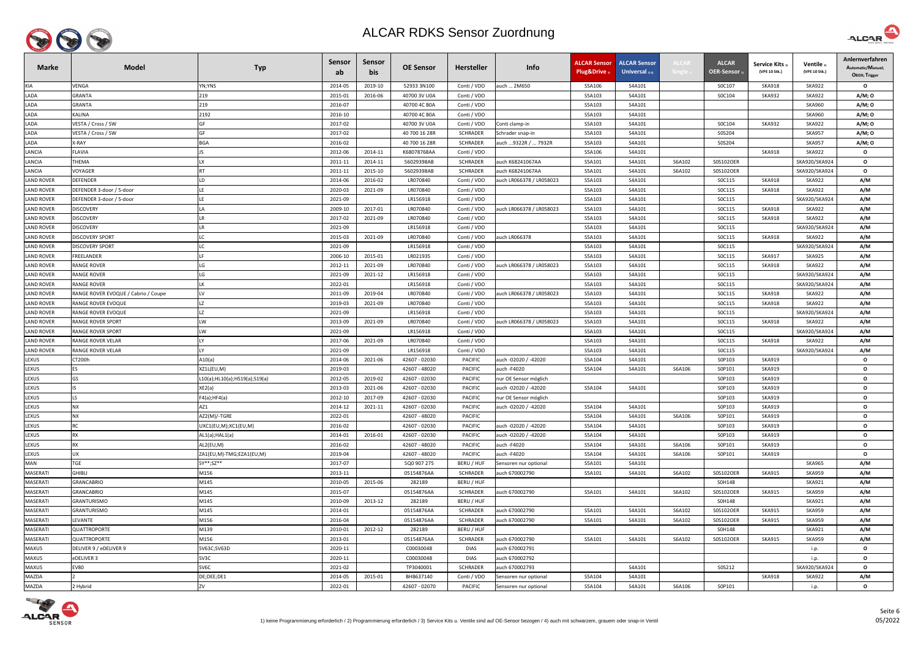

| <b>Marke</b>      | <b>Model</b>                        | <b>Typ</b>                    | Sensor<br>ab. | Sensor<br>bis | <b>OE Sensor</b> | <b>Hersteller</b> | Info                     | <b>ALCAR Sensor</b><br>Plug&Drive | <b>ALCAR Sensor</b><br>Universal $_{2/4}$ | <b>ALCAF</b> | <b>ALCAR</b><br>OER-Sensor, | <b>Service Kits</b><br>(VPE 10 Stk.) | Ventile<br>(VPE 10 Stk.) | Anlernverfahren<br>Automatic/Manuel;<br>OBDII; Trigger |
|-------------------|-------------------------------------|-------------------------------|---------------|---------------|------------------|-------------------|--------------------------|-----------------------------------|-------------------------------------------|--------------|-----------------------------|--------------------------------------|--------------------------|--------------------------------------------------------|
| KIA               | VENGA                               | YN;YNS                        | 2014-05       | 2019-10       | 52933 3N100      | Conti / VDO       | auch  2M650              | S5A106                            | S4A101                                    |              | S0C107                      | <b>SKA918</b>                        | <b>SKA922</b>            | $\mathbf{o}$                                           |
| LADA              | GRANTA                              | 219                           | 2015-01       | 2016-06       | 40700 3V U0A     | Conti / VDO       |                          | S5A103                            | S4A101                                    |              | SOC104                      | <b>SKA932</b>                        | <b>SKA922</b>            | A/M; 0                                                 |
| LADA              | GRANTA                              | 219                           | 2016-07       |               | 40700 4C B0A     | Conti / VDO       |                          | S5A103                            | S4A101                                    |              |                             |                                      | <b>SKA960</b>            | A/M; 0                                                 |
| LADA              | KALINA                              | 2192                          | 2016-10       |               | 40700 4C B0A     | Conti / VDO       |                          | S5A103                            | S4A101                                    |              |                             |                                      | <b>SKA960</b>            | A/M; O                                                 |
| LADA              | VESTA / Cross / SW                  | GF                            | 2017-02       |               | 40700 3V U0A     | Conti / VDO       | Conti clamp-in           | S5A103                            | S4A101                                    |              | S0C104                      | <b>SKA932</b>                        | <b>SKA922</b>            | A/M; 0                                                 |
| LADA              | VESTA / Cross / SW                  | GF                            | 2017-02       |               | 40 700 16 28R    | SCHRADER          | Schrader snap-in         | S5A103                            | S4A101                                    |              | S0S204                      |                                      | <b>SKA957</b>            | A/M; 0                                                 |
| LADA              | K-RAY                               | <b>BGA</b>                    | 2016-02       |               | 40 700 16 28R    | SCHRADER          | auch 9322R /  7932R      | S5A103                            | S4A101                                    |              | S0S204                      |                                      | <b>SKA957</b>            | A/M; 0                                                 |
| LANCIA            | FLAVIA                              |                               | 2012-06       | 2014-11       | K68078768AA      | Conti / VDO       |                          | S5A106                            | S4A101                                    |              |                             | <b>SKA918</b>                        | <b>SKA922</b>            | $\mathbf{o}$                                           |
| LANCIA            | THEMA                               | IX                            | 2011-11       | 2014-11       | 56029398AB       | SCHRADER          | auch K68241067AA         | S5A101                            | S4A101                                    | S6A102       | S0S102OER                   |                                      | SKA920/SKA924            | $\mathbf{o}$                                           |
| LANCIA            | VOYAGER                             | <b>RT</b>                     | 2011-11       | 2015-10       | 56029398AB       | <b>SCHRADER</b>   | auch K68241067AA         | S5A101                            | S4A101                                    | S6A102       | S0S102OER                   |                                      | SKA920/SKA924            | $\mathbf{o}$                                           |
| <b>LAND ROVER</b> | <b>DEFENDER</b>                     | LD                            | 2014-06       | 2016-02       | LR070840         | Conti / VDO       | auch LR066378 / LR058023 | S5A103                            | S4A101                                    |              | SOC115                      | <b>SKA918</b>                        | <b>SKA922</b>            | A/M                                                    |
| <b>LAND ROVER</b> | DEFENDER 3-door / 5-door            |                               | 2020-03       | 2021-09       | LR070840         | Conti / VDO       |                          | S5A103                            | S4A101                                    |              | SOC115                      | <b>SKA918</b>                        | <b>SKA922</b>            | A/M                                                    |
| <b>LAND ROVER</b> | DEFENDER 3-door / 5-door            |                               | 2021-09       |               | LR156918         | Conti / VDO       |                          | S5A103                            | S4A101                                    |              | SOC115                      |                                      | SKA920/SKA924            | A/M                                                    |
| <b>LAND ROVER</b> | DISCOVERY                           |                               | 2009-10       | 2017-01       | LR070840         | Conti / VDO       | auch LR066378 / LR058023 | S5A103                            | S4A101                                    |              | SOC115                      | SKA918                               | <b>SKA922</b>            | A/M                                                    |
| <b>LAND ROVER</b> | <b>DISCOVERY</b>                    |                               | 2017-02       | 2021-09       | LR070840         | Conti / VDO       |                          | S5A103                            | S4A101                                    |              | SOC115                      | <b>SKA918</b>                        | <b>SKA922</b>            | A/M                                                    |
| <b>LAND ROVER</b> | <b>DISCOVERY</b>                    |                               | 2021-09       |               | LR156918         | Conti / VDO       |                          | S5A103                            | S4A101                                    |              | SOC115                      |                                      | SKA920/SKA924            | A/M                                                    |
| <b>LAND ROVER</b> | <b>DISCOVERY SPORT</b>              |                               | 2015-03       | 2021-09       | LR070840         | Conti / VDO       | auch LR066378            | S5A103                            | S4A101                                    |              | SOC115                      | <b>SKA918</b>                        | <b>SKA922</b>            | A/M                                                    |
| <b>LAND ROVER</b> | DISCOVERY SPORT                     |                               | 2021-09       |               | LR156918         | Conti / VDO       |                          | S5A103                            | S4A101                                    |              | SOC115                      |                                      | SKA920/SKA924            | A/M                                                    |
| <b>LAND ROVER</b> | FREELANDER                          |                               | 2006-10       | 2015-01       | LR021935         | Conti / VDO       |                          | S5A103                            | S4A101                                    |              | SOC115                      | <b>SKA917</b>                        | <b>SKA925</b>            | A/M                                                    |
| <b>LAND ROVER</b> | RANGE ROVER                         | LG                            | 2012-11       | 2021-09       | LR070840         | Conti / VDO       | auch LR066378 / LR058023 | S5A103                            | S4A101                                    |              | SOC115                      | <b>SKA918</b>                        | <b>SKA922</b>            | A/M                                                    |
| <b>LAND ROVER</b> | RANGE ROVER                         | LG                            | 2021-09       | 2021-12       | LR156918         | Conti / VDO       |                          | S5A103                            | S4A101                                    |              | SOC115                      |                                      | SKA920/SKA924            | A/M                                                    |
| <b>LAND ROVER</b> | <b>RANGE ROVER</b>                  | LK                            | 2022-01       |               | LR156918         | Conti / VDO       |                          | S5A103                            | S4A101                                    |              | SOC115                      |                                      | SKA920/SKA924            | A/M                                                    |
| <b>LAND ROVER</b> | RANGE ROVER EVOQUE / Cabrio / Coupe | LV                            | 2011-09       | 2019-04       | LR070840         | Conti / VDO       | auch LR066378 / LR058023 | S5A103                            | S4A101                                    |              | SOC115                      | <b>SKA918</b>                        | <b>SKA922</b>            | A/M                                                    |
| <b>LAND ROVER</b> | RANGE ROVER EVOQUE                  | <b>LZ</b>                     | 2019-03       | 2021-09       | LR070840         | Conti / VDO       |                          | S5A103                            | S4A101                                    |              | SOC115                      | <b>SKA918</b>                        | <b>SKA922</b>            | A/M                                                    |
| <b>LAND ROVER</b> | RANGE ROVER EVOQUE                  |                               | 2021-09       |               | LR156918         | Conti / VDO       |                          | S5A103                            | S4A101                                    |              | SOC115                      |                                      | SKA920/SKA924            | A/M                                                    |
| <b>LAND ROVER</b> | <b>RANGE ROVER SPORT</b>            | LW                            | 2013-09       | 2021-09       | LR070840         | Conti / VDO       | auch LR066378 / LR058023 | S5A103                            | S4A101                                    |              | SOC115                      | <b>SKA918</b>                        | <b>SKA922</b>            | A/M                                                    |
| <b>LAND ROVER</b> | RANGE ROVER SPORT                   | LW                            | 2021-09       |               | LR156918         | Conti / VDO       |                          | S5A103                            | S4A101                                    |              | SOC115                      |                                      | SKA920/SKA924            | A/M                                                    |
| <b>LAND ROVER</b> | RANGE ROVER VELAR                   | IY.                           | 2017-06       | 2021-09       | LR070840         | Conti / VDO       |                          | S5A103                            | S4A101                                    |              | SOC115                      | <b>SKA918</b>                        | <b>SKA922</b>            | A/M                                                    |
| <b>LAND ROVER</b> | RANGE ROVER VELAR                   | IY.                           | 2021-09       |               | LR156918         | Conti / VDO       |                          | S5A103                            | S4A101                                    |              | SOC115                      |                                      | SKA920/SKA924            | A/M                                                    |
| LEXUS             | CT200h                              | A10(a)                        | 2014-06       | 2021-06       | 42607 - 02030    | <b>PACIFIC</b>    | auch -02020 / -42020     | S5A104                            | S4A101                                    |              | S0P103                      | <b>SKA919</b>                        |                          | $\mathbf{o}$                                           |
| LEXUS             | <b>ES</b>                           | XZ1L(EU,M)                    | 2019-03       |               | 42607 - 48020    | PACIFIC           | auch -F4020              | S5A104                            | S4A101                                    | S6A106       | S0P101                      | <b>SKA919</b>                        |                          | $\mathbf{o}$                                           |
| <b>LEXUS</b>      | GS                                  | L10(a);HL10(a);HS19(a);S19(a) | 2012-05       | 2019-02       | 42607 - 02030    | <b>PACIFIC</b>    | nur OE Sensor möglich    |                                   |                                           |              | S0P103                      | <b>SKA919</b>                        |                          | $\mathbf{o}$                                           |
| LEXUS             | IS.                                 | XE2(a)                        | 2013-03       | 2021-06       | 42607 - 02030    | <b>PACIFIC</b>    | auch -02020 / -42020     | S5A104                            | S4A101                                    |              | S0P103                      | <b>SKA919</b>                        |                          | $\mathbf{o}$                                           |
| LEXUS             | LS.                                 | F4(a); HF4(a)                 | 2012-10       | 2017-09       | 42607 - 02030    | PACIFIC           | nur OE Sensor möglich    |                                   |                                           |              | S0P103                      | <b>SKA919</b>                        |                          | $\mathbf{o}$                                           |
| LEXUS             | <b>NX</b>                           | AZ1                           | 2014-12       | 2021-11       | 42607 - 02030    | PACIFIC           | auch -02020 / -42020     | S5A104                            | S4A101                                    |              | S0P103                      | SKA919                               |                          | $\mathbf{o}$                                           |
| LEXUS             | <b>NX</b>                           | AZ2(M)/-TGRE                  | 2022-01       |               | 42607 - 48020    | <b>PACIFIC</b>    |                          | S5A104                            | S4A101                                    | S6A106       | S0P101                      | <b>SKA919</b>                        |                          | $\mathbf{o}$                                           |
| LEXUS             | <b>RC</b>                           | UXC1(EU,M);XC1(EU,M)          | 2016-02       |               | 42607 - 02030    | <b>PACIFIC</b>    | auch -02020 / -42020     | S5A104                            | S4A101                                    |              | S0P103                      | <b>SKA919</b>                        |                          | $\mathbf{o}$                                           |
| LEXUS             | <b>RX</b>                           | AL1(a); HAL1(a)               | 2014-01       | 2016-01       | 42607 - 02030    | PACIFIC           | auch -02020 / -42020     | S5A104                            | S4A101                                    |              | S0P103                      | <b>SKA919</b>                        |                          | $\mathbf{o}$                                           |
| LEXUS             | <b>RX</b>                           | AL2(EU,M)                     | 2016-02       |               | 42607 - 48020    | PACIFIC           | auch -F4020              | S5A104                            | S4A101                                    | S6A106       | S0P101                      | <b>SKA919</b>                        |                          | $\mathbf{o}$                                           |
| LEXUS             | <b>UX</b>                           | ZA1(EU,M)-TMG;EZA1(EU,M)      | 2019-04       |               | 42607 - 48020    | <b>PACIFIC</b>    | auch -F4020              | S5A104                            | S4A101                                    | S6A106       | S0P101                      | <b>SKA919</b>                        |                          | $\mathbf{o}$                                           |
| <b>MAN</b>        | TGE                                 | SY**;SZ**                     | 2017-07       |               | 5Q0 907 275      | BERU / HUF        | Sensoren nur optional    | S5A101                            | S4A101                                    |              |                             |                                      | <b>SKA965</b>            | A/M                                                    |
| MASERATI          | <b>GHIBLI</b>                       | M156                          | 2013-11       |               | 05154876AA       | <b>SCHRADER</b>   | auch 670002790           | S5A101                            | S4A101                                    | S6A102       | S0S102OER                   | <b>SKA915</b>                        | <b>SKA959</b>            | A/M                                                    |
| MASERATI          | <b>GRANCABRIO</b>                   | M145                          | 2010-05       | 2015-06       | 282189           | BERU / HUF        |                          |                                   |                                           |              | S0H148                      |                                      | <b>SKA921</b>            | A/M                                                    |
| MASERATI          | <b>GRANCABRIO</b>                   | M145                          | 2015-07       |               | 05154876AA       | SCHRADER          | auch 670002790           | S5A101                            | S4A101                                    | S6A102       | S0S102OER                   | <b>SKA915</b>                        | <b>SKA959</b>            | A/M                                                    |
| MASERATI          | GRANTURISMO                         | M145                          | 2010-09       | 2013-12       | 282189           | BERU / HUF        |                          |                                   |                                           |              | S0H148                      |                                      | <b>SKA921</b>            | A/M                                                    |
| MASERATI          | GRANTURISMO                         | M145                          | 2014-01       |               | 05154876AA       | <b>SCHRADER</b>   | auch 670002790           | S5A101                            | S4A101                                    | S6A102       | S0S102OER                   | <b>SKA915</b>                        | <b>SKA959</b>            | A/M                                                    |
| MASERATI          | LEVANTE                             | M156                          | 2016-04       |               | 05154876AA       | <b>SCHRADER</b>   | auch 670002790           | S5A101                            | S4A101                                    | S6A102       | S0S102OER                   | <b>SKA915</b>                        | <b>SKA959</b>            | A/M                                                    |
| MASERATI          | <b>QUATTROPORTE</b>                 | M139                          | 2010-01       | 2012-12       | 282189           | BERU / HUF        |                          |                                   |                                           |              | S0H148                      |                                      | <b>SKA921</b>            | A/M                                                    |
| MASERATI          | QUATTROPORTE                        | M156                          | 2013-01       |               | 05154876AA       | SCHRADER          | auch 670002790           | S5A101                            | S4A101                                    | S6A102       | S0S102OER                   | <b>SKA915</b>                        | <b>SKA959</b>            | A/M                                                    |
| MAXUS             | DELIVER 9 / eDELIVER 9              | SV63C;SV63D                   | 2020-11       |               | C00030048        | <b>DIAS</b>       | auch 670002791           |                                   |                                           |              |                             |                                      | i.p.                     | $\mathbf{o}$                                           |
| MAXUS             | eDELIVER 3                          | SV3C                          | 2020-11       |               | C00030048        | <b>DIAS</b>       | auch 670002792           |                                   |                                           |              |                             |                                      | i.p.                     | $\mathbf{o}$                                           |
| MAXUS             | <b>EV80</b>                         | SV6C                          | 2021-02       |               | TP3040001        | <b>SCHRADER</b>   | auch 670002793           |                                   | S4A101                                    |              | S0S212                      |                                      | SKA920/SKA924            | $\mathbf{o}$                                           |
| <b>MAZDA</b>      |                                     | DE;DEE;DE1                    | 2014-05       | 2015-01       | BHB637140        | Conti / VDO       | Sensoren nur optional    | S5A104                            | S4A101                                    |              |                             | <b>SKA918</b>                        | <b>SKA922</b>            | A/M                                                    |
| MAZDA             | 2 Hybrid                            | ZV                            | 2022-01       |               | 42607 - 02070    | PACIFIC           | Sensoren nur optional    | S5A104                            | S4A101                                    | S6A106       | S0P101                      |                                      | i.p.                     | $\mathbf{o}$                                           |



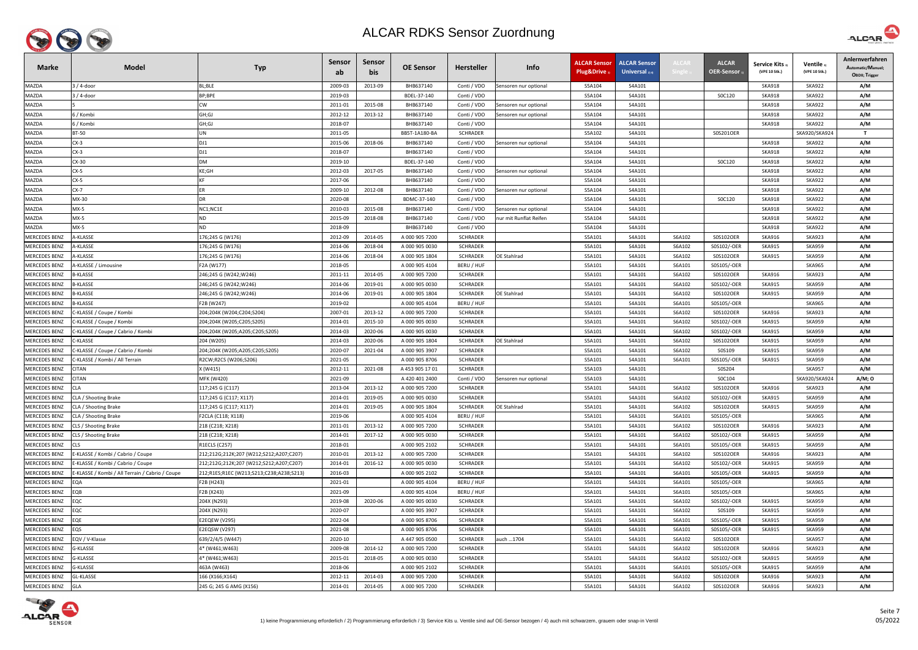

| $3/4$ -door<br>2013-09<br>MAZDA<br>BL;BLE<br>2009-03<br>BHB637140<br>Conti / VDO<br>S5A104<br>S4A101<br><b>SKA918</b><br><b>SKA922</b><br>Sensoren nur optional<br>$3/4$ -door<br>BP;BPE<br>2019-03<br>BDEL-37-140<br>S5A104<br>S4A101<br>SOC120<br><b>SKA918</b><br><b>SKA922</b><br>MAZDA<br>Conti / VDO<br><b>CW</b><br>2011-01<br>2015-08<br>BHB637140<br><b>SKA918</b><br><b>SKA922</b><br>MAZDA<br>Conti / VDO<br>S5A104<br>S4A101<br>Sensoren nur optional<br>GH;GJ<br>2012-12<br>2013-12<br>BHB637140<br>S5A104<br>S4A101<br><b>SKA918</b><br><b>SKA922</b><br>MAZDA<br>ה / Kombi<br>Conti / VDO<br>Sensoren nur optional<br>GH;GJ<br>2018-07<br>BHB637140<br>S5A104<br><b>SKA918</b><br><b>SKA922</b><br>MAZDA<br>6 / Kombi<br>Conti / VDO<br>S4A101<br><b>BT-50</b><br>2011-05<br>BB5T-1A180-BA<br><b>SCHRADER</b><br>S4A101<br>S0S201OER<br>SKA920/SKA924<br>MAZDA<br>UN<br>S5A102<br>$CX-3$<br>2018-06<br>BHB637140<br><b>SKA918</b><br>MAZDA<br>DJ1<br>2015-06<br>Conti / VDO<br>S5A104<br>S4A101<br><b>SKA922</b><br>Sensoren nur optional<br>2018-07<br>MAZDA<br>$CX-3$<br>DJ1<br>BHB637140<br>Conti / VDO<br>S5A104<br>S4A101<br><b>SKA918</b><br><b>SKA922</b><br><b>DM</b><br>SOC120<br>MAZDA<br>CX-30<br>2019-10<br>BDEL-37-140<br>S5A104<br>S4A101<br><b>SKA918</b><br><b>SKA922</b><br>Conti / VDO<br>KE;GH<br>BHB637140<br><b>MAZDA</b><br>$CX-5$<br>2012-03<br>2017-05<br>S5A104<br>S4A101<br><b>SKA918</b><br><b>SKA922</b><br>Conti / VDO<br>Sensoren nur optional<br>$CX-5$<br><b>KF</b><br>2017-06<br>BHB637140<br>S4A101<br><b>SKA918</b><br><b>SKA922</b><br>MAZDA<br>Conti / VDO<br>S5A104<br><b>MAZDA</b><br>$CX-7$<br>2009-10<br>2012-08<br>BHB637140<br>Conti / VDO<br>S5A104<br>S4A101<br><b>SKA918</b><br><b>SKA922</b><br>Sensoren nur optional<br>MX-30<br><b>DR</b><br>2020-08<br>SOC120<br><b>SKA918</b><br><b>SKA922</b><br>MAZDA<br>BDMC-37-140<br>Conti / VDO<br>S5A104<br>S4A101<br>$MX-5$<br>2010-03<br>2015-08<br>BHB637140<br>MAZDA<br>NC1;NC1E<br>Conti / VDO<br>S5A104<br>S4A101<br><b>SKA918</b><br><b>SKA922</b><br>Sensoren nur optional<br>$MX-5$<br><b>ND</b><br>2015-09<br>2018-08<br>BHB637140<br>Conti / VDO<br>S4A101<br><b>SKA918</b><br><b>SKA922</b><br>MAZDA<br>nur mit Runflat Reifen<br>S5A104<br>$MX-5$<br>MAZDA<br><b>ND</b><br>2018-09<br>BHB637140<br>Conti / VDO<br>S5A104<br>S4A101<br><b>SKA918</b><br><b>SKA922</b><br><b>MERCEDES BENZ</b><br>A-KLASSE<br>2012-09<br>2014-05<br>A 000 905 7200<br>S6A102<br>S0S102OER<br>176;245 G (W176)<br><b>SCHRADER</b><br>S5A101<br>S4A101<br><b>SKA916</b><br><b>SKA923</b><br>MERCEDES BENZ<br><b>\-KLASSE</b><br>2014-06<br>2018-04<br>A 000 905 0030<br>S5A101<br>S4A101<br>S6A102<br>S0S102/-OER<br><b>SKA915</b><br><b>SKA959</b><br>l76;245 G (W176)<br><b>SCHRADER</b><br><b>MERCEDES BENZ</b><br><b>A-KLASSE</b><br>2014-06<br>2018-04<br>A 000 905 1804<br><b>SCHRADER</b><br>OE Stahlrad<br>S5A101<br>S4A101<br>S6A102<br>S0S102OER<br><b>SKA915</b><br><b>SKA959</b><br>176;245 G (W176) | Automatic/Manuel;<br>OBDII; Trigger |
|--------------------------------------------------------------------------------------------------------------------------------------------------------------------------------------------------------------------------------------------------------------------------------------------------------------------------------------------------------------------------------------------------------------------------------------------------------------------------------------------------------------------------------------------------------------------------------------------------------------------------------------------------------------------------------------------------------------------------------------------------------------------------------------------------------------------------------------------------------------------------------------------------------------------------------------------------------------------------------------------------------------------------------------------------------------------------------------------------------------------------------------------------------------------------------------------------------------------------------------------------------------------------------------------------------------------------------------------------------------------------------------------------------------------------------------------------------------------------------------------------------------------------------------------------------------------------------------------------------------------------------------------------------------------------------------------------------------------------------------------------------------------------------------------------------------------------------------------------------------------------------------------------------------------------------------------------------------------------------------------------------------------------------------------------------------------------------------------------------------------------------------------------------------------------------------------------------------------------------------------------------------------------------------------------------------------------------------------------------------------------------------------------------------------------------------------------------------------------------------------------------------------------------------------------------------------------------------------------------------------------------------------------------------------------------------------------------------------------------------------------------------------------------------------------------------------------------------------------------------------------------------------------------------------------------------------------------------------------------------------------------------------|-------------------------------------|
|                                                                                                                                                                                                                                                                                                                                                                                                                                                                                                                                                                                                                                                                                                                                                                                                                                                                                                                                                                                                                                                                                                                                                                                                                                                                                                                                                                                                                                                                                                                                                                                                                                                                                                                                                                                                                                                                                                                                                                                                                                                                                                                                                                                                                                                                                                                                                                                                                                                                                                                                                                                                                                                                                                                                                                                                                                                                                                                                                                                                                    | A/M                                 |
|                                                                                                                                                                                                                                                                                                                                                                                                                                                                                                                                                                                                                                                                                                                                                                                                                                                                                                                                                                                                                                                                                                                                                                                                                                                                                                                                                                                                                                                                                                                                                                                                                                                                                                                                                                                                                                                                                                                                                                                                                                                                                                                                                                                                                                                                                                                                                                                                                                                                                                                                                                                                                                                                                                                                                                                                                                                                                                                                                                                                                    | A/M                                 |
|                                                                                                                                                                                                                                                                                                                                                                                                                                                                                                                                                                                                                                                                                                                                                                                                                                                                                                                                                                                                                                                                                                                                                                                                                                                                                                                                                                                                                                                                                                                                                                                                                                                                                                                                                                                                                                                                                                                                                                                                                                                                                                                                                                                                                                                                                                                                                                                                                                                                                                                                                                                                                                                                                                                                                                                                                                                                                                                                                                                                                    | A/M                                 |
|                                                                                                                                                                                                                                                                                                                                                                                                                                                                                                                                                                                                                                                                                                                                                                                                                                                                                                                                                                                                                                                                                                                                                                                                                                                                                                                                                                                                                                                                                                                                                                                                                                                                                                                                                                                                                                                                                                                                                                                                                                                                                                                                                                                                                                                                                                                                                                                                                                                                                                                                                                                                                                                                                                                                                                                                                                                                                                                                                                                                                    | A/M                                 |
|                                                                                                                                                                                                                                                                                                                                                                                                                                                                                                                                                                                                                                                                                                                                                                                                                                                                                                                                                                                                                                                                                                                                                                                                                                                                                                                                                                                                                                                                                                                                                                                                                                                                                                                                                                                                                                                                                                                                                                                                                                                                                                                                                                                                                                                                                                                                                                                                                                                                                                                                                                                                                                                                                                                                                                                                                                                                                                                                                                                                                    | A/M                                 |
|                                                                                                                                                                                                                                                                                                                                                                                                                                                                                                                                                                                                                                                                                                                                                                                                                                                                                                                                                                                                                                                                                                                                                                                                                                                                                                                                                                                                                                                                                                                                                                                                                                                                                                                                                                                                                                                                                                                                                                                                                                                                                                                                                                                                                                                                                                                                                                                                                                                                                                                                                                                                                                                                                                                                                                                                                                                                                                                                                                                                                    | $\mathbf{T}$                        |
|                                                                                                                                                                                                                                                                                                                                                                                                                                                                                                                                                                                                                                                                                                                                                                                                                                                                                                                                                                                                                                                                                                                                                                                                                                                                                                                                                                                                                                                                                                                                                                                                                                                                                                                                                                                                                                                                                                                                                                                                                                                                                                                                                                                                                                                                                                                                                                                                                                                                                                                                                                                                                                                                                                                                                                                                                                                                                                                                                                                                                    | A/M                                 |
|                                                                                                                                                                                                                                                                                                                                                                                                                                                                                                                                                                                                                                                                                                                                                                                                                                                                                                                                                                                                                                                                                                                                                                                                                                                                                                                                                                                                                                                                                                                                                                                                                                                                                                                                                                                                                                                                                                                                                                                                                                                                                                                                                                                                                                                                                                                                                                                                                                                                                                                                                                                                                                                                                                                                                                                                                                                                                                                                                                                                                    | A/M                                 |
|                                                                                                                                                                                                                                                                                                                                                                                                                                                                                                                                                                                                                                                                                                                                                                                                                                                                                                                                                                                                                                                                                                                                                                                                                                                                                                                                                                                                                                                                                                                                                                                                                                                                                                                                                                                                                                                                                                                                                                                                                                                                                                                                                                                                                                                                                                                                                                                                                                                                                                                                                                                                                                                                                                                                                                                                                                                                                                                                                                                                                    | A/M                                 |
|                                                                                                                                                                                                                                                                                                                                                                                                                                                                                                                                                                                                                                                                                                                                                                                                                                                                                                                                                                                                                                                                                                                                                                                                                                                                                                                                                                                                                                                                                                                                                                                                                                                                                                                                                                                                                                                                                                                                                                                                                                                                                                                                                                                                                                                                                                                                                                                                                                                                                                                                                                                                                                                                                                                                                                                                                                                                                                                                                                                                                    | A/M                                 |
|                                                                                                                                                                                                                                                                                                                                                                                                                                                                                                                                                                                                                                                                                                                                                                                                                                                                                                                                                                                                                                                                                                                                                                                                                                                                                                                                                                                                                                                                                                                                                                                                                                                                                                                                                                                                                                                                                                                                                                                                                                                                                                                                                                                                                                                                                                                                                                                                                                                                                                                                                                                                                                                                                                                                                                                                                                                                                                                                                                                                                    | A/M                                 |
|                                                                                                                                                                                                                                                                                                                                                                                                                                                                                                                                                                                                                                                                                                                                                                                                                                                                                                                                                                                                                                                                                                                                                                                                                                                                                                                                                                                                                                                                                                                                                                                                                                                                                                                                                                                                                                                                                                                                                                                                                                                                                                                                                                                                                                                                                                                                                                                                                                                                                                                                                                                                                                                                                                                                                                                                                                                                                                                                                                                                                    | A/M                                 |
|                                                                                                                                                                                                                                                                                                                                                                                                                                                                                                                                                                                                                                                                                                                                                                                                                                                                                                                                                                                                                                                                                                                                                                                                                                                                                                                                                                                                                                                                                                                                                                                                                                                                                                                                                                                                                                                                                                                                                                                                                                                                                                                                                                                                                                                                                                                                                                                                                                                                                                                                                                                                                                                                                                                                                                                                                                                                                                                                                                                                                    | A/M                                 |
|                                                                                                                                                                                                                                                                                                                                                                                                                                                                                                                                                                                                                                                                                                                                                                                                                                                                                                                                                                                                                                                                                                                                                                                                                                                                                                                                                                                                                                                                                                                                                                                                                                                                                                                                                                                                                                                                                                                                                                                                                                                                                                                                                                                                                                                                                                                                                                                                                                                                                                                                                                                                                                                                                                                                                                                                                                                                                                                                                                                                                    | A/M                                 |
|                                                                                                                                                                                                                                                                                                                                                                                                                                                                                                                                                                                                                                                                                                                                                                                                                                                                                                                                                                                                                                                                                                                                                                                                                                                                                                                                                                                                                                                                                                                                                                                                                                                                                                                                                                                                                                                                                                                                                                                                                                                                                                                                                                                                                                                                                                                                                                                                                                                                                                                                                                                                                                                                                                                                                                                                                                                                                                                                                                                                                    | A/M                                 |
|                                                                                                                                                                                                                                                                                                                                                                                                                                                                                                                                                                                                                                                                                                                                                                                                                                                                                                                                                                                                                                                                                                                                                                                                                                                                                                                                                                                                                                                                                                                                                                                                                                                                                                                                                                                                                                                                                                                                                                                                                                                                                                                                                                                                                                                                                                                                                                                                                                                                                                                                                                                                                                                                                                                                                                                                                                                                                                                                                                                                                    | A/M                                 |
|                                                                                                                                                                                                                                                                                                                                                                                                                                                                                                                                                                                                                                                                                                                                                                                                                                                                                                                                                                                                                                                                                                                                                                                                                                                                                                                                                                                                                                                                                                                                                                                                                                                                                                                                                                                                                                                                                                                                                                                                                                                                                                                                                                                                                                                                                                                                                                                                                                                                                                                                                                                                                                                                                                                                                                                                                                                                                                                                                                                                                    | A/M                                 |
|                                                                                                                                                                                                                                                                                                                                                                                                                                                                                                                                                                                                                                                                                                                                                                                                                                                                                                                                                                                                                                                                                                                                                                                                                                                                                                                                                                                                                                                                                                                                                                                                                                                                                                                                                                                                                                                                                                                                                                                                                                                                                                                                                                                                                                                                                                                                                                                                                                                                                                                                                                                                                                                                                                                                                                                                                                                                                                                                                                                                                    | A/M                                 |
|                                                                                                                                                                                                                                                                                                                                                                                                                                                                                                                                                                                                                                                                                                                                                                                                                                                                                                                                                                                                                                                                                                                                                                                                                                                                                                                                                                                                                                                                                                                                                                                                                                                                                                                                                                                                                                                                                                                                                                                                                                                                                                                                                                                                                                                                                                                                                                                                                                                                                                                                                                                                                                                                                                                                                                                                                                                                                                                                                                                                                    | A/M                                 |
| <b>MERCEDES BENZ</b><br><b>A-KLASSE / Limousine</b><br>2018-05<br>S0S105/-OER<br><b>SKA965</b><br>F2A (W177)<br>A 000 905 4104<br>BERU / HUF<br>S5A101<br>S4A101<br>S6A101                                                                                                                                                                                                                                                                                                                                                                                                                                                                                                                                                                                                                                                                                                                                                                                                                                                                                                                                                                                                                                                                                                                                                                                                                                                                                                                                                                                                                                                                                                                                                                                                                                                                                                                                                                                                                                                                                                                                                                                                                                                                                                                                                                                                                                                                                                                                                                                                                                                                                                                                                                                                                                                                                                                                                                                                                                         | A/M                                 |
| <b>MERCEDES BENZ</b><br>3-KLASSE<br>2014-05<br>A 000 905 7200<br>S0S102OER<br><b>SKA916</b><br>246;245 G (W242;W246)<br>2011-11<br>SCHRADER<br>S5A101<br>S4A101<br>S6A102<br><b>SKA923</b>                                                                                                                                                                                                                                                                                                                                                                                                                                                                                                                                                                                                                                                                                                                                                                                                                                                                                                                                                                                                                                                                                                                                                                                                                                                                                                                                                                                                                                                                                                                                                                                                                                                                                                                                                                                                                                                                                                                                                                                                                                                                                                                                                                                                                                                                                                                                                                                                                                                                                                                                                                                                                                                                                                                                                                                                                         | A/M                                 |
| MERCEDES BENZ<br>-KLASSE<br>2014-06<br>2019-01<br>A 000 905 0030<br><b>SCHRADER</b><br>S5A101<br>S4A101<br>S6A102<br>S0S102/-OER<br><b>SKA915</b><br><b>SKA959</b><br>246;245 G (W242;W246)                                                                                                                                                                                                                                                                                                                                                                                                                                                                                                                                                                                                                                                                                                                                                                                                                                                                                                                                                                                                                                                                                                                                                                                                                                                                                                                                                                                                                                                                                                                                                                                                                                                                                                                                                                                                                                                                                                                                                                                                                                                                                                                                                                                                                                                                                                                                                                                                                                                                                                                                                                                                                                                                                                                                                                                                                        | A/M                                 |
| MERCEDES BENZ<br>}-KLASSE<br>2014-06<br>2019-01<br>A 000 905 1804<br><b>SCHRADER</b><br>OE Stahlrad<br>S5A101<br>S4A101<br>S6A102<br>S0S102OER<br><b>SKA915</b><br><b>SKA959</b><br>246;245 G (W242;W246)                                                                                                                                                                                                                                                                                                                                                                                                                                                                                                                                                                                                                                                                                                                                                                                                                                                                                                                                                                                                                                                                                                                                                                                                                                                                                                                                                                                                                                                                                                                                                                                                                                                                                                                                                                                                                                                                                                                                                                                                                                                                                                                                                                                                                                                                                                                                                                                                                                                                                                                                                                                                                                                                                                                                                                                                          | A/M                                 |
| <b>MERCEDES BENZ</b><br>S0S105/-OER<br><b>SKA965</b><br><b>-KLASSE</b><br>F2B (W247)<br>2019-02<br>A 000 905 4104<br>BERU / HUF<br>S5A101<br>S4A101<br>S6A101                                                                                                                                                                                                                                                                                                                                                                                                                                                                                                                                                                                                                                                                                                                                                                                                                                                                                                                                                                                                                                                                                                                                                                                                                                                                                                                                                                                                                                                                                                                                                                                                                                                                                                                                                                                                                                                                                                                                                                                                                                                                                                                                                                                                                                                                                                                                                                                                                                                                                                                                                                                                                                                                                                                                                                                                                                                      | A/M                                 |
| <b>MERCEDES BENZ</b><br>2007-01<br>2013-12<br>A 000 905 7200<br><b>SCHRADER</b><br>S4A101<br>S6A102<br>S0S102OER<br><b>SKA916</b><br><b>SKA923</b><br>-KLASSE / Coupe / Kombi<br>204;204K (W204;C204;S204)<br>S5A101                                                                                                                                                                                                                                                                                                                                                                                                                                                                                                                                                                                                                                                                                                                                                                                                                                                                                                                                                                                                                                                                                                                                                                                                                                                                                                                                                                                                                                                                                                                                                                                                                                                                                                                                                                                                                                                                                                                                                                                                                                                                                                                                                                                                                                                                                                                                                                                                                                                                                                                                                                                                                                                                                                                                                                                               | A/M                                 |
| 2014-01<br>2015-10<br><b>SCHRADER</b><br>S5A101<br>S4A101<br>S6A102<br>S0S102/-OER<br><b>SKA915</b><br><b>SKA959</b><br><b>MERCEDES BENZ</b><br>-KLASSE / Coupe / Kombi<br>A 000 905 0030<br>204;204K (W205;C205;S205)                                                                                                                                                                                                                                                                                                                                                                                                                                                                                                                                                                                                                                                                                                                                                                                                                                                                                                                                                                                                                                                                                                                                                                                                                                                                                                                                                                                                                                                                                                                                                                                                                                                                                                                                                                                                                                                                                                                                                                                                                                                                                                                                                                                                                                                                                                                                                                                                                                                                                                                                                                                                                                                                                                                                                                                             | A/M                                 |
| 2020-06<br>A 000 905 0030<br>MERCEDES BENZ<br>-KLASSE / Coupe / Cabrio / Kombi<br>2014-03<br><b>SCHRADER</b><br>S5A101<br>S4A101<br>S6A102<br>S0S102/-OER<br><b>SKA915</b><br><b>SKA959</b><br>204;204K (W205;A205;C205;S205)                                                                                                                                                                                                                                                                                                                                                                                                                                                                                                                                                                                                                                                                                                                                                                                                                                                                                                                                                                                                                                                                                                                                                                                                                                                                                                                                                                                                                                                                                                                                                                                                                                                                                                                                                                                                                                                                                                                                                                                                                                                                                                                                                                                                                                                                                                                                                                                                                                                                                                                                                                                                                                                                                                                                                                                      | A/M                                 |
| MERCEDES BENZ<br>-KLASSE<br>2014-03<br>2020-06<br>A 000 905 1804<br><b>SCHRADER</b><br>OE Stahlrad<br>S5A101<br>S6A102<br>S0S102OER<br><b>SKA915</b><br><b>SKA959</b><br>204 (W205)<br>S4A101                                                                                                                                                                                                                                                                                                                                                                                                                                                                                                                                                                                                                                                                                                                                                                                                                                                                                                                                                                                                                                                                                                                                                                                                                                                                                                                                                                                                                                                                                                                                                                                                                                                                                                                                                                                                                                                                                                                                                                                                                                                                                                                                                                                                                                                                                                                                                                                                                                                                                                                                                                                                                                                                                                                                                                                                                      | A/M                                 |
| <b>MERCEDES BENZ</b><br>204;204K (W205;A205;C205;S205)<br>2020-07<br>2021-04<br>A 000 905 3907<br>S0S109<br><b>SKA915</b><br><b>SKA959</b><br>-KLASSE / Coupe / Cabrio / Kombi<br><b>SCHRADER</b><br>S5A101<br>S4A101<br>S6A102                                                                                                                                                                                                                                                                                                                                                                                                                                                                                                                                                                                                                                                                                                                                                                                                                                                                                                                                                                                                                                                                                                                                                                                                                                                                                                                                                                                                                                                                                                                                                                                                                                                                                                                                                                                                                                                                                                                                                                                                                                                                                                                                                                                                                                                                                                                                                                                                                                                                                                                                                                                                                                                                                                                                                                                    | A/M                                 |
| A 000 905 8706<br><b>MERCEDES BENZ</b><br>-KLASSE / Kombi / All Terrain<br>R2CW;R2CS (W206;S206)<br>2021-05<br><b>SCHRADER</b><br>S5A101<br>S4A101<br>S6A101<br>S0S105/-OER<br><b>SKA915</b><br><b>SKA959</b>                                                                                                                                                                                                                                                                                                                                                                                                                                                                                                                                                                                                                                                                                                                                                                                                                                                                                                                                                                                                                                                                                                                                                                                                                                                                                                                                                                                                                                                                                                                                                                                                                                                                                                                                                                                                                                                                                                                                                                                                                                                                                                                                                                                                                                                                                                                                                                                                                                                                                                                                                                                                                                                                                                                                                                                                      | A/M                                 |
| MERCEDES BENZ<br>2021-08<br><b>CITAN</b><br>X (W415)<br>2012-11<br>A 453 905 17 01<br><b>SCHRADER</b><br>S5A103<br>S4A101<br>S0S204<br><b>SKA957</b>                                                                                                                                                                                                                                                                                                                                                                                                                                                                                                                                                                                                                                                                                                                                                                                                                                                                                                                                                                                                                                                                                                                                                                                                                                                                                                                                                                                                                                                                                                                                                                                                                                                                                                                                                                                                                                                                                                                                                                                                                                                                                                                                                                                                                                                                                                                                                                                                                                                                                                                                                                                                                                                                                                                                                                                                                                                               | A/M                                 |
| CITAN<br>MERCEDES BENZ<br><b>MFK (W420)</b><br>2021-09<br>A 420 401 2400<br>Conti / VDO<br>S5A103<br>SOC104<br>SKA920/SKA924<br>Sensoren nur optional<br>S4A101                                                                                                                                                                                                                                                                                                                                                                                                                                                                                                                                                                                                                                                                                                                                                                                                                                                                                                                                                                                                                                                                                                                                                                                                                                                                                                                                                                                                                                                                                                                                                                                                                                                                                                                                                                                                                                                                                                                                                                                                                                                                                                                                                                                                                                                                                                                                                                                                                                                                                                                                                                                                                                                                                                                                                                                                                                                    | A/M; O                              |
| 2013-12<br><b>MERCEDES BENZ</b><br>117;245 G (C117)<br>2013-04<br>A 000 905 7200<br><b>SCHRADER</b><br>S5A101<br>S4A101<br>S6A102<br>S0S102OER<br><b>SKA916</b><br><b>SKA923</b><br>CLA                                                                                                                                                                                                                                                                                                                                                                                                                                                                                                                                                                                                                                                                                                                                                                                                                                                                                                                                                                                                                                                                                                                                                                                                                                                                                                                                                                                                                                                                                                                                                                                                                                                                                                                                                                                                                                                                                                                                                                                                                                                                                                                                                                                                                                                                                                                                                                                                                                                                                                                                                                                                                                                                                                                                                                                                                            | A/M                                 |
| 2014-01<br>2019-05<br><b>SCHRADER</b><br>S0S102/-OER<br><b>SKA959</b><br><b>MERCEDES BENZ</b><br>CLA / Shooting Brake<br>117;245 G (C117; X117)<br>A 000 905 0030<br>S5A101<br>S4A101<br>S6A102<br><b>SKA915</b>                                                                                                                                                                                                                                                                                                                                                                                                                                                                                                                                                                                                                                                                                                                                                                                                                                                                                                                                                                                                                                                                                                                                                                                                                                                                                                                                                                                                                                                                                                                                                                                                                                                                                                                                                                                                                                                                                                                                                                                                                                                                                                                                                                                                                                                                                                                                                                                                                                                                                                                                                                                                                                                                                                                                                                                                   | A/M                                 |
| <b>MERCEDES BENZ</b><br>2014-01<br>2019-05<br>A 000 905 1804<br><b>SCHRADER</b><br>OE Stahlrad<br>S5A101<br>S4A101<br>S6A102<br>S0S102OER<br><b>SKA915</b><br><b>SKA959</b><br>CLA / Shooting Brake<br>117;245 G (C117; X117)                                                                                                                                                                                                                                                                                                                                                                                                                                                                                                                                                                                                                                                                                                                                                                                                                                                                                                                                                                                                                                                                                                                                                                                                                                                                                                                                                                                                                                                                                                                                                                                                                                                                                                                                                                                                                                                                                                                                                                                                                                                                                                                                                                                                                                                                                                                                                                                                                                                                                                                                                                                                                                                                                                                                                                                      | A/M                                 |
| 2019-06<br>S0S105/-OER<br>MERCEDES BENZ<br>CLA / Shooting Brake<br>F2CLA (C118; X118)<br>A 000 905 4104<br>BERU / HUF<br>S5A101<br>S4A101<br>S6A101<br><b>SKA965</b>                                                                                                                                                                                                                                                                                                                                                                                                                                                                                                                                                                                                                                                                                                                                                                                                                                                                                                                                                                                                                                                                                                                                                                                                                                                                                                                                                                                                                                                                                                                                                                                                                                                                                                                                                                                                                                                                                                                                                                                                                                                                                                                                                                                                                                                                                                                                                                                                                                                                                                                                                                                                                                                                                                                                                                                                                                               | A/M                                 |
| 2013-12<br>MERCEDES BENZ<br>CLS / Shooting Brake<br>218 (C218; X218)<br>2011-01<br>A 000 905 7200<br><b>SCHRADER</b><br>S5A101<br>S4A101<br>S6A102<br>S0S102OER<br><b>SKA916</b><br><b>SKA923</b>                                                                                                                                                                                                                                                                                                                                                                                                                                                                                                                                                                                                                                                                                                                                                                                                                                                                                                                                                                                                                                                                                                                                                                                                                                                                                                                                                                                                                                                                                                                                                                                                                                                                                                                                                                                                                                                                                                                                                                                                                                                                                                                                                                                                                                                                                                                                                                                                                                                                                                                                                                                                                                                                                                                                                                                                                  | A/M                                 |
| <b>MERCEDES BENZ</b><br>2017-12<br>S0S102/-OER<br>CLS / Shooting Brake<br>218 (C218; X218)<br>2014-01<br>A 000 905 0030<br><b>SCHRADER</b><br>S5A101<br>S4A101<br>S6A102<br><b>SKA915</b><br><b>SKA959</b>                                                                                                                                                                                                                                                                                                                                                                                                                                                                                                                                                                                                                                                                                                                                                                                                                                                                                                                                                                                                                                                                                                                                                                                                                                                                                                                                                                                                                                                                                                                                                                                                                                                                                                                                                                                                                                                                                                                                                                                                                                                                                                                                                                                                                                                                                                                                                                                                                                                                                                                                                                                                                                                                                                                                                                                                         | A/M                                 |
| <b>MERCEDES BENZ</b><br>R1ECLS (C257)<br>2018-01<br>A 000 905 2102<br><b>SCHRADER</b><br>S5A101<br>S4A101<br>S6A101<br>S0S105/-OER<br><b>SKA915</b><br><b>SKA959</b>                                                                                                                                                                                                                                                                                                                                                                                                                                                                                                                                                                                                                                                                                                                                                                                                                                                                                                                                                                                                                                                                                                                                                                                                                                                                                                                                                                                                                                                                                                                                                                                                                                                                                                                                                                                                                                                                                                                                                                                                                                                                                                                                                                                                                                                                                                                                                                                                                                                                                                                                                                                                                                                                                                                                                                                                                                               | A/M                                 |
| E-KLASSE / Kombi / Cabrio / Coupe<br>2010-01<br>2013-12<br>A 000 905 7200<br>S4A101<br>S6A102<br><b>SKA916</b><br><b>SKA923</b><br><b>MERCEDES BENZ</b><br>212;212G;212K;207 (W212;S212;A207;C207)<br><b>SCHRADER</b><br>S5A101<br>S0S102OER                                                                                                                                                                                                                                                                                                                                                                                                                                                                                                                                                                                                                                                                                                                                                                                                                                                                                                                                                                                                                                                                                                                                                                                                                                                                                                                                                                                                                                                                                                                                                                                                                                                                                                                                                                                                                                                                                                                                                                                                                                                                                                                                                                                                                                                                                                                                                                                                                                                                                                                                                                                                                                                                                                                                                                       | A/M                                 |
| MERCEDES BENZ<br>2014-01<br>2016-12<br>A 000 905 0030<br><b>SCHRADER</b><br>S5A101<br>S4A101<br>S6A102<br>S0S102/-OER<br><b>SKA915</b><br><b>SKA959</b><br>-KLASSE / Kombi / Cabrio / Coupe<br>212;212G;212K;207 (W212;S212;A207;C207)<br><b>MERCEDES BENZ</b><br>2016-03<br>A 000 905 2102<br><b>SCHRADER</b><br>S0S105/-OER<br><b>SKA915</b><br><b>SKA959</b><br>S4A101<br>S6A101                                                                                                                                                                                                                                                                                                                                                                                                                                                                                                                                                                                                                                                                                                                                                                                                                                                                                                                                                                                                                                                                                                                                                                                                                                                                                                                                                                                                                                                                                                                                                                                                                                                                                                                                                                                                                                                                                                                                                                                                                                                                                                                                                                                                                                                                                                                                                                                                                                                                                                                                                                                                                                | A/M                                 |
| -KLASSE / Kombi / All Terrain / Cabrio / Coupe<br>212;R1ES;R1EC (W213;S213;C238;A238;S213)<br>S5A101<br><b>MERCEDES BENZ</b><br>2021-01<br>A 000 905 4104<br>BERU / HUF<br>S5A101<br>S4A101<br>S0S105/-OER<br><b>SKA965</b><br>S6A101                                                                                                                                                                                                                                                                                                                                                                                                                                                                                                                                                                                                                                                                                                                                                                                                                                                                                                                                                                                                                                                                                                                                                                                                                                                                                                                                                                                                                                                                                                                                                                                                                                                                                                                                                                                                                                                                                                                                                                                                                                                                                                                                                                                                                                                                                                                                                                                                                                                                                                                                                                                                                                                                                                                                                                              | A/M<br>A/M                          |
| EQA<br>F2B (H243)<br><b>MERCEDES BENZ</b><br>EQB<br>2021-09<br>A 000 905 4104<br>BERU / HUF<br>S5A101<br>S6A101<br>S0S105/-OER<br><b>SKA965</b><br>S4A101                                                                                                                                                                                                                                                                                                                                                                                                                                                                                                                                                                                                                                                                                                                                                                                                                                                                                                                                                                                                                                                                                                                                                                                                                                                                                                                                                                                                                                                                                                                                                                                                                                                                                                                                                                                                                                                                                                                                                                                                                                                                                                                                                                                                                                                                                                                                                                                                                                                                                                                                                                                                                                                                                                                                                                                                                                                          |                                     |
| F2B (X243)<br>2020-06<br>2019-08<br>S6A102<br>S0S102/-OER<br><b>MERCEDES BENZ</b><br>EQC<br>204X (N293)<br>A 000 905 0030<br><b>SCHRADER</b><br>S5A101<br>S4A101<br><b>SKA915</b><br><b>SKA959</b>                                                                                                                                                                                                                                                                                                                                                                                                                                                                                                                                                                                                                                                                                                                                                                                                                                                                                                                                                                                                                                                                                                                                                                                                                                                                                                                                                                                                                                                                                                                                                                                                                                                                                                                                                                                                                                                                                                                                                                                                                                                                                                                                                                                                                                                                                                                                                                                                                                                                                                                                                                                                                                                                                                                                                                                                                 | A/M<br>A/M                          |
| A 000 905 3907<br>S0S109<br>MERCEDES BENZ<br>EQC<br>204X (N293)<br>2020-07<br><b>SCHRADER</b><br>S5A101<br>S4A101<br>S6A102<br><b>SKA915</b><br><b>SKA959</b>                                                                                                                                                                                                                                                                                                                                                                                                                                                                                                                                                                                                                                                                                                                                                                                                                                                                                                                                                                                                                                                                                                                                                                                                                                                                                                                                                                                                                                                                                                                                                                                                                                                                                                                                                                                                                                                                                                                                                                                                                                                                                                                                                                                                                                                                                                                                                                                                                                                                                                                                                                                                                                                                                                                                                                                                                                                      | A/M                                 |
| S0S105/-OER<br><b>MERCEDES BENZ</b><br>EQE<br><b>E2EQEW (V295)</b><br>2022-04<br>A 000 905 8706<br><b>SCHRADER</b><br>S5A101<br>S4A101<br>S6A101<br><b>SKA915</b><br><b>SKA959</b>                                                                                                                                                                                                                                                                                                                                                                                                                                                                                                                                                                                                                                                                                                                                                                                                                                                                                                                                                                                                                                                                                                                                                                                                                                                                                                                                                                                                                                                                                                                                                                                                                                                                                                                                                                                                                                                                                                                                                                                                                                                                                                                                                                                                                                                                                                                                                                                                                                                                                                                                                                                                                                                                                                                                                                                                                                 | A/M                                 |
| <b>MERCEDES BENZ</b><br>EQS<br>A 000 905 8706<br><b>SCHRADER</b><br>S4A101<br>S0S105/-OER<br><b>SKA915</b><br><b>SKA959</b><br>E2EQSW (V297)<br>2021-08<br>S5A101<br>S6A101                                                                                                                                                                                                                                                                                                                                                                                                                                                                                                                                                                                                                                                                                                                                                                                                                                                                                                                                                                                                                                                                                                                                                                                                                                                                                                                                                                                                                                                                                                                                                                                                                                                                                                                                                                                                                                                                                                                                                                                                                                                                                                                                                                                                                                                                                                                                                                                                                                                                                                                                                                                                                                                                                                                                                                                                                                        | A/M                                 |
| <b>MERCEDES BENZ</b><br>EQV / V-Klasse<br>639/2/4/5 (W447)<br>2020-10<br>A 447 905 0500<br><b>SCHRADER</b><br>auch 1704<br>S5A101<br>S4A101<br>S6A102<br>S0S102OER<br><b>SKA957</b>                                                                                                                                                                                                                                                                                                                                                                                                                                                                                                                                                                                                                                                                                                                                                                                                                                                                                                                                                                                                                                                                                                                                                                                                                                                                                                                                                                                                                                                                                                                                                                                                                                                                                                                                                                                                                                                                                                                                                                                                                                                                                                                                                                                                                                                                                                                                                                                                                                                                                                                                                                                                                                                                                                                                                                                                                                | A/M                                 |
| MERCEDES BENZ<br>G-KLASSE<br>2009-08<br>2014-12<br>A 000 905 7200<br><b>SCHRADER</b><br>S5A101<br>S4A101<br>S6A102<br>S0S102OER<br><b>SKA916</b><br><b>SKA923</b><br>4* (W461;W463)                                                                                                                                                                                                                                                                                                                                                                                                                                                                                                                                                                                                                                                                                                                                                                                                                                                                                                                                                                                                                                                                                                                                                                                                                                                                                                                                                                                                                                                                                                                                                                                                                                                                                                                                                                                                                                                                                                                                                                                                                                                                                                                                                                                                                                                                                                                                                                                                                                                                                                                                                                                                                                                                                                                                                                                                                                | A/M                                 |
| <b>MERCEDES BENZ</b><br>G-KLASSE<br>A 000 905 0030<br>S0S102/-OER<br>4* (W461;W463)<br>2015-01<br>2018-05<br>SCHRADER<br>S5A101<br>S4A101<br>S6A102<br><b>SKA915</b><br><b>SKA959</b>                                                                                                                                                                                                                                                                                                                                                                                                                                                                                                                                                                                                                                                                                                                                                                                                                                                                                                                                                                                                                                                                                                                                                                                                                                                                                                                                                                                                                                                                                                                                                                                                                                                                                                                                                                                                                                                                                                                                                                                                                                                                                                                                                                                                                                                                                                                                                                                                                                                                                                                                                                                                                                                                                                                                                                                                                              | A/M                                 |
| <b>MERCEDES BENZ</b><br>G-KLASSE<br>463A (W463)<br>2018-06<br>A 000 905 2102<br><b>SCHRADER</b><br>S0S105/-OER<br><b>SKA915</b><br><b>SKA959</b><br>S5A101<br>S4A101<br>S6A101                                                                                                                                                                                                                                                                                                                                                                                                                                                                                                                                                                                                                                                                                                                                                                                                                                                                                                                                                                                                                                                                                                                                                                                                                                                                                                                                                                                                                                                                                                                                                                                                                                                                                                                                                                                                                                                                                                                                                                                                                                                                                                                                                                                                                                                                                                                                                                                                                                                                                                                                                                                                                                                                                                                                                                                                                                     | A/M                                 |
| <b>MERCEDES BENZ</b><br><b>GL-KLASSE</b><br>166 (X166;X164)<br>2012-11<br>2014-03<br>A 000 905 7200<br>SCHRADER<br>S5A101<br>S4A101<br>S6A102<br>S0S102OER<br><b>SKA916</b><br><b>SKA923</b>                                                                                                                                                                                                                                                                                                                                                                                                                                                                                                                                                                                                                                                                                                                                                                                                                                                                                                                                                                                                                                                                                                                                                                                                                                                                                                                                                                                                                                                                                                                                                                                                                                                                                                                                                                                                                                                                                                                                                                                                                                                                                                                                                                                                                                                                                                                                                                                                                                                                                                                                                                                                                                                                                                                                                                                                                       | A/M                                 |
| 2014-05<br>MERCEDES BENZ<br>245 G; 245 G AMG (X156)<br>2014-01<br>A 000 905 7200<br><b>SCHRADER</b><br>S5A101<br>S4A101<br>S6A102<br>S0S102OER<br><b>SKA916</b><br><b>SKA923</b><br>GLA                                                                                                                                                                                                                                                                                                                                                                                                                                                                                                                                                                                                                                                                                                                                                                                                                                                                                                                                                                                                                                                                                                                                                                                                                                                                                                                                                                                                                                                                                                                                                                                                                                                                                                                                                                                                                                                                                                                                                                                                                                                                                                                                                                                                                                                                                                                                                                                                                                                                                                                                                                                                                                                                                                                                                                                                                            | A/M                                 |



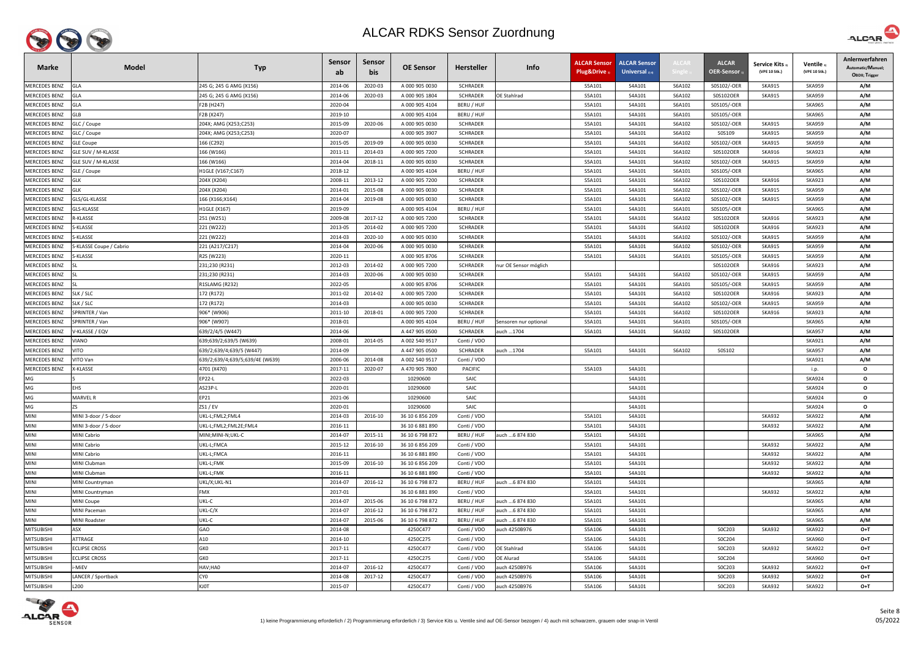

| <b>Marke</b>         | <b>Model</b>            | <b>Typ</b>                      | <b>Sensor</b><br>ab | <b>Sensor</b><br>bis | <b>OE Sensor</b> | Hersteller      | Info                  | <b>ALCAR Sensor</b><br>Plug&Drive 1 | <b>ALCAR Sensor</b><br>Universal $_{2/4}$ | ALCAI  | <b>ALCAR</b><br><b>OER-Sensor</b> | Service Kits 3)<br>(VPE 10 Stk.) | Ventile 3<br>(VPE 10 Stk.) | Anlernverfahren<br>Automatic/Manuel;<br>OBDII; Trigger |
|----------------------|-------------------------|---------------------------------|---------------------|----------------------|------------------|-----------------|-----------------------|-------------------------------------|-------------------------------------------|--------|-----------------------------------|----------------------------------|----------------------------|--------------------------------------------------------|
| <b>MERCEDES BENZ</b> | <b>GLA</b>              | 245 G; 245 G AMG (X156)         | 2014-06             | 2020-03              | A 000 905 0030   | <b>SCHRADER</b> |                       | S5A101                              | S4A101                                    | S6A102 | S0S102/-OER                       | <b>SKA915</b>                    | <b>SKA959</b>              | A/M                                                    |
| <b>MERCEDES BENZ</b> | GLA                     | 245 G; 245 G AMG (X156)         | 2014-06             | 2020-03              | A 000 905 1804   | <b>SCHRADER</b> | <b>DE Stahlrad</b>    | S5A101                              | S4A101                                    | S6A102 | S0S102OER                         | <b>SKA915</b>                    | <b>SKA959</b>              | A/M                                                    |
| <b>MERCEDES BENZ</b> | <b>GLA</b>              | F2B (H247)                      | 2020-04             |                      | A 000 905 4104   | BERU / HUF      |                       | S5A101                              | S4A101                                    | S6A101 | S0S105/-OER                       |                                  | <b>SKA965</b>              | A/M                                                    |
| MERCEDES BENZ        | <b>GLB</b>              | F2B (X247)                      | 2019-10             |                      | A 000 905 4104   | BERU / HUF      |                       | S5A101                              | S4A101                                    | S6A101 | S0S105/-OER                       |                                  | <b>SKA965</b>              | A/M                                                    |
| <b>MERCEDES BENZ</b> | GLC / Coupe             | 204X; AMG (X253;C253)           | 2015-09             | 2020-06              | A 000 905 0030   | <b>SCHRADER</b> |                       | S5A101                              | S4A101                                    | S6A102 | S0S102/-OER                       | <b>SKA915</b>                    | <b>SKA959</b>              | A/M                                                    |
| <b>MERCEDES BENZ</b> | GLC / Coupe             | 204X; AMG (X253;C253)           | 2020-07             |                      | A 000 905 3907   | <b>SCHRADER</b> |                       | S5A101                              | S4A101                                    | S6A102 | S0S109                            | <b>SKA915</b>                    | <b>SKA959</b>              | A/M                                                    |
| <b>MERCEDES BENZ</b> | <b>GLE Coupe</b>        | 166 (C292)                      | 2015-05             | 2019-09              | A 000 905 0030   | <b>SCHRADER</b> |                       | S5A101                              | S4A101                                    | S6A102 | S0S102/-OER                       | <b>SKA915</b>                    | <b>SKA959</b>              | A/M                                                    |
| <b>MERCEDES BENZ</b> | GLE SUV / M-KLASSE      | 166 (W166)                      | 2011-11             | 2014-03              | A 000 905 7200   | <b>SCHRADER</b> |                       | S5A101                              | S4A101                                    | S6A102 | S0S102OER                         | <b>SKA916</b>                    | <b>SKA923</b>              | A/M                                                    |
| <b>MERCEDES BENZ</b> | GLE SUV / M-KLASSE      | 166 (W166)                      | 2014-04             | 2018-11              | A 000 905 0030   | <b>SCHRADER</b> |                       | S5A101                              | S4A101                                    | S6A102 | S0S102/-OER                       | <b>SKA915</b>                    | <b>SKA959</b>              | A/M                                                    |
| MERCEDES BENZ        | GLE / Coupe             | H1GLE (V167;C167)               | 2018-12             |                      | A 000 905 4104   | BERU / HUF      |                       | S5A101                              | S4A101                                    | S6A101 | S0S105/-OER                       |                                  | <b>SKA965</b>              | A/M                                                    |
| <b>MERCEDES BENZ</b> | <b>GLK</b>              | 204X (X204)                     | 2008-11             | 2013-12              | A 000 905 7200   | <b>SCHRADER</b> |                       | S5A101                              | S4A101                                    | S6A102 | S0S102OER                         | <b>SKA916</b>                    | <b>SKA923</b>              | A/M                                                    |
| <b>MERCEDES BENZ</b> | <b>GLK</b>              | 204X (X204)                     | 2014-01             | 2015-08              | A 000 905 0030   | <b>SCHRADER</b> |                       | S5A101                              | S4A101                                    | S6A102 | S0S102/-OER                       | <b>SKA915</b>                    | <b>SKA959</b>              | A/M                                                    |
| <b>MERCEDES BENZ</b> | GLS/GL-KLASSE           | 166 (X166;X164)                 | 2014-04             | 2019-08              | A 000 905 0030   | <b>SCHRADER</b> |                       | S5A101                              | S4A101                                    | S6A102 | S0S102/-OER                       | <b>SKA915</b>                    | <b>SKA959</b>              | A/M                                                    |
| MERCEDES BENZ        | GLS-KLASSE              | H1GLE (X167)                    | 2019-09             |                      | A 000 905 4104   | BERU / HUF      |                       | S5A101                              | S4A101                                    | S6A101 | S0S105/-OER                       |                                  | <b>SKA965</b>              | A/M                                                    |
| MERCEDES BENZ        | <b>R-KLASSE</b>         | 251 (W251)                      | 2009-08             | 2017-12              | A 000 905 7200   | <b>SCHRADER</b> |                       | S5A101                              | S4A101                                    | S6A102 | S0S102OER                         | <b>SKA916</b>                    | <b>SKA923</b>              | A/M                                                    |
| <b>MERCEDES BENZ</b> | S-KLASSE                | 221 (W222)                      | 2013-05             | 2014-02              | A 000 905 7200   | <b>SCHRADER</b> |                       | S5A101                              | S4A101                                    | S6A102 | S0S102OER                         | <b>SKA916</b>                    | <b>SKA923</b>              | A/M                                                    |
| MERCEDES BENZ        | S-KLASSE                | 221 (W222)                      | 2014-03             | 2020-10              | A 000 905 0030   | <b>SCHRADER</b> |                       | S5A101                              | S4A101                                    | S6A102 | S0S102/-OER                       | <b>SKA915</b>                    | <b>SKA959</b>              | A/M                                                    |
| <b>MERCEDES BENZ</b> | S-KLASSE Coupe / Cabrio | 221 (A217/C217)                 | 2014-04             | 2020-06              | A 000 905 0030   | <b>SCHRADER</b> |                       | S5A101                              | S4A101                                    | S6A102 | S0S102/-OER                       | <b>SKA915</b>                    | <b>SKA959</b>              | A/M                                                    |
| <b>MERCEDES BENZ</b> | S-KLASSE                | R2S (W223)                      | 2020-11             |                      | A 000 905 8706   | <b>SCHRADER</b> |                       | S5A101                              | S4A101                                    | S6A101 | S0S105/-OER                       | <b>SKA915</b>                    | <b>SKA959</b>              | A/M                                                    |
| MERCEDES BENZ        |                         | 231;230 (R231)                  | 2012-03             | 2014-02              | A 000 905 7200   | <b>SCHRADER</b> | nur OE Sensor möglich |                                     |                                           |        | S0S102OER                         | <b>SKA916</b>                    | <b>SKA923</b>              | A/M                                                    |
| MERCEDES BENZ        |                         | 231;230 (R231)                  | 2014-03             | 2020-06              | A 000 905 0030   | SCHRADER        |                       | S5A101                              | S4A101                                    | S6A102 | S0S102/-OER                       | <b>SKA915</b>                    | <b>SKA959</b>              | A/M                                                    |
| MERCEDES BENZ        |                         | R1SLAMG (R232)                  | 2022-05             |                      | A 000 905 8706   | SCHRADER        |                       | S5A101                              | S4A101                                    | S6A101 | S0S105/-OER                       | <b>SKA915</b>                    | <b>SKA959</b>              | A/M                                                    |
| MERCEDES BENZ        | SLK / SLC               | 172 (R172)                      | 2011-02             | 2014-02              | A 000 905 7200   | <b>SCHRADER</b> |                       | S5A101                              | S4A101                                    | S6A102 | S0S102OER                         | <b>SKA916</b>                    | <b>SKA923</b>              | A/M                                                    |
| MERCEDES BENZ        | SLK / SLC               | 172 (R172)                      | 2014-03             |                      | A 000 905 0030   | <b>SCHRADER</b> |                       | S5A101                              | S4A101                                    | S6A102 | S0S102/-OER                       | <b>SKA915</b>                    | <b>SKA959</b>              | A/M                                                    |
| <b>MERCEDES BENZ</b> | SPRINTER / Van          | 906* (W906)                     | 2011-10             | 2018-01              | A 000 905 7200   | <b>SCHRADER</b> |                       | S5A101                              | S4A101                                    | S6A102 | S0S102OER                         | <b>SKA916</b>                    | <b>SKA923</b>              | A/M                                                    |
| <b>MERCEDES BENZ</b> | SPRINTER / Van          | 906* (W907)                     | 2018-01             |                      | A 000 905 4104   | BERU / HUF      | Sensoren nur optional | S5A101                              | S4A101                                    | S6A101 | S0S105/-OER                       |                                  | <b>SKA965</b>              | A/M                                                    |
| <b>MERCEDES BENZ</b> | /-KLASSE / EQV          | 639/2/4/5 (W447)                | 2014-06             |                      | A 447 905 0500   | <b>SCHRADER</b> | auch 1704             | S5A101                              | S4A101                                    | S6A102 | S0S102OER                         |                                  | <b>SKA957</b>              | A/M                                                    |
| MERCEDES BENZ        | VIANO                   | 639;639/2;639/5 (W639)          | 2008-01             | 2014-05              | A 002 540 9517   | Conti / VDO     |                       |                                     |                                           |        |                                   |                                  | <b>SKA921</b>              | A/M                                                    |
| <b>MERCEDES BENZ</b> | VITO                    | 639/2;639/4;639/5 (W447)        | 2014-09             |                      | A 447 905 0500   | <b>SCHRADER</b> | auch 1704             | S5A101                              | S4A101                                    | S6A102 | S0S102                            |                                  | <b>SKA957</b>              | A/M                                                    |
| <b>MERCEDES BENZ</b> | VITO Van                | 639/2;639/4;639/5;639/4E (W639) | 2006-06             | 2014-08              | A 002 540 9517   | Conti / VDO     |                       |                                     |                                           |        |                                   |                                  | <b>SKA921</b>              | A/M                                                    |
| <b>MERCEDES BENZ</b> | X-KLASSE                | 4701 (X470)                     | 2017-11             | 2020-07              | A 470 905 7800   | <b>PACIFIC</b>  |                       | S5A103                              | S4A101                                    |        |                                   |                                  | i.p.                       | $\mathbf{o}$                                           |
| MG                   |                         | EP22-L                          | 2022-03             |                      | 10290600         | SAIC            |                       |                                     | S4A101                                    |        |                                   |                                  | <b>SKA924</b>              | $\mathbf{o}$                                           |
| MG                   | <b>EHS</b>              | AS23P-L                         | 2020-01             |                      | 10290600         | SAIC            |                       |                                     | S4A101                                    |        |                                   |                                  | <b>SKA924</b>              | $\mathbf{o}$                                           |
| MG                   | MARVEL R                | EP21                            | 2021-06             |                      | 10290600         | SAIC            |                       |                                     | S4A101                                    |        |                                   |                                  | <b>SKA924</b>              | $\mathbf{o}$                                           |
| MG                   | ZS.                     | ZS1 / EV                        | 2020-01             |                      | 10290600         | SAIC            |                       |                                     | S4A101                                    |        |                                   |                                  | <b>SKA924</b>              | $\mathbf{o}$                                           |
| <b>MINI</b>          | MINI 3-door / 5-door    | UKL-L;FML2;FML4                 | 2014-03             | 2016-10              | 36 10 6 856 209  | Conti / VDO     |                       | S5A101                              | S4A101                                    |        |                                   | <b>SKA932</b>                    | <b>SKA922</b>              | A/M                                                    |
| <b>MINI</b>          | MINI 3-door / 5-door    | UKL-L;FML2;FML2E;FML4           | 2016-11             |                      | 36 10 6 881 890  | Conti / VDO     |                       | S5A101                              | S4A101                                    |        |                                   | <b>SKA932</b>                    | <b>SKA922</b>              | A/M                                                    |
| <b>MINI</b>          | MINI Cabrio             | MINI;MINI-N;UKL-C               | 2014-07             | 2015-11              | 36 10 6 798 872  | BERU / HUF      | auch  6 874 830       | S5A101                              | S4A101                                    |        |                                   |                                  | <b>SKA965</b>              | A/M                                                    |
| <b>MINI</b>          | MINI Cabrio             | UKL-L;FMCA                      | 2015-12             | 2016-10              | 36 10 6 856 209  | Conti / VDO     |                       | S5A101                              | S4A101                                    |        |                                   | <b>SKA932</b>                    | <b>SKA922</b>              | A/M                                                    |
| <b>MINI</b>          | MINI Cabrio             | UKL-L;FMCA                      | 2016-11             |                      | 36 10 6 881 890  | Conti / VDO     |                       | S5A101                              | S4A101                                    |        |                                   | <b>SKA932</b>                    | <b>SKA922</b>              | A/M                                                    |
| <b>MINI</b>          | <b>MINI Clubman</b>     | UKL-L;FMK                       | 2015-09             | 2016-10              | 36 10 6 856 209  | Conti / VDO     |                       | S5A101                              | S4A101                                    |        |                                   | <b>SKA932</b>                    | <b>SKA922</b>              | A/M                                                    |
| <b>MINI</b>          | MINI Clubman            | UKL-L;FMK                       | 2016-11             |                      | 36 10 6 881 890  | Conti / VDO     |                       | S5A101                              | S4A101                                    |        |                                   | <b>SKA932</b>                    | <b>SKA922</b>              | A/M                                                    |
| <b>MINI</b>          | MINI Countryman         | UKL/X;UKL-N1                    | 2014-07             | 2016-12              | 36 10 6 798 872  | BERU / HUF      | auch 6 874 830        | S5A101                              | S4A101                                    |        |                                   |                                  | <b>SKA965</b>              | A/M                                                    |
| <b>MINI</b>          | MINI Countryman         | FMX                             | 2017-01             |                      | 36 10 6 881 890  | Conti / VDO     |                       | S5A101                              | S4A101                                    |        |                                   | <b>SKA932</b>                    | <b>SKA922</b>              | A/M                                                    |
| <b>MINI</b>          | <b>MINI Coupe</b>       | UKL-C                           | 2014-07             | 2015-06              | 36 10 6 798 872  | BERU / HUF      | auch  6 874 830       | S5A101                              | S4A101                                    |        |                                   |                                  | <b>SKA965</b>              | A/M                                                    |
| <b>MINI</b>          | MINI Paceman            | UKL-C/X                         | 2014-07             | 2016-12              | 36 10 6 798 872  | BERU / HUF      | auch  6 874 830       | S5A101                              | S4A101                                    |        |                                   |                                  | <b>SKA965</b>              | A/M                                                    |
| <b>MINI</b>          | <b>MINI Roadster</b>    | UKL-C                           | 2014-07             | 2015-06              | 36 10 6 798 872  | BERU / HUF      | auch  6 874 830       | S5A101                              | S4A101                                    |        |                                   |                                  | <b>SKA965</b>              | A/M                                                    |
| <b>MITSUBISHI</b>    | ASX                     | GAO                             | 2014-08             |                      | 4250C477         | Conti / VDO     | auch 4250B976         | S5A106                              | S4A101                                    |        | SOC203                            | <b>SKA932</b>                    | <b>SKA922</b>              | $O+T$                                                  |
| <b>MITSUBISHI</b>    | ATTRAGE                 | A10                             | 2014-10             |                      | 4250C275         | Conti / VDO     |                       | S5A106                              | S4A101                                    |        | S0C204                            |                                  | <b>SKA960</b>              | $O+T$                                                  |
| <b>MITSUBISHI</b>    | <b>ECLIPSE CROSS</b>    | GKO                             | 2017-11             |                      | 4250C477         | Conti / VDO     | <b>OE Stahlrad</b>    | S5A106                              | S4A101                                    |        | SOC203                            | <b>SKA932</b>                    | <b>SKA922</b>              | $O+T$                                                  |
| <b>MITSUBISHI</b>    | <b>CLIPSE CROSS</b>     | GK0                             | 2017-11             |                      | 4250C275         | Conti / VDO     | OE Alurad             | S5A106                              | S4A101                                    |        | S0C204                            |                                  | <b>SKA960</b>              | $O+T$                                                  |
| <b>MITSUBISHI</b>    | -MiEV                   | HAV;HAO                         | 2014-07             | 2016-12              | 4250C477         | Conti / VDO     | auch 4250B976         | S5A106                              | S4A101                                    |        | SOC203                            | <b>SKA932</b>                    | <b>SKA922</b>              | $O+T$                                                  |
| <b>MITSUBISHI</b>    | LANCER / Sportback      | CY <sub>0</sub>                 | 2014-08             | 2017-12              | 4250C477         | Conti / VDO     | auch 4250B976         | S5A106                              | S4A101                                    |        | S0C203                            | <b>SKA932</b>                    | <b>SKA922</b>              | $O+T$                                                  |
| <b>MITSUBISHI</b>    | L200                    | KJ0T                            | 2015-07             |                      | 4250C477         | Conti / VDO     | auch 4250B976         | S5A106                              | S4A101                                    |        | SOC203                            | <b>SKA932</b>                    | <b>SKA922</b>              | $O+T$                                                  |



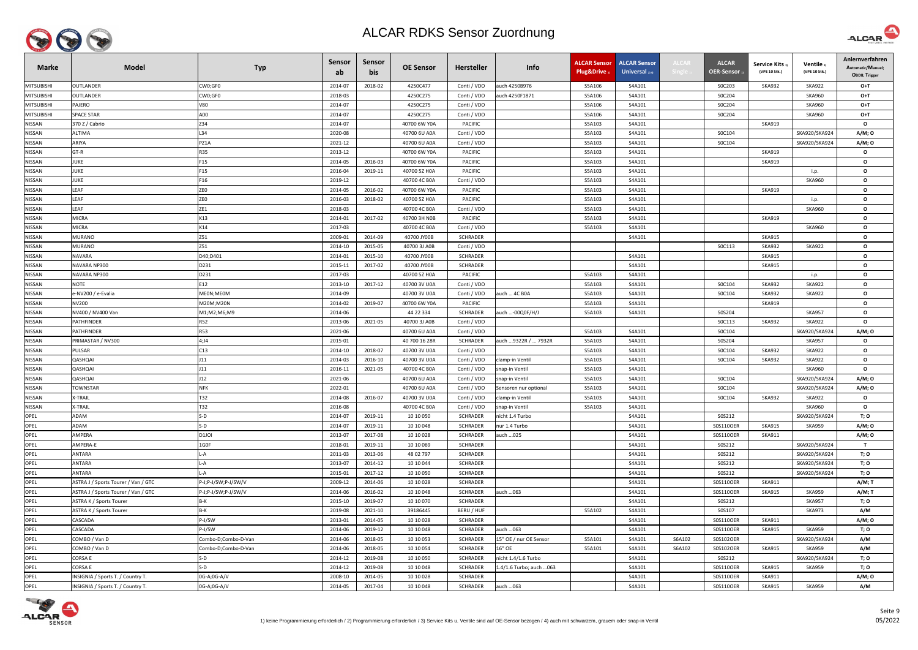

| <b>Marke</b>      | <b>Model</b>                        | <b>Typ</b>          | <b>Sensor</b><br>ab | <b>Sensor</b><br>bis | <b>OE Sensor</b> | Hersteller      | Info                     | <b>ALCAR Sensor</b><br>Plug&Drive | <b>ALCAR Sensor</b><br><b>Universal</b> $_{2/4}$ | ALCAR  | <b>ALCAR</b><br><b>OER-Sensor</b> | <b>Service Kits</b><br>(VPE 10 Stk.) | Ventile<br>(VPE 10 Stk.) | Anlernverfahren<br>Automatic/Manuel;<br>OBDII; Trigger |
|-------------------|-------------------------------------|---------------------|---------------------|----------------------|------------------|-----------------|--------------------------|-----------------------------------|--------------------------------------------------|--------|-----------------------------------|--------------------------------------|--------------------------|--------------------------------------------------------|
| <b>MITSUBISHI</b> | <b>OUTLANDER</b>                    | CW0;GF0             | 2014-07             | 2018-02              | 4250C477         | Conti / VDO     | auch 4250B976            | S5A106                            | S4A101                                           |        | SOC203                            | <b>SKA932</b>                        | <b>SKA922</b>            | $O+T$                                                  |
| <b>MITSUBISHI</b> | <b>OUTLANDER</b>                    | CW0;GF0             | 2018-03             |                      | 4250C275         | Conti / VDO     | auch 4250F1871           | S5A106                            | S4A101                                           |        | S0C204                            |                                      | <b>SKA960</b>            | $O+T$                                                  |
| <b>MITSUBISHI</b> | PAJERO                              | V80                 | 2014-07             |                      | 4250C275         | Conti / VDO     |                          | S5A106                            | S4A101                                           |        | S0C204                            |                                      | <b>SKA960</b>            | $O+T$                                                  |
| <b>MITSUBISHI</b> | <b>SPACE STAR</b>                   | A00                 | 2014-07             |                      | 4250C275         | Conti / VDO     |                          | S5A106                            | S4A101                                           |        | S0C204                            |                                      | <b>SKA960</b>            | $O+T$                                                  |
| <b>NISSAN</b>     | 370 Z / Cabrio                      | Z34                 | 2014-07             |                      | 40700 6W Y0A     | PACIFIC         |                          | S5A103                            | S4A101                                           |        |                                   | <b>SKA919</b>                        |                          | $\mathbf{o}$                                           |
| <b>NISSAN</b>     | <b>ALTIMA</b>                       | L34                 | 2020-08             |                      | 40700 6U A0A     | Conti / VDO     |                          | S5A103                            | S4A101                                           |        | SOC104                            |                                      | SKA920/SKA924            | A/M; 0                                                 |
| <b>NISSAN</b>     | ARIYA                               | PZ1A                | 2021-12             |                      | 40700 6U A0A     | Conti / VDO     |                          | S5A103                            | S4A101                                           |        | S0C104                            |                                      | SKA920/SKA924            | A/M; 0                                                 |
| NISSAN            | $GT-R$                              | <b>R35</b>          | 2013-12             |                      | 40700 6W Y0A     | <b>PACIFIC</b>  |                          | S5A103                            | S4A101                                           |        |                                   | <b>SKA919</b>                        |                          | $\mathbf{o}$                                           |
| NISSAN            | <b>JUKE</b>                         | F15                 | 2014-05             | 2016-03              | 40700 6W Y0A     | <b>PACIFIC</b>  |                          | S5A103                            | S4A101                                           |        |                                   | <b>SKA919</b>                        |                          | $\mathbf{o}$                                           |
| NISSAN            | JUKE                                | F15                 | 2016-04             | 2019-11              | 40700 5Z H0A     | PACIFIC         |                          | S5A103                            | S4A101                                           |        |                                   |                                      | i.p.                     | $\mathbf{o}$                                           |
| NISSAN            | <b>JUKE</b>                         | F16                 | 2019-12             |                      | 40700 4C B0A     | Conti / VDO     |                          | S5A103                            | S4A101                                           |        |                                   |                                      | <b>SKA960</b>            | $\mathbf{o}$                                           |
| <b>NISSAN</b>     | LEAF                                | ZEO                 | 2014-05             | 2016-02              | 40700 6W Y0A     | PACIFIC         |                          | S5A103                            | S4A101                                           |        |                                   | <b>SKA919</b>                        |                          | $\mathbf{o}$                                           |
| NISSAN            | LEAF                                | ZEO                 | 2016-03             | 2018-02              | 40700 5Z H0A     | <b>PACIFIC</b>  |                          | S5A103                            | S4A101                                           |        |                                   |                                      | i.p.                     | $\mathbf{o}$                                           |
| <b>NISSAN</b>     | LEAF                                | ZE1                 | 2018-03             |                      | 40700 4C B0A     | Conti / VDO     |                          | S5A103                            | S4A101                                           |        |                                   |                                      | <b>SKA960</b>            | $\mathbf{o}$                                           |
| NISSAN            | <b>MICRA</b>                        | K13                 | 2014-01             | 2017-02              | 40700 3H NOB     | <b>PACIFIC</b>  |                          | S5A103                            | S4A101                                           |        |                                   | <b>SKA919</b>                        |                          | $\mathbf{o}$                                           |
| NISSAN            | <b>MICRA</b>                        | K14                 | 2017-03             |                      | 40700 4C B0A     | Conti / VDO     |                          | S5A103                            | S4A101                                           |        |                                   |                                      | <b>SKA960</b>            | $\mathbf{o}$                                           |
| NISSAN            | <b>MURANO</b>                       | Z51                 | 2009-01             | 2014-09              | 40700 JY00B      | <b>SCHRADER</b> |                          |                                   | S4A101                                           |        |                                   | <b>SKA915</b>                        |                          | $\mathbf{o}$                                           |
| NISSAN            | MURANO                              | Z51                 | 2014-10             | 2015-05              | 40700 3J A0B     | Conti / VDO     |                          |                                   |                                                  |        | SOC113                            | <b>SKA932</b>                        | <b>SKA922</b>            | $\mathbf{o}$                                           |
| <b>NISSAN</b>     | NAVARA                              | D40;D401            | 2014-01             | 2015-10              | 40700 JY00B      | <b>SCHRADER</b> |                          |                                   | S4A101                                           |        |                                   | <b>SKA915</b>                        |                          | $\mathbf{o}$                                           |
| NISSAN            | NAVARA NP300                        | D231                | 2015-11             | 2017-02              | 40700 JY00B      | <b>SCHRADER</b> |                          |                                   | S4A101                                           |        |                                   | <b>SKA915</b>                        |                          | $\mathbf{o}$                                           |
| NISSAN            | NAVARA NP300                        | D231                | 2017-03             |                      | 40700 5Z H0A     | PACIFIC         |                          | S5A103                            | S4A101                                           |        |                                   |                                      | i.p.                     | $\mathbf{o}$                                           |
| NISSAN            | <b>NOTE</b>                         | E12                 | 2013-10             | 2017-12              | 40700 3V U0A     | Conti / VDO     |                          | S5A103                            | S4A101                                           |        | S0C104                            | <b>SKA932</b>                        | <b>SKA922</b>            | $\mathbf{o}$                                           |
| NISSAN            | -NV200 / e-Evalia                   | <b>AEON;MEOM</b>    | 2014-09             |                      | 40700 3V U0A     | Conti / VDO     | auch  4C B0A             | S5A103                            | S4A101                                           |        | SOC104                            | <b>SKA932</b>                        | <b>SKA922</b>            | $\mathbf{o}$                                           |
| <b>NISSAN</b>     | NV200                               | M20M;M20N           | 2014-02             | 2019-07              | 40700 6W Y0A     | <b>PACIFIC</b>  |                          | S5A103                            | S4A101                                           |        |                                   | <b>SKA919</b>                        |                          | $\mathbf{o}$                                           |
| <b>NISSAN</b>     | NV400 / NV400 Van                   | M1;M2;M6;M9         | 2014-06             |                      | 44 22 334        | <b>SCHRADER</b> | auch -00Q0F/H/J          | S5A103                            | S4A101                                           |        | S0S204                            |                                      | <b>SKA957</b>            | $\mathbf{o}$                                           |
| <b>NISSAN</b>     | PATHFINDER                          | <b>R52</b>          | 2013-06             | 2021-05              | 40700 3J A0B     | Conti / VDO     |                          |                                   |                                                  |        | SOC113                            | <b>SKA932</b>                        | <b>SKA922</b>            | $\mathbf{o}$                                           |
| NISSAN            | <b>ATHFINDER</b>                    | <b>R53</b>          | 2021-06             |                      | 40700 6U A0A     | Conti / VDO     |                          | S5A103                            | S4A101                                           |        | S0C104                            |                                      | SKA920/SKA924            | A/M; 0                                                 |
| NISSAN            | PRIMASTAR / NV300                   | 4;J4                | 2015-01             |                      | 40 700 16 28R    | <b>SCHRADER</b> | auch  9322R /  7932R     | S5A103                            | S4A101                                           |        | S0S204                            |                                      | <b>SKA957</b>            | $\mathbf{o}$                                           |
| NISSAN            | PULSAR                              | C13                 | 2014-10             | 2018-07              | 40700 3V U0A     | Conti / VDO     |                          | S5A103                            | S4A101                                           |        | S0C104                            | <b>SKA932</b>                        | <b>SKA922</b>            | $\mathbf{o}$                                           |
| NISSAN            | QASHQAI                             | J11                 | 2014-03             | 2016-10              | 40700 3V U0A     | Conti / VDO     | clamp-in Ventil          | S5A103                            | S4A101                                           |        | S0C104                            | <b>SKA932</b>                        | <b>SKA922</b>            | $\mathbf{o}$                                           |
| <b>NISSAN</b>     | QASHQAI                             | J11                 | 2016-11             | 2021-05              | 40700 4C B0A     | Conti / VDO     | snap-in Ventil           | S5A103                            | S4A101                                           |        |                                   |                                      | <b>SKA960</b>            | $\mathbf{o}$                                           |
| NISSAN            | QASHQAI                             | J12                 | 2021-06             |                      | 40700 6U A0A     | Conti / VDO     | snap-in Ventil           | S5A103                            | S4A101                                           |        | S0C104                            |                                      | SKA920/SKA924            | A/M; O                                                 |
| <b>NISSAN</b>     | <b>TOWNSTAR</b>                     | <b>NFK</b>          | 2022-01             |                      | 40700 6U A0A     | Conti / VDO     | Sensoren nur optional    | S5A103                            | S4A101                                           |        | S0C104                            |                                      | SKA920/SKA924            | A/M; O                                                 |
| NISSAN            | X-TRAIL                             | T32                 | 2014-08             | 2016-07              | 40700 3V U0A     | Conti / VDO     | clamp-in Ventil          | S5A103                            | S4A101                                           |        | S0C104                            | <b>SKA932</b>                        | <b>SKA922</b>            | $\mathbf{o}$                                           |
| NISSAN            | X-TRAIL                             | T32                 | 2016-08             |                      | 40700 4C B0A     | Conti / VDO     | snap-in Ventil           | S5A103                            | S4A101                                           |        |                                   |                                      | <b>SKA960</b>            | $\mathbf{o}$                                           |
| OPEL              | ADAM                                | S-D                 | 2014-07             | 2019-11              | 10 10 050        | <b>SCHRADER</b> | nicht 1.4 Turbo          |                                   | S4A101                                           |        | S0S212                            |                                      | SKA920/SKA924            | T; O                                                   |
| OPEL              | ADAM                                | S-D                 | 2014-07             | 2019-11              | 10 10 048        | <b>SCHRADER</b> | nur 1.4 Turbo            |                                   | S4A101                                           |        | S0S110OER                         | <b>SKA915</b>                        | <b>SKA959</b>            | A/M; 0                                                 |
| OPEL              | AMPERA                              | D1JOI               | 2013-07             | 2017-08              | 10 10 028        | <b>SCHRADER</b> | auch 025                 |                                   | S4A101                                           |        | S0S110OER                         | <b>SKA911</b>                        |                          | A/M; 0                                                 |
| OPEL              | AMPERA-E                            | 1G0F                | 2018-01             | 2019-11              | 10 10 069        | <b>SCHRADER</b> |                          |                                   | S4A101                                           |        | S0S212                            |                                      | SKA920/SKA924            | $\mathbf{T}$                                           |
| OPEL              | ANTARA                              | -A                  | 2011-03             | 2013-06              | 48 02 797        | <b>SCHRADER</b> |                          |                                   | S4A101                                           |        | S0S212                            |                                      | SKA920/SKA924            | T; O                                                   |
| OPEL              | ANTARA                              | -A                  | 2013-07             | 2014-12              | 10 10 044        | <b>SCHRADER</b> |                          |                                   | S4A101                                           |        | S0S212                            |                                      | SKA920/SKA924            | T; O                                                   |
| <b>OPEL</b>       | ANTARA                              | -A                  | 2015-01             | 2017-12              | 10 10 050        | <b>SCHRADER</b> |                          |                                   | S4A101                                           |        | S0S212                            |                                      | SKA920/SKA924            | T; O                                                   |
| OPEL              | ASTRA J / Sports Tourer / Van / GTC | P-J;P-J/SW;P-J/SW/V | 2009-12             | 2014-06              | 10 10 028        | <b>SCHRADER</b> |                          |                                   | S4A101                                           |        | S0S110OER                         | <b>SKA911</b>                        |                          | $A/M$ ; T                                              |
| <b>OPEL</b>       | ASTRA J / Sports Tourer / Van / GTC | P-J;P-J/SW;P-J/SW/V | 2014-06             | 2016-02              | 10 10 048        | <b>SCHRADER</b> | auch  063                |                                   | S4A101                                           |        | S0S110OER                         | SKA915                               | <b>SKA959</b>            | A/M; T                                                 |
| OPEL              | ASTRA K / Sports Tourer             | B-K                 | 2015-10             | 2019-07              | 10 10 070        | <b>SCHRADER</b> |                          |                                   | S4A101                                           |        | S0S212                            |                                      | <b>SKA957</b>            | T; O                                                   |
| OPEL              | ASTRA K / Sports Tourer             | B-K                 | 2019-08             | 2021-10              | 39186445         | BERU / HUF      |                          | S5A102                            | S4A101                                           |        | S0S107                            |                                      | <b>SKA973</b>            | A/M                                                    |
| OPEL              | CASCADA                             | P-J/SW              | 2013-01             | 2014-05              | 10 10 028        | <b>SCHRADER</b> |                          |                                   | S4A101                                           |        | S0S110OER                         | <b>SKA911</b>                        |                          | A/M; O                                                 |
| OPEL              | CASCADA                             | P-J/SW              | 2014-06             | 2019-12              | 10 10 048        | <b>SCHRADER</b> | auch 063                 |                                   | S4A101                                           |        | S0S110OER                         | <b>SKA915</b>                        | <b>SKA959</b>            | T; O                                                   |
| OPEL              | COMBO / Van D                       | Combo-D;Combo-D-Van | 2014-06             | 2018-05              | 10 10 053        | <b>SCHRADER</b> | 15" OE / nur OE Sensor   | S5A101                            | S4A101                                           | S6A102 | S0S102OER                         |                                      | SKA920/SKA924            | A/M                                                    |
| OPEL              | COMBO / Van D                       | Combo-D;Combo-D-Van | 2014-06             | 2018-05              | 10 10 054        | <b>SCHRADER</b> | 16" OE                   | S5A101                            | S4A101                                           | S6A102 | S0S102OER                         | <b>SKA915</b>                        | <b>SKA959</b>            | A/M                                                    |
| OPEL              | CORSA E                             | S-D                 | 2014-12             | 2019-08              | 10 10 050        | <b>SCHRADER</b> | nicht 1.4/1.6 Turbo      |                                   | S4A101                                           |        | S0S212                            |                                      | SKA920/SKA924            | T; O                                                   |
| OPEL              | CORSA E                             | S-D                 | 2014-12             | 2019-08              | 10 10 048        | <b>SCHRADER</b> | 1.4/1.6 Turbo; auch  063 |                                   | S4A101                                           |        | S0S110OER                         | <b>SKA915</b>                        | <b>SKA959</b>            | T; O                                                   |
| OPEL              | INSIGNIA / Sports T. / Country T.   | 0G-A;0G-A/V         | 2008-10             | 2014-05              | 10 10 028        | <b>SCHRADER</b> |                          |                                   | S4A101                                           |        | S0S110OER                         | <b>SKA911</b>                        |                          | A/M; 0                                                 |
| OPEL              | INSIGNIA / Sports T. / Country T.   | 0G-A;0G-A/V         | 2014-05             | 2017-04              | 10 10 048        | <b>SCHRADER</b> | auch 063                 |                                   | S4A101                                           |        | S0S110OER                         | <b>SKA915</b>                        | <b>SKA959</b>            | A/M                                                    |



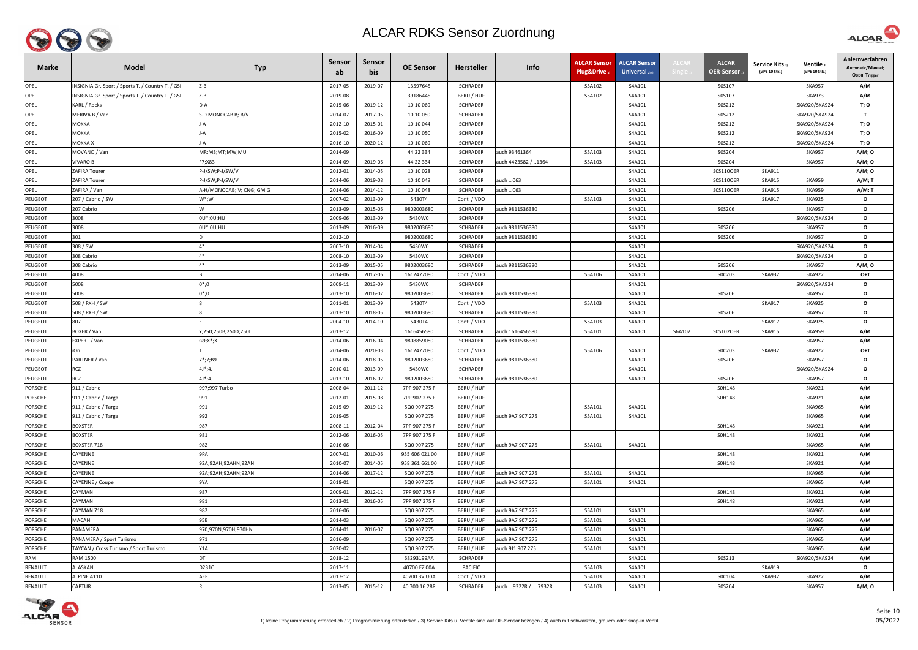

| <b>Marke</b>   | <b>Model</b>                                      | <b>Typ</b>                | <b>Sensor</b><br>ab | Sensor<br>bis | <b>OE Sensor</b> | <b>Hersteller</b> | Info                | <b>ALCAR Sensor</b><br>Plug&Drive 1 | <b>ALCAR Sensor</b><br><b>Universal</b> $_{2/4}$ | ALCAR  | <b>ALCAR</b><br>OER-Sensor 1 | <b>Service Kits</b><br>(VPE 10 Stk.) | Ventile 3<br>(VPE 10 Stk.) | Anlernverfahren<br>Automatic/Manuel;<br>OBDII; Trigger |
|----------------|---------------------------------------------------|---------------------------|---------------------|---------------|------------------|-------------------|---------------------|-------------------------------------|--------------------------------------------------|--------|------------------------------|--------------------------------------|----------------------------|--------------------------------------------------------|
| OPEL           | INSIGNIA Gr. Sport / Sports T. / Country T. / GSI | $Z - B$                   | 2017-05             | 2019-07       | 13597645         | <b>SCHRADER</b>   |                     | S5A102                              | S4A101                                           |        | S0S107                       |                                      | <b>SKA957</b>              | A/M                                                    |
| OPEL           | INSIGNIA Gr. Sport / Sports T. / Country T. / GSI | Z-B                       | 2019-08             |               | 39186445         | BERU / HUF        |                     | S5A102                              | S4A101                                           |        | S0S107                       |                                      | <b>SKA973</b>              | A/M                                                    |
| OPEL           | KARL / Rocks                                      | D-A                       | 2015-06             | 2019-12       | 10 10 069        | <b>SCHRADER</b>   |                     |                                     | S4A101                                           |        | S0S212                       |                                      | SKA920/SKA924              | T; O                                                   |
| OPEL           | MERIVA B / Van                                    | S-D MONOCAB B; B/V        | 2014-07             | 2017-05       | 10 10 050        | <b>SCHRADER</b>   |                     |                                     | S4A101                                           |        | S0S212                       |                                      | SKA920/SKA924              | $\mathbf{T}$                                           |
| OPEL           | МОККА                                             |                           | 2012-10             | 2015-01       | 10 10 044        | SCHRADER          |                     |                                     | S4A101                                           |        | S0S212                       |                                      | SKA920/SKA924              | T; O                                                   |
| OPEL           | МОККА                                             |                           | 2015-02             | 2016-09       | 10 10 050        | <b>SCHRADER</b>   |                     |                                     | S4A101                                           |        | S0S212                       |                                      | SKA920/SKA924              | T; O                                                   |
| OPEL           | МОККА Х                                           |                           | 2016-10             | 2020-12       | 10 10 069        | <b>SCHRADER</b>   |                     |                                     | S4A101                                           |        | S0S212                       |                                      | SKA920/SKA924              | T; O                                                   |
| OPEL           | MOVANO / Van                                      | MR;MS;MT;MW;MU            | 2014-09             |               | 44 22 334        | <b>SCHRADER</b>   | auch 93461364       | S5A103                              | S4A101                                           |        | S0S204                       |                                      | <b>SKA957</b>              | A/M; 0                                                 |
| OPEL           | <b>IVARO B</b>                                    | F7;X83                    | 2014-09             | 2019-06       | 44 22 334        | <b>SCHRADER</b>   | auch 4423582 / 1364 | S5A103                              | S4A101                                           |        | S0S204                       |                                      | <b>SKA957</b>              | A/M; O                                                 |
| OPEL           | ZAFIRA Tourer                                     | P-J/SW;P-J/SW/V           | 2012-01             | 2014-05       | 10 10 028        | <b>SCHRADER</b>   |                     |                                     | S4A101                                           |        | S0S110OER                    | SKA911                               |                            | A/M; O                                                 |
| OPEL           | ZAFIRA Tourer                                     | P-J/SW;P-J/SW/V           | 2014-06             | 2019-08       | 10 10 048        | <b>SCHRADER</b>   | auch 063            |                                     | S4A101                                           |        | S0S110OER                    | <b>SKA915</b>                        | <b>SKA959</b>              | A/M; T                                                 |
| OPEL           | ZAFIRA / Van                                      | A-H/MONOCAB; V; CNG; GMIG | 2014-06             | 2014-12       | 10 10 048        | SCHRADER          | auch 063            |                                     | S4A101                                           |        | S0S110OER                    | <b>SKA915</b>                        | <b>SKA959</b>              | A/M; T                                                 |
| <b>PEUGEOT</b> | 207 / Cabrio / SW                                 | $W^*;W$                   | 2007-02             | 2013-09       | 5430T4           | Conti / VDO       |                     | S5A103                              | S4A101                                           |        |                              | <b>SKA917</b>                        | <b>SKA925</b>              | $\mathbf{o}$                                           |
| PEUGEOT        | 207 Cabrio                                        | W                         | 2013-09             | 2015-06       | 9802003680       | <b>SCHRADER</b>   | auch 9811536380     |                                     | S4A101                                           |        | S0S206                       |                                      | <b>SKA957</b>              | $\mathbf{o}$                                           |
| PEUGEOT        | 3008                                              | 0U*;0U;HU                 | 2009-06             | 2013-09       | 5430W0           | <b>SCHRADER</b>   |                     |                                     | S4A101                                           |        |                              |                                      | SKA920/SKA924              | $\mathbf{o}$                                           |
| PEUGEOT        | 3008                                              | 0U*;0U;HU                 | 2013-09             | 2016-09       | 9802003680       | <b>SCHRADER</b>   | auch 9811536380     |                                     | S4A101                                           |        | S0S206                       |                                      | <b>SKA957</b>              | $\mathbf{o}$                                           |
| <b>PEUGEOT</b> | 301                                               |                           | 2012-10             |               | 9802003680       | <b>SCHRADER</b>   | auch 9811536380     |                                     | S4A101                                           |        | S0S206                       |                                      | <b>SKA957</b>              | $\mathbf{o}$                                           |
| <b>PEUGEOT</b> | 308 / SW                                          | $\Lambda$ *               | 2007-10             | 2014-04       | 5430W0           | <b>SCHRADER</b>   |                     |                                     | S4A101                                           |        |                              |                                      | SKA920/SKA924              | $\mathbf{o}$                                           |
| PEUGEOT        | 308 Cabrio                                        | $\Lambda$ *               | 2008-10             | 2013-09       | 5430W0           | SCHRADER          |                     |                                     | S4A101                                           |        |                              |                                      | SKA920/SKA924              | $\mathbf{o}$                                           |
| <b>PEUGEOT</b> | 308 Cabrio                                        | $\Lambda^*$               | 2013-09             | 2015-05       | 9802003680       | <b>SCHRADER</b>   | auch 9811536380     |                                     | S4A101                                           |        | S0S206                       |                                      | <b>SKA957</b>              | A/M; 0                                                 |
| PEUGEOT        | 4008                                              |                           | 2014-06             | 2017-06       | 1612477080       | Conti / VDO       |                     | S5A106                              | S4A101                                           |        | S0C203                       | <b>SKA932</b>                        | SKA922                     | O+T                                                    |
| <b>PEUGEOT</b> | 5008                                              | $0^*;0$                   | 2009-11             | 2013-09       | 5430W0           | <b>SCHRADER</b>   |                     |                                     | S4A101                                           |        |                              |                                      | SKA920/SKA924              | $\mathbf{o}$                                           |
| <b>PEUGEOT</b> | 5008                                              | $0^*;0$                   | 2013-10             | 2016-02       | 9802003680       | <b>SCHRADER</b>   | auch 9811536380     |                                     | S4A101                                           |        | S0S206                       |                                      | <b>SKA957</b>              | $\mathbf{o}$                                           |
| PEUGEOT        | 508 / RXH / SW                                    |                           | 2011-01             | 2013-09       | 5430T4           | Conti / VDO       |                     | S5A103                              | S4A101                                           |        |                              | <b>SKA917</b>                        | <b>SKA925</b>              | $\mathbf{o}$                                           |
| PEUGEOT        | 508 / RXH / SW                                    |                           | 2013-10             | 2018-05       | 9802003680       | <b>SCHRADER</b>   | auch 9811536380     |                                     | S4A101                                           |        | S0S206                       |                                      | <b>SKA957</b>              | $\mathbf{o}$                                           |
| PEUGEOT        | 807                                               |                           | 2004-10             | 2014-10       | 5430T4           | Conti / VDO       |                     | S5A103                              | S4A101                                           |        |                              | <b>SKA917</b>                        | <b>SKA925</b>              | $\mathbf{o}$                                           |
| <b>PEUGEOT</b> | BOXER / Van                                       | Y;250;250B;250D;250L      | 2013-12             |               | 1616456580       | <b>SCHRADER</b>   | auch 1616456580     | S5A101                              | S4A101                                           | S6A102 | S0S102OER                    | <b>SKA915</b>                        | <b>SKA959</b>              | A/M                                                    |
| PEUGEOT        | EXPERT / Van                                      | $G9; X^*; X$              | 2014-06             | 2016-04       | 9808859080       | <b>SCHRADER</b>   | auch 9811536380     |                                     |                                                  |        |                              |                                      | <b>SKA957</b>              | A/M                                                    |
| PEUGEOT        | iOn                                               |                           | 2014-06             | 2020-03       | 1612477080       | Conti / VDO       |                     | S5A106                              | S4A101                                           |        | SOC203                       | <b>SKA932</b>                        | <b>SKA922</b>              | $O+T$                                                  |
| PEUGEOT        | PARTNER / Van                                     | 7*;7;B9                   | 2014-06             | 2018-05       | 9802003680       | <b>SCHRADER</b>   | auch 9811536380     |                                     | S4A101                                           |        | S0S206                       |                                      | <b>SKA957</b>              | $\mathbf{o}$                                           |
| PEUGEOT        | <b>RCZ</b>                                        | $4J^*;4J$                 | 2010-01             | 2013-09       | 5430W0           | SCHRADER          |                     |                                     | S4A101                                           |        |                              |                                      | SKA920/SKA924              | $\mathbf{o}$                                           |
| PEUGEOT        | <b>RCZ</b>                                        | $4J^*;4J$                 | 2013-10             | 2016-02       | 9802003680       | <b>SCHRADER</b>   | auch 9811536380     |                                     | S4A101                                           |        | S0S206                       |                                      | <b>SKA957</b>              | $\mathbf{o}$                                           |
| <b>PORSCHE</b> | 911 / Cabrio                                      | 997;997 Turbo             | 2008-04             | 2011-12       | 7PP 907 275 F    | BERU / HUF        |                     |                                     |                                                  |        | S0H148                       |                                      | <b>SKA921</b>              | A/M                                                    |
| <b>PORSCHE</b> | 911 / Cabrio / Targa                              | 991                       | 2012-01             | 2015-08       | 7PP 907 275 F    | BERU / HUF        |                     |                                     |                                                  |        | S0H148                       |                                      | <b>SKA921</b>              | A/M                                                    |
| <b>PORSCHE</b> | 911 / Cabrio / Targa                              | 991                       | 2015-09             | 2019-12       | 5Q0 907 275      | BERU / HUF        |                     | S5A101                              | S4A101                                           |        |                              |                                      | <b>SKA965</b>              | A/M                                                    |
| <b>PORSCHE</b> | 911 / Cabrio / Targa                              | 992                       | 2019-05             |               | 5Q0 907 275      | BERU / HUF        | auch 9A7 907 275    | S5A101                              | S4A101                                           |        |                              |                                      | <b>SKA965</b>              | A/M                                                    |
| <b>PORSCHE</b> | <b>BOXSTER</b>                                    | 987                       | 2008-11             | 2012-04       | 7PP 907 275 F    | BERU / HUF        |                     |                                     |                                                  |        | S0H148                       |                                      | <b>SKA921</b>              | A/M                                                    |
| <b>PORSCHE</b> | <b>BOXSTER</b>                                    | 981                       | 2012-06             | 2016-05       | 7PP 907 275 F    | BERU / HUF        |                     |                                     |                                                  |        | S0H148                       |                                      | <b>SKA921</b>              | A/M                                                    |
| <b>PORSCHE</b> | <b>BOXSTER 718</b>                                | 982                       | 2016-06             |               | 5Q0 907 275      | BERU / HUF        | auch 9A7 907 275    | S5A101                              | S4A101                                           |        |                              |                                      | <b>SKA965</b>              | A/M                                                    |
| <b>PORSCHE</b> | CAYENNE                                           | 9PA                       | 2007-01             | 2010-06       | 955 606 021 00   | BERU / HUF        |                     |                                     |                                                  |        | S0H148                       |                                      | <b>SKA921</b>              | A/M                                                    |
| <b>PORSCHE</b> | CAYENNE                                           | 92A;92AH;92AHN;92AN       | 2010-07             | 2014-05       | 958 361 661 00   | BERU / HUF        |                     |                                     |                                                  |        | S0H148                       |                                      | <b>SKA921</b>              | A/M                                                    |
| <b>PORSCHE</b> | CAYENNE                                           | 92A;92AH;92AHN;92AN       | 2014-06             | 2017-12       | 5Q0 907 275      | BERU / HUF        | auch 9A7 907 275    | S5A101                              | S4A101                                           |        |                              |                                      | <b>SKA965</b>              | A/M                                                    |
| <b>PORSCHE</b> | CAYENNE / Coupe                                   | 9YA                       | 2018-01             |               | 5Q0 907 275      | BERU / HUF        | auch 9A7 907 275    | S5A101                              | S4A101                                           |        |                              |                                      | <b>SKA965</b>              | A/M                                                    |
| <b>PORSCHE</b> | CAYMAN                                            | 987                       | 2009-01             | 2012-12       | 7PP 907 275 F    | BERU / HUF        |                     |                                     |                                                  |        | S0H148                       |                                      | <b>SKA921</b>              | A/M                                                    |
| <b>PORSCHE</b> | CAYMAN                                            | 981                       | 2013-01             | 2016-05       | 7PP 907 275 F    | BERU / HUF        |                     |                                     |                                                  |        | S0H148                       |                                      | <b>SKA921</b>              | A/M                                                    |
| <b>PORSCHE</b> | CAYMAN 718                                        | 982                       | 2016-06             |               | 5Q0 907 275      | BERU / HUF        | auch 9A7 907 275    | S5A101                              | S4A101                                           |        |                              |                                      | <b>SKA965</b>              | A/M                                                    |
| <b>PORSCHE</b> | MACAN                                             | 95B                       | 2014-03             |               | 5Q0 907 275      | BERU / HUF        | auch 9A7 907 275    | S5A101                              | S4A101                                           |        |                              |                                      | <b>SKA965</b>              | A/M                                                    |
| <b>PORSCHE</b> | PANAMERA                                          | 970;970N;970H;970HN       | 2014-01             | 2016-07       | 5Q0 907 275      | BERU / HUF        | auch 9A7 907 275    | S5A101                              | S4A101                                           |        |                              |                                      | <b>SKA965</b>              | A/M                                                    |
| <b>PORSCHE</b> | PANAMERA / Sport Turismo                          | 971                       | 2016-09             |               | 5Q0 907 275      | BERU / HUF        | auch 9A7 907 275    | S5A101                              | S4A101                                           |        |                              |                                      | <b>SKA965</b>              | A/M                                                    |
| <b>PORSCHE</b> | TAYCAN / Cross Turismo / Sport Turismo            | Y1A                       | 2020-02             |               | 5Q0 907 275      | BERU / HUF        | auch 9J1 907 275    | S5A101                              | S4A101                                           |        |                              |                                      | <b>SKA965</b>              | A/M                                                    |
| <b>RAM</b>     | RAM 1500                                          | DT                        | 2018-12             |               | 68293199AA       | <b>SCHRADER</b>   |                     |                                     | S4A101                                           |        | S0S213                       |                                      | SKA920/SKA924              | A/M                                                    |
| RENAULT        | ALASKAN                                           | D231C                     | 2017-11             |               | 40700 EZ 00A     | <b>PACIFIC</b>    |                     | S5A103                              | S4A101                                           |        |                              | <b>SKA919</b>                        |                            | $\mathbf{o}$                                           |
| RENAULT        | ALPINE A110                                       | AEF                       | 2017-12             |               | 40700 3V U0A     | Conti / VDO       |                     | S5A103                              | S4A101                                           |        | S0C104                       | SKA932                               | <b>SKA922</b>              | A/M                                                    |
| RENAULT        | <b>CAPTUR</b>                                     |                           | 2013-05             | 2015-12       | 40 700 16 28R    | SCHRADER          | auch 9322R /  7932R | S5A103                              | S4A101                                           |        | S0S204                       |                                      | <b>SKA957</b>              | A/M; O                                                 |



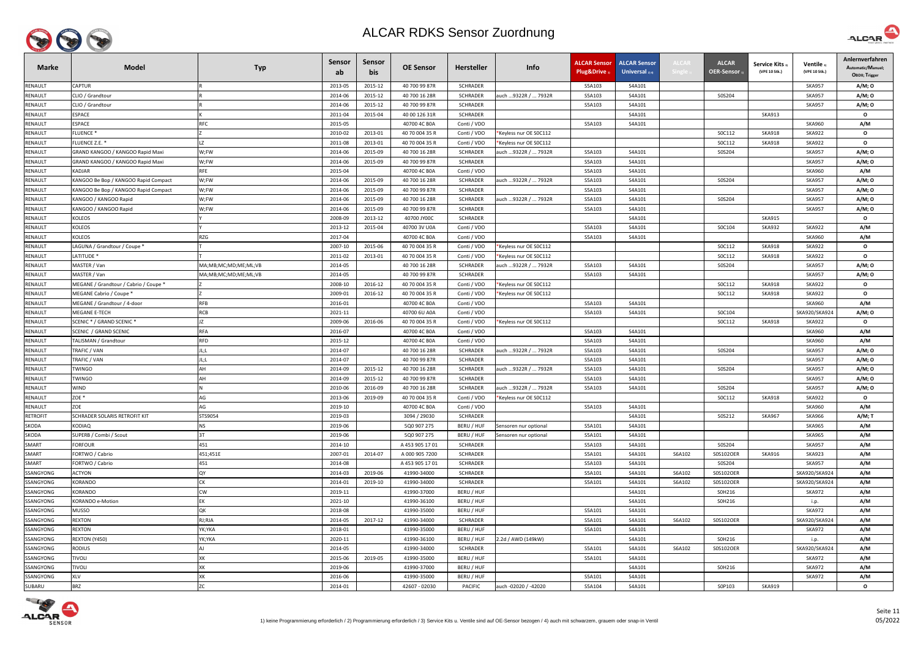

| <b>Marke</b>    | <b>Model</b>                          | <b>Typ</b>           | <b>Sensor</b><br>ab | Sensor<br>bis | <b>OE Sensor</b> | <b>Hersteller</b> | Info                   | <b>ALCAR Sensor</b><br>Plug&Drive | <b>ALCAR Sensor</b><br><b>Universal</b> $_{2(4)}$ | <b>ALCAR</b> | <b>ALCAR</b><br><b>OER-Sensor</b> | <b>Service Kits</b><br>(VPE 10 Stk.) | Ventile 3)<br>(VPE 10 Stk.) | Anlernverfahren<br>Automatic/Manuel;<br>OBDII; Trigger |
|-----------------|---------------------------------------|----------------------|---------------------|---------------|------------------|-------------------|------------------------|-----------------------------------|---------------------------------------------------|--------------|-----------------------------------|--------------------------------------|-----------------------------|--------------------------------------------------------|
| RENAULT         | <b>CAPTUR</b>                         |                      | 2013-05             | 2015-12       | 40 700 99 87R    | <b>SCHRADER</b>   |                        | S5A103                            | S4A101                                            |              |                                   |                                      | <b>SKA957</b>               | A/M; O                                                 |
| RENAULT         | CLIO / Grandtour                      |                      | 2014-06             | 2015-12       | 40 700 16 28R    | <b>SCHRADER</b>   | auch 9322R /  7932R    | S5A103                            | S4A101                                            |              | S0S204                            |                                      | <b>SKA957</b>               | A/M; O                                                 |
| <b>RENAULT</b>  | CLIO / Grandtour                      |                      | 2014-06             | 2015-12       | 40 700 99 87R    | <b>SCHRADER</b>   |                        | S5A103                            | S4A101                                            |              |                                   |                                      | <b>SKA957</b>               | A/M; O                                                 |
| <b>RENAULT</b>  | ESPACE                                |                      | 2011-04             | 2015-04       | 40 00 126 31R    | <b>SCHRADER</b>   |                        |                                   | S4A101                                            |              |                                   | <b>SKA913</b>                        |                             | $\mathbf{o}$                                           |
| <b>RENAULT</b>  | ESPACE                                | <b>RFC</b>           | 2015-05             |               | 40700 4C B0A     | Conti / VDO       |                        | S5A103                            | S4A101                                            |              |                                   |                                      | <b>SKA960</b>               | A/M                                                    |
| RENAULT         | <b>FLUENCE *</b>                      |                      | 2010-02             | 2013-01       | 40 70 004 35 R   | Conti / VDO       | Keyless nur OE SOC112  |                                   |                                                   |              | SOC112                            | <b>SKA918</b>                        | <b>SKA922</b>               | $\mathbf{o}$                                           |
| <b>RENAULT</b>  | FLUENCE Z.E. *                        |                      | 2011-08             | 2013-01       | 40 70 004 35 R   | Conti / VDO       | Keyless nur OE SOC112  |                                   |                                                   |              | SOC112                            | SKA918                               | <b>SKA922</b>               | $\mathbf{o}$                                           |
| <b>RENAULT</b>  | GRAND KANGOO / KANGOO Rapid Maxi      | W;FW                 | 2014-06             | 2015-09       | 40 700 16 28R    | <b>SCHRADER</b>   | auch …9322R / … 7932R  | S5A103                            | S4A101                                            |              | S0S204                            |                                      | <b>SKA957</b>               | A/M; 0                                                 |
| RENAULT         | GRAND KANGOO / KANGOO Rapid Maxi      | W;FW                 | 2014-06             | 2015-09       | 40 700 99 87R    | <b>SCHRADER</b>   |                        | S5A103                            | S4A101                                            |              |                                   |                                      | <b>SKA957</b>               | A/M; O                                                 |
| RENAULT         | KADJAR                                | <b>RFE</b>           | 2015-04             |               | 40700 4C B0A     | Conti / VDO       |                        | S5A103                            | S4A101                                            |              |                                   |                                      | <b>SKA960</b>               | A/M                                                    |
| RENAULT         | KANGOO Be Bop / KANGOO Rapid Compact  | W;FW                 | 2014-06             | 2015-09       | 40 700 16 28R    | <b>SCHRADER</b>   | auch  9322R /  7932R   | S5A103                            | S4A101                                            |              | S0S204                            |                                      | <b>SKA957</b>               | A/M; O                                                 |
| RENAULT         | KANGOO Be Bop / KANGOO Rapid Compact  | W;FW                 | 2014-06             | 2015-09       | 40 700 99 87R    | SCHRADER          |                        | S5A103                            | S4A101                                            |              |                                   |                                      | <b>SKA957</b>               | A/M; O                                                 |
| <b>RENAULT</b>  | KANGOO / KANGOO Rapid                 | W;FW                 | 2014-06             | 2015-09       | 40 700 16 28R    | <b>SCHRADER</b>   | auch 9322R /  7932R    | S5A103                            | S4A101                                            |              | S0S204                            |                                      | <b>SKA957</b>               | A/M; O                                                 |
| RENAULT         | KANGOO / KANGOO Rapid                 | W;FW                 | 2014-06             | 2015-09       | 40 700 99 87R    | <b>SCHRADER</b>   |                        | S5A103                            | S4A101                                            |              |                                   |                                      | <b>SKA957</b>               | A/M; 0                                                 |
| RENAULT         | KOLEOS                                |                      | 2008-09             | 2013-12       | 40700 JY00C      | <b>SCHRADER</b>   |                        |                                   | S4A101                                            |              |                                   | <b>SKA915</b>                        |                             | $\mathbf{o}$                                           |
| RENAULT         | KOLEOS                                |                      | 2013-12             | 2015-04       | 40700 3V U0A     | Conti / VDO       |                        | S5A103                            | S4A101                                            |              | S0C104                            | <b>SKA932</b>                        | <b>SKA922</b>               | A/M                                                    |
| RENAULT         | KOLEOS                                | <b>RZG</b>           | 2017-04             |               | 40700 4C B0A     | Conti / VDO       |                        | S5A103                            | S4A101                                            |              |                                   |                                      | <b>SKA960</b>               | A/M                                                    |
| <b>RENAULT</b>  | LAGUNA / Grandtour / Coupe *          |                      | 2007-10             | 2015-06       | 40 70 004 35 R   | Conti / VDO       | Keyless nur OE SOC112  |                                   |                                                   |              | SOC112                            | <b>SKA918</b>                        | <b>SKA922</b>               | $\mathbf{o}$                                           |
| RENAULT         | LATITUDE *                            |                      | 2011-02             | 2013-01       | 40 70 004 35 R   | Conti / VDO       | *Keyless nur OE SOC112 |                                   |                                                   |              | SOC112                            | <b>SKA918</b>                        | <b>SKA922</b>               | $\mathbf{o}$                                           |
| RENAULT         | MASTER / Van                          | MA;MB;MC;MD;ME;ML;VB | 2014-05             |               | 40 700 16 28R    | SCHRADER          | auch 9322R /  7932R    | S5A103                            | S4A101                                            |              | S0S204                            |                                      | <b>SKA957</b>               | A/M; 0                                                 |
| <b>RENAULT</b>  | MASTER / Van                          | MA;MB;MC;MD;ME;ML;VB | 2014-05             |               | 40 700 99 87R    | SCHRADER          |                        | S5A103                            | S4A101                                            |              |                                   |                                      | <b>SKA957</b>               | A/M; O                                                 |
| <b>RENAULT</b>  | MEGANE / Grandtour / Cabrio / Coupe * |                      | 2008-10             | 2016-12       | 40 70 004 35 R   | Conti / VDO       | *Keyless nur OE SOC112 |                                   |                                                   |              | SOC112                            | <b>SKA918</b>                        | <b>SKA922</b>               | $\mathbf{o}$                                           |
| RENAULT         | MEGANE Cabrio / Coupe *               |                      | 2009-01             | 2016-12       | 40 70 004 35 R   | Conti / VDO       | Keyless nur OE SOC112  |                                   |                                                   |              | SOC112                            | <b>SKA918</b>                        | <b>SKA922</b>               | $\mathbf{o}$                                           |
| RENAULT         | MEGANE / Grandtour / 4-door           | <b>RFB</b>           | 2016-01             |               | 40700 4C B0A     | Conti / VDO       |                        | S5A103                            | S4A101                                            |              |                                   |                                      | <b>SKA960</b>               | A/M                                                    |
| RENAULT         | MEGANE E-TECH                         | <b>RCB</b>           | 2021-11             |               | 40700 6U A0A     | Conti / VDO       |                        | S5A103                            | S4A101                                            |              | S0C104                            |                                      | SKA920/SKA924               | A/M; O                                                 |
| RENAULT         | SCENIC * / GRAND SCENIC *             |                      | 2009-06             | 2016-06       | 40 70 004 35 R   | Conti / VDO       | *Keyless nur OE SOC112 |                                   |                                                   |              | SOC112                            | <b>SKA918</b>                        | <b>SKA922</b>               | $\mathbf{o}$                                           |
| RENAULT         | SCENIC / GRAND SCENIC                 | <b>RFA</b>           | 2016-07             |               | 40700 4C B0A     | Conti / VDO       |                        | S5A103                            | S4A101                                            |              |                                   |                                      | <b>SKA960</b>               | A/M                                                    |
| RENAULT         | TALISMAN / Grandtour                  | <b>RFD</b>           | 2015-12             |               | 40700 4C B0A     | Conti / VDO       |                        | S5A103                            | S4A101                                            |              |                                   |                                      | <b>SKA960</b>               | A/M                                                    |
| RENAULT         | TRAFIC / VAN                          | JL;L                 | 2014-07             |               | 40 700 16 28R    | <b>SCHRADER</b>   | auch 9322R /  7932R    | S5A103                            | S4A101                                            |              | S0S204                            |                                      | <b>SKA957</b>               | A/M; 0                                                 |
| RENAULT         | TRAFIC / VAN                          |                      | 2014-07             |               | 40 700 99 87R    | <b>SCHRADER</b>   |                        | S5A103                            | S4A101                                            |              |                                   |                                      | <b>SKA957</b>               | A/M; O                                                 |
| RENAULT         | TWINGO                                | AH                   | 2014-09             | 2015-12       | 40 700 16 28R    | <b>SCHRADER</b>   | auch 9322R /  7932R    | S5A103                            | S4A101                                            |              | S0S204                            |                                      | <b>SKA957</b>               | A/M; O                                                 |
| RENAULT         | <b>TWINGO</b>                         | AH                   | 2014-09             | 2015-12       | 40 700 99 87R    | <b>SCHRADER</b>   |                        | S5A103                            | S4A101                                            |              |                                   |                                      | <b>SKA957</b>               | A/M; O                                                 |
| RENAULT         | WIND                                  |                      | 2010-06             | 2016-09       | 40 700 16 28R    | <b>SCHRADER</b>   | auch  9322R /  7932R   | S5A103                            | S4A101                                            |              | S0S204                            |                                      | <b>SKA957</b>               | A/M; O                                                 |
| RENAULT         | ZOE *                                 | AG                   | 2013-06             | 2019-09       | 40 70 004 35 R   | Conti / VDO       | Keyless nur OE SOC112  |                                   |                                                   |              | SOC112                            | <b>SKA918</b>                        | <b>SKA922</b>               | $\mathbf{o}$                                           |
| RENAULT         | ZOE                                   | AG                   | 2019-10             |               | 40700 4C B0A     | Conti / VDO       |                        | S5A103                            | S4A101                                            |              |                                   |                                      | <b>SKA960</b>               | A/M                                                    |
| <b>RETROFIT</b> | SCHRADER SOLARIS RETROFIT KIT         | STS9054              | 2019-03             |               | 3094 / 29030     | <b>SCHRADER</b>   |                        |                                   | S4A101                                            |              | S0S212                            | <b>SKA967</b>                        | <b>SKA966</b>               | A/M; T                                                 |
| SKODA           | KODIAQ                                | <b>NS</b>            | 2019-06             |               | 5Q0 907 275      | BERU / HUF        | Sensoren nur optional  | S5A101                            | S4A101                                            |              |                                   |                                      | <b>SKA965</b>               | A/M                                                    |
| SKODA           | SUPERB / Combi / Scout                | 3T                   | 2019-06             |               | 5Q0 907 275      | BERU / HUF        | Sensoren nur optional  | S5A101                            | S4A101                                            |              |                                   |                                      | <b>SKA965</b>               | A/M                                                    |
| SMART           | <b>FORFOUR</b>                        | 451                  | 2014-10             |               | A 453 905 17 01  | <b>SCHRADER</b>   |                        | S5A103                            | S4A101                                            |              | S0S204                            |                                      | <b>SKA957</b>               | A/M                                                    |
| SMART           | FORTWO / Cabrio                       | 451;451E             | 2007-01             | 2014-07       | A 000 905 7200   | <b>SCHRADER</b>   |                        | S5A101                            | S4A101                                            | S6A102       | S0S102OER                         | <b>SKA916</b>                        | <b>SKA923</b>               | A/M                                                    |
| SMART           | FORTWO / Cabrio                       | 451                  | 2014-08             |               | A 453 905 17 01  | <b>SCHRADER</b>   |                        | S5A103                            | S4A101                                            |              | S0S204                            |                                      | <b>SKA957</b>               | A/M                                                    |
| SSANGYONG       | <b>ACTYON</b>                         | QY                   | 2014-03             | 2019-06       | 41990-34000      | <b>SCHRADER</b>   |                        | S5A101                            | S4A101                                            | S6A102       | S0S102OER                         |                                      | SKA920/SKA924               | A/M                                                    |
| SSANGYONG       | KORANDO                               | CK                   | 2014-01             | 2019-10       | 41990-34000      | <b>SCHRADER</b>   |                        | S5A101                            | S4A101                                            | S6A102       | S0S102OER                         |                                      | SKA920/SKA924               | A/M                                                    |
| SSANGYONG       | KORANDO                               | CW                   | 2019-11             |               | 41990-37000      | BERU / HUF        |                        |                                   | S4A101                                            |              | S0H216                            |                                      | <b>SKA972</b>               | A/M                                                    |
| SSANGYONG       | KORANDO e-Motion                      | EK                   | 2021-10             |               | 41990-36100      | BERU / HUF        |                        |                                   | S4A101                                            |              | S0H216                            |                                      | i.p.                        | A/M                                                    |
| SSANGYONG       | MUSSO                                 | QK                   | 2018-08             |               | 41990-35000      | BERU / HUF        |                        | S5A101                            | S4A101                                            |              |                                   |                                      | <b>SKA972</b>               | A/M                                                    |
| SSANGYONG       | <b>REXTON</b>                         | RJ;RJA               | 2014-05             | 2017-12       | 41990-34000      | <b>SCHRADER</b>   |                        | S5A101                            | S4A101                                            | S6A102       | S0S102OER                         |                                      | SKA920/SKA924               | A/M                                                    |
| SSANGYONG       | <b>REXTON</b>                         | YK;YKA               | 2018-01             |               | 41990-35000      | BERU / HUF        |                        | S5A101                            | S4A101                                            |              |                                   |                                      | <b>SKA972</b>               | A/M                                                    |
| SSANGYONG       | REXTON (Y450)                         | YK;YKA               | 2020-11             |               | 41990-36100      | BERU / HUF        | 2.2d / AWD (149kW)     |                                   | S4A101                                            |              | S0H216                            |                                      | i.p.                        | A/M                                                    |
| SSANGYONG       | <b>RODIUS</b>                         | AJ                   | 2014-05             |               | 41990-34000      | <b>SCHRADER</b>   |                        | S5A101                            | S4A101                                            | S6A102       | S0S102OER                         |                                      | SKA920/SKA924               | A/M                                                    |
| SSANGYONG       | <b>TIVOLI</b>                         | XK                   | 2015-06             | 2019-05       | 41990-35000      | BERU / HUF        |                        | S5A101                            | S4A101                                            |              |                                   |                                      | <b>SKA972</b>               | A/M                                                    |
| SSANGYONG       | <b>TIVOLI</b>                         | XK                   | 2019-06             |               | 41990-37000      | BERU / HUF        |                        |                                   | S4A101                                            |              | S0H216                            |                                      | <b>SKA972</b>               | A/M                                                    |
| SSANGYONG       | <b>XLV</b>                            | XK                   | 2016-06             |               | 41990-35000      | BERU / HUF        |                        | S5A101                            | S4A101                                            |              |                                   |                                      | <b>SKA972</b>               | A/M                                                    |
| SUBARU          | <b>BRZ</b>                            | ZC                   | 2014-01             |               | 42607 - 02030    | <b>PACIFIC</b>    | auch -02020 / -42020   | S5A104                            | S4A101                                            |              | S0P103                            | <b>SKA919</b>                        |                             | $\mathbf{o}$                                           |



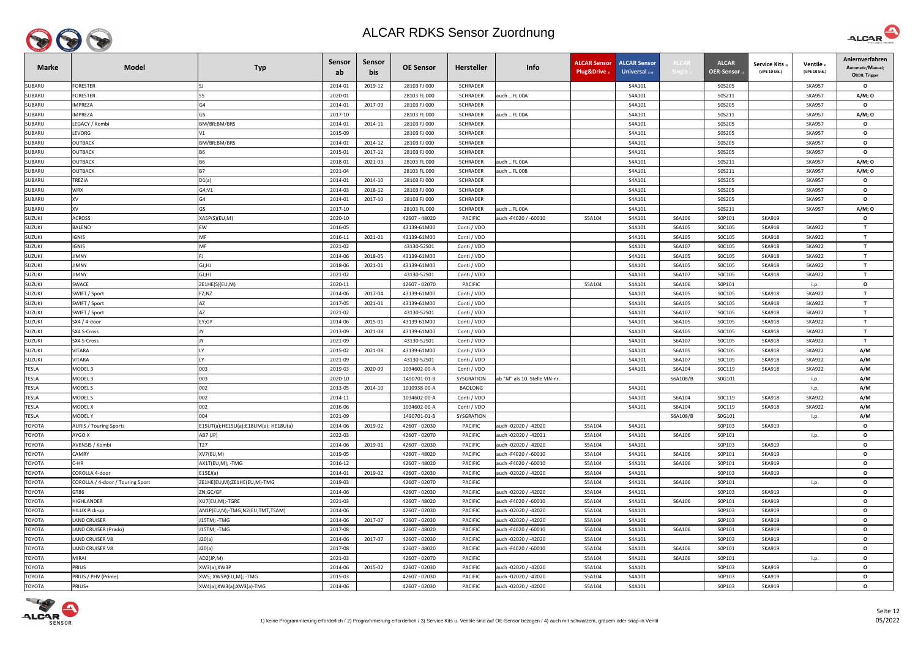

| <b>Marke</b>  | <b>Model</b>                     | <b>Typ</b>                           | <b>Sensor</b><br>ab | Sensor<br>bis | <b>OE Sensor</b> | <b>Hersteller</b> | Info                          | <b>ALCAR Sensor</b><br>Plug&Drive | <b>ALCAR Sensor</b><br>Universal $_{2/4}$ | ALCAR    | <b>ALCAR</b><br><b>OER-Sensor</b> | Service Kits 3)<br>(VPE 10 Stk.) | Ventile 3<br>(VPE 10 Stk.) | Anlernverfahren<br>Automatic/Manuel;<br><b>OBDII</b> ; Trigger |
|---------------|----------------------------------|--------------------------------------|---------------------|---------------|------------------|-------------------|-------------------------------|-----------------------------------|-------------------------------------------|----------|-----------------------------------|----------------------------------|----------------------------|----------------------------------------------------------------|
| SUBARU        | FORESTER                         |                                      | 2014-01             | 2019-12       | 28103 FJ 000     | <b>SCHRADER</b>   |                               |                                   | S4A101                                    |          | S0S205                            |                                  | <b>SKA957</b>              | $\mathbf{o}$                                                   |
| SUBARU        | FORESTER                         | S5                                   | 2020-01             |               | 28103 FL 000     | <b>SCHRADER</b>   | auch FL 00A                   |                                   | S4A101                                    |          | S0S211                            |                                  | <b>SKA957</b>              | A/M; 0                                                         |
| SUBARU        | <b>IMPREZA</b>                   | G4                                   | 2014-01             | 2017-09       | 28103 FJ 000     | <b>SCHRADER</b>   |                               |                                   | S4A101                                    |          | S0S205                            |                                  | <b>SKA957</b>              | $\mathbf{o}$                                                   |
| SUBARU        | MPREZA                           | G5                                   | 2017-10             |               | 28103 FL 000     | <b>SCHRADER</b>   | auch FL 00A                   |                                   | S4A101                                    |          | S0S211                            |                                  | <b>SKA957</b>              | A/M; 0                                                         |
| SUBARU        | EGACY / Kombi                    | BM/BR;BM/BRS                         | 2014-01             | 2014-11       | 28103 FJ 000     | <b>SCHRADER</b>   |                               |                                   | S4A101                                    |          | S0S205                            |                                  | <b>SKA957</b>              | $\circ$                                                        |
| SUBARU        | LEVORG                           | V1                                   | 2015-09             |               | 28103 FJ 000     | <b>SCHRADER</b>   |                               |                                   | S4A101                                    |          | S0S205                            |                                  | <b>SKA957</b>              | $\circ$                                                        |
| SUBARU        | OUTBACK                          | BM/BR;BM/BRS                         | 2014-01             | 2014-12       | 28103 FJ 000     | <b>SCHRADER</b>   |                               |                                   | S4A101                                    |          | S0S205                            |                                  | <b>SKA957</b>              | $\circ$                                                        |
| SUBARU        | <b>OUTBACK</b>                   | <b>B6</b>                            | 2015-01             | 2017-12       | 28103 FJ 000     | <b>SCHRADER</b>   |                               |                                   | S4A101                                    |          | S0S205                            |                                  | <b>SKA957</b>              | $\mathbf{o}$                                                   |
| SUBARU        | OUTBACK                          | B <sub>6</sub>                       | 2018-01             | 2021-03       | 28103 FL 000     | <b>SCHRADER</b>   | auch FL 00A                   |                                   | S4A101                                    |          | S0S211                            |                                  | <b>SKA957</b>              | A/M; 0                                                         |
| SUBARU        | OUTBACK                          | <b>B7</b>                            | 2021-04             |               | 28103 FL 000     | <b>SCHRADER</b>   | auch FL 00B                   |                                   | S4A101                                    |          | S0S211                            |                                  | <b>SKA957</b>              | A/M; O                                                         |
| SUBARU        | TREZIA                           | D1(a)                                | 2014-01             | 2014-10       | 28103 FJ 000     | <b>SCHRADER</b>   |                               |                                   | S4A101                                    |          | S0S205                            |                                  | <b>SKA957</b>              | $\mathbf{o}$                                                   |
| SUBARU        | WRX                              | G4;V1                                | 2014-03             | 2018-12       | 28103 FJ 000     | SCHRADER          |                               |                                   | S4A101                                    |          | S0S205                            |                                  | <b>SKA957</b>              | $\mathbf{o}$                                                   |
| SUBARU        | XV                               | G4                                   | 2014-01             | 2017-10       | 28103 FJ 000     | <b>SCHRADER</b>   |                               |                                   | S4A101                                    |          | S0S205                            |                                  | <b>SKA957</b>              | $\mathbf{o}$                                                   |
| SUBARU        | XV                               | G5                                   | 2017-10             |               | 28103 FL 000     | <b>SCHRADER</b>   | auch FL 00A                   |                                   | S4A101                                    |          | S0S211                            |                                  | <b>SKA957</b>              | A/M; O                                                         |
| SUZUKI        | <b>ACROSS</b>                    | XA5P(S)(EU,M)                        | 2020-10             |               | 42607 - 48020    | PACIFIC           | auch -F4020 / -60010          | S5A104                            | S4A101                                    | S6A106   | S0P101                            | <b>SKA919</b>                    |                            | $\mathbf{o}$                                                   |
| <b>SUZUKI</b> | <b>BALENO</b>                    | EW                                   | 2016-05             |               | 43139-61M00      | Conti / VDO       |                               |                                   | S4A101                                    | S6A105   | SOC105                            | <b>SKA918</b>                    | <b>SKA922</b>              | $\mathbf{T}$                                                   |
| SUZUKI        | IGNIS                            | <b>MF</b>                            | 2016-11             | 2021-01       | 43139-61M00      | Conti / VDO       |                               |                                   | S4A101                                    | S6A105   | SOC105                            | <b>SKA918</b>                    | <b>SKA922</b>              | $\mathbf{T}$                                                   |
| <b>SUZUKI</b> | IGNIS                            | MF                                   | 2021-02             |               | 43130-52S01      | Conti / VDO       |                               |                                   | S4A101                                    | S6A107   | SOC105                            | <b>SKA918</b>                    | <b>SKA922</b>              | $\mathbf{T}$                                                   |
| <b>SUZUKI</b> | IMNY                             |                                      | 2014-06             | 2018-05       | 43139-61M00      | Conti / VDO       |                               |                                   | S4A101                                    | S6A105   | SOC105                            | <b>SKA918</b>                    | <b>SKA922</b>              | $\mathbf{T}$                                                   |
| <b>SUZUKI</b> | IMNY                             | GJ;HJ                                | 2018-06             | 2021-01       | 43139-61M00      | Conti / VDO       |                               |                                   | S4A101                                    | S6A105   | SOC105                            | <b>SKA918</b>                    | <b>SKA922</b>              | $\mathbf{T}$                                                   |
| SUZUKI        | IMNY                             | GI; HJ                               | 2021-02             |               | 43130-52501      | Conti / VDO       |                               |                                   | S4A101                                    | S6A107   | SOC105                            | <b>SKA918</b>                    | <b>SKA922</b>              | $\mathbf{T}$                                                   |
| <b>SUZUKI</b> | SWACE                            | ZE1HE(S)(EU,M)                       | 2020-11             |               | 42607 - 02070    | PACIFIC           |                               | S5A104                            | S4A101                                    | S6A106   | S0P101                            |                                  | i.p.                       | $\mathbf{o}$                                                   |
| <b>SUZUKI</b> | SWIFT / Sport                    | FZ;NZ                                | 2014-06             | 2017-04       | 43139-61M00      | Conti / VDO       |                               |                                   | S4A101                                    | S6A105   | SOC105                            | <b>SKA918</b>                    | <b>SKA922</b>              | $\mathbf{T}$                                                   |
| <b>SUZUKI</b> | SWIFT / Sport                    | AZ                                   | 2017-05             | 2021-01       | 43139-61M00      | Conti / VDO       |                               |                                   | S4A101                                    | S6A105   | SOC105                            | <b>SKA918</b>                    | <b>SKA922</b>              | $\mathbf{T}$                                                   |
| <b>SUZUKI</b> | SWIFT / Sport                    | AZ                                   | 2021-02             |               | 43130-52S01      | Conti / VDO       |                               |                                   | S4A101                                    | S6A107   | SOC105                            | <b>SKA918</b>                    | <b>SKA922</b>              | $\mathbf{T}$                                                   |
| <b>SUZUKI</b> | SX4 / 4-door                     | EY;GY                                | 2014-06             | 2015-01       | 43139-61M00      | Conti / VDO       |                               |                                   | S4A101                                    | S6A105   | SOC105                            | <b>SKA918</b>                    | <b>SKA922</b>              | $\mathbf{T}$                                                   |
| <b>SUZUKI</b> | SX4 S-Cross                      |                                      | 2013-09             | 2021-08       | 43139-61M00      | Conti / VDO       |                               |                                   | S4A101                                    | S6A105   | SOC105                            | <b>SKA918</b>                    | <b>SKA922</b>              | $\mathbf{T}$                                                   |
| <b>SUZUKI</b> | SX4 S-Cross                      |                                      | 2021-09             |               | 43130-52S01      | Conti / VDO       |                               |                                   | S4A101                                    | S6A107   | SOC105                            | <b>SKA918</b>                    | <b>SKA922</b>              | $\mathbf{T}$                                                   |
| <b>SUZUKI</b> | VITARA                           |                                      | 2015-02             | 2021-08       | 43139-61M00      | Conti / VDO       |                               |                                   | S4A101                                    | S6A105   | SOC105                            | <b>SKA918</b>                    | <b>SKA922</b>              | A/M                                                            |
| <b>SUZUKI</b> | <b>/ITARA</b>                    |                                      | 2021-09             |               | 43130-52S01      | Conti / VDO       |                               |                                   | S4A101                                    | S6A107   | SOC105                            | <b>SKA918</b>                    | <b>SKA922</b>              | A/M                                                            |
| <b>TESLA</b>  | MODEL 3                          | 003                                  | 2019-03             | 2020-09       | 1034602-00-A     | Conti / VDO       |                               |                                   | S4A101                                    | S6A104   | SOC119                            | <b>SKA918</b>                    | <b>SKA922</b>              | A/M                                                            |
| <b>TESLA</b>  | MODEL 3                          | 003                                  | 2020-10             |               | 1490701-01-B     | SYSGRATION        | ab "M" als 10. Stelle VIN-nr. |                                   |                                           | S6A108/B | S0G101                            |                                  | i.p.                       | A/M                                                            |
| <b>TESLA</b>  | MODEL S                          | 002                                  | 2013-05             | 2014-10       | 1010938-00-A     | <b>BAOLONG</b>    |                               |                                   | S4A101                                    |          |                                   |                                  | i.p.                       | A/M                                                            |
| <b>TESLA</b>  | MODEL S                          | 002                                  | 2014-11             |               | 1034602-00-A     | Conti / VDO       |                               |                                   | S4A101                                    | S6A104   | SOC119                            | <b>SKA918</b>                    | <b>SKA922</b>              | A/M                                                            |
| <b>TESLA</b>  | MODEL X                          | 002                                  | 2016-06             |               | 1034602-00-A     | Conti / VDO       |                               |                                   | S4A101                                    | S6A104   | SOC119                            | <b>SKA918</b>                    | <b>SKA922</b>              | A/M                                                            |
| <b>TESLA</b>  | MODEL Y                          | 004                                  | 2021-09             |               | 1490701-01-B     | SYSGRATION        |                               |                                   |                                           | S6A108/B | S0G101                            |                                  | i.p.                       | A/M                                                            |
| <b>TOYOTA</b> | <b>AURIS / Touring Sports</b>    | E15UT(a);HE15U(a);E18UM(a); HE18U(a) | 2014-06             | 2019-02       | 42607 - 02030    | <b>PACIFIC</b>    | auch -02020 / -42020          | S5A104                            | S4A101                                    |          | S0P103                            | <b>SKA919</b>                    |                            | $\mathbf{o}$                                                   |
| TOYOTA        | <b>AYGO X</b>                    | AB7 (JP)                             | 2022-03             |               | 42607 - 02070    | <b>PACIFIC</b>    | auch -02020 / -42021          | S5A104                            | S4A101                                    | S6A106   | S0P101                            |                                  | i.p.                       | $\mathbf{o}$                                                   |
| <b>TOYOTA</b> | AVENSIS / Kombi                  | T27                                  | 2014-06             | 2019-01       | 42607 - 02030    | PACIFIC           | auch -02020 / -42020          | S5A104                            | S4A101                                    |          | S0P103                            | <b>SKA919</b>                    |                            | $\mathbf{o}$                                                   |
| <b>TOYOTA</b> | CAMRY                            | XV7(EU,M)                            | 2019-05             |               | 42607 - 48020    | <b>PACIFIC</b>    | auch -F4020 / -60010          | S5A104                            | S4A101                                    | S6A106   | S0P101                            | <b>SKA919</b>                    |                            | $\mathbf{o}$                                                   |
| <b>TOYOTA</b> | CHR                              | AX1T(EU,M); - TMG                    | 2016-12             |               | 42607 - 48020    | <b>PACIFIC</b>    | auch -F4020 / -60010          | S5A104                            | S4A101                                    | S6A106   | S0P101                            | <b>SKA919</b>                    |                            | $\mathbf{o}$                                                   |
| <b>TOYOTA</b> | COROLLA 4-door                   | E15EJ(a)                             | 2014-01             | 2019-02       | 42607 - 02030    | <b>PACIFIC</b>    | auch -02020 / -42020          | S5A104                            | S4A101                                    |          | S0P103                            | <b>SKA919</b>                    |                            | $\mathbf{o}$                                                   |
| <b>TOYOTA</b> | COROLLA / 4-door / Touring Sport | ZE1HE(EU,M);ZE1HE(EU,M)-TMG          | 2019-03             |               | 42607 - 02070    | <b>PACIFIC</b>    |                               | S5A104                            | S4A101                                    | S6A106   | S0P101                            |                                  | i.p.                       | $\mathbf{o}$                                                   |
| <b>TOYOTA</b> | GT86                             | ZN;GC/GF                             | 2014-06             |               | 42607 - 02030    | PACIFIC           | auch -02020 / -42020          | S5A104                            | S4A101                                    |          | S0P103                            | <b>SKA919</b>                    |                            | $\mathbf{o}$                                                   |
| <b>TOYOTA</b> | HIGHLANDER                       | XU7(EU,M);-TGRE                      | 2021-03             |               | 42607 - 48020    | <b>PACIFIC</b>    | auch -F4020 / -60010          | S5A104                            | S4A101                                    | S6A106   | S0P101                            | <b>SKA919</b>                    |                            | $\mathbf{o}$                                                   |
| <b>TOYOTA</b> | <b>HILUX Pick-up</b>             | AN1P(EU,N);-TMG;N2(EU,TMT,TSAM)      | 2014-06             |               | 42607 - 02030    | PACIFIC           | auch -02020 / -42020          | S5A104                            | S4A101                                    |          | S0P103                            | <b>SKA919</b>                    |                            | $\mathbf{o}$                                                   |
| <b>TOYOTA</b> | AND CRUISER                      | J15TM; -TMG                          | 2014-06             | 2017-07       | 42607 - 02030    | <b>PACIFIC</b>    | auch -02020 / -42020          | S5A104                            | S4A101                                    |          | S0P103                            | <b>SKA919</b>                    |                            | $\mathbf{o}$                                                   |
| <b>TOYOTA</b> | LAND CRUISER (Prado)             | J15TM; -TMG                          | 2017-08             |               | 42607 - 48020    | PACIFIC           | auch -F4020 / -60010          | S5A104                            | S4A101                                    | S6A106   | S0P101                            | <b>SKA919</b>                    |                            | $\mathbf{o}$                                                   |
| <b>TOYOTA</b> | LAND CRUISER V8                  | J20(a)                               | 2014-06             | 2017-07       | 42607 - 02030    | <b>PACIFIC</b>    | auch -02020 / -42020          | S5A104                            | S4A101                                    |          | S0P103                            | <b>SKA919</b>                    |                            | $\mathbf{o}$                                                   |
| <b>TOYOTA</b> | LAND CRUISER V8                  | J20(a)                               | 2017-08             |               | 42607 - 48020    | <b>PACIFIC</b>    | auch -F4020 / -60010          | S5A104                            | S4A101                                    | S6A106   | S0P101                            | <b>SKA919</b>                    |                            | $\mathbf{o}$                                                   |
| TOYOTA        | MIRAI                            | AD2(JP,M)                            | 2021-03             |               | 42607 - 02070    | <b>PACIFIC</b>    |                               | S5A104                            | S4A101                                    | S6A106   | S0P101                            |                                  | i.p.                       | $\mathbf{o}$                                                   |
| ΤΟΥΟΤΑ        | PRIUS                            | XW3(a);XW3P                          | 2014-06             | 2015-02       | 42607 - 02030    | PACIFIC           | auch -02020 / -42020          | S5A104                            | S4A101                                    |          | S0P103                            | <b>SKA919</b>                    |                            | $\mathbf{o}$                                                   |
| <b>TOYOTA</b> | PRIUS / PHV (Prime)              | XW5; XW5P(EU,M); -TMG                | 2015-03             |               | 42607 - 02030    | <b>PACIFIC</b>    | auch -02020 / -42020          | S5A104                            | S4A101                                    |          | S0P103                            | <b>SKA919</b>                    |                            | $\mathbf{o}$                                                   |
| TOYOTA        | PRIUS+                           | XW4(a);XW3(a);XW3(a)-TMG             | 2014-06             |               | 42607 - 02030    | PACIFIC           | auch -02020 / -42020          | S5A104                            | S4A101                                    |          | S0P103                            | <b>SKA919</b>                    |                            | $\mathbf{o}$                                                   |